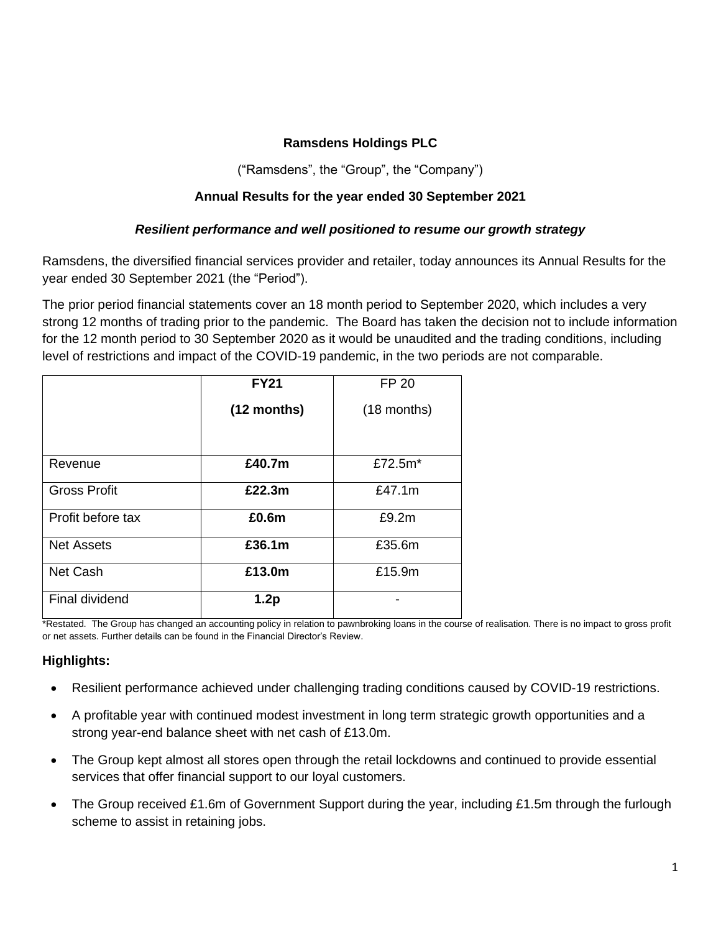# **Ramsdens Holdings PLC**

("Ramsdens", the "Group", the "Company")

## **Annual Results for the year ended 30 September 2021**

### *Resilient performance and well positioned to resume our growth strategy*

Ramsdens, the diversified financial services provider and retailer, today announces its Annual Results for the year ended 30 September 2021 (the "Period").

The prior period financial statements cover an 18 month period to September 2020, which includes a very strong 12 months of trading prior to the pandemic. The Board has taken the decision not to include information for the 12 month period to 30 September 2020 as it would be unaudited and the trading conditions, including level of restrictions and impact of the COVID-19 pandemic, in the two periods are not comparable.

|                     | <b>FY21</b> | <b>FP 20</b>  |
|---------------------|-------------|---------------|
|                     | (12 months) | $(18$ months) |
|                     |             |               |
| Revenue             | £40.7m      | £72.5m*       |
| <b>Gross Profit</b> | £22.3m      | £47.1m        |
| Profit before tax   | £0.6m       | £9.2m         |
| <b>Net Assets</b>   | £36.1m      | £35.6m        |
| <b>Net Cash</b>     | £13.0m      | £15.9m        |
| Final dividend      | 1.2p        |               |

\*Restated. The Group has changed an accounting policy in relation to pawnbroking loans in the course of realisation. There is no impact to gross profit or net assets. Further details can be found in the Financial Director's Review.

### **Highlights:**

- Resilient performance achieved under challenging trading conditions caused by COVID-19 restrictions.
- A profitable year with continued modest investment in long term strategic growth opportunities and a strong year-end balance sheet with net cash of £13.0m.
- The Group kept almost all stores open through the retail lockdowns and continued to provide essential services that offer financial support to our loyal customers.
- The Group received £1.6m of Government Support during the year, including £1.5m through the furlough scheme to assist in retaining jobs.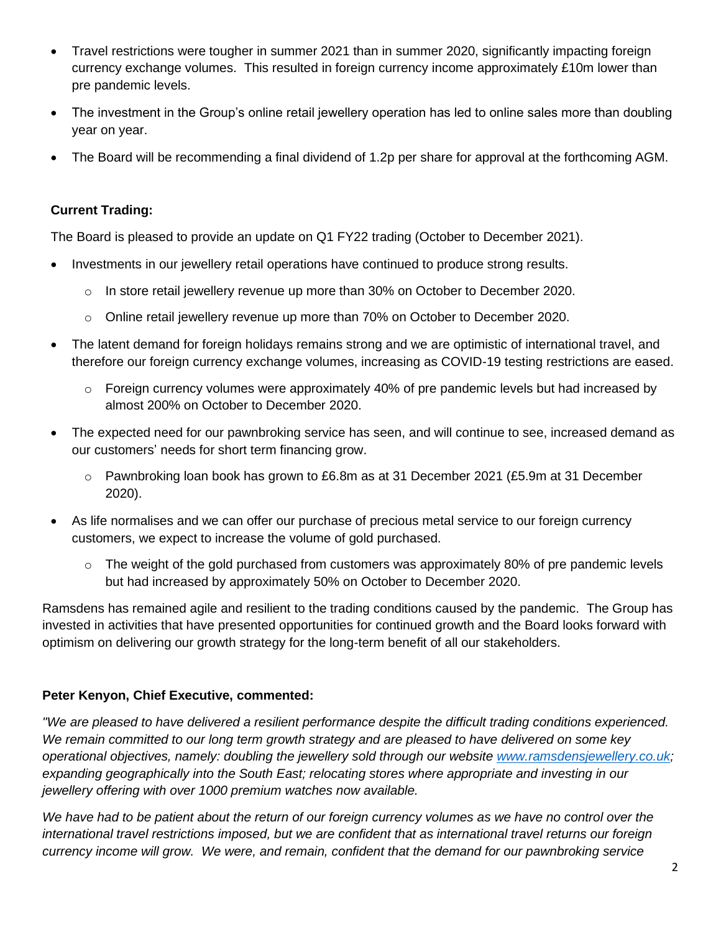- Travel restrictions were tougher in summer 2021 than in summer 2020, significantly impacting foreign currency exchange volumes. This resulted in foreign currency income approximately £10m lower than pre pandemic levels.
- The investment in the Group's online retail jewellery operation has led to online sales more than doubling year on year.
- The Board will be recommending a final dividend of 1.2p per share for approval at the forthcoming AGM.

# **Current Trading:**

The Board is pleased to provide an update on Q1 FY22 trading (October to December 2021).

- Investments in our jewellery retail operations have continued to produce strong results.
	- o In store retail jewellery revenue up more than 30% on October to December 2020.
	- o Online retail jewellery revenue up more than 70% on October to December 2020.
- The latent demand for foreign holidays remains strong and we are optimistic of international travel, and therefore our foreign currency exchange volumes, increasing as COVID-19 testing restrictions are eased.
	- o Foreign currency volumes were approximately 40% of pre pandemic levels but had increased by almost 200% on October to December 2020.
- The expected need for our pawnbroking service has seen, and will continue to see, increased demand as our customers' needs for short term financing grow.
	- o Pawnbroking loan book has grown to £6.8m as at 31 December 2021 (£5.9m at 31 December 2020).
- As life normalises and we can offer our purchase of precious metal service to our foreign currency customers, we expect to increase the volume of gold purchased.
	- $\circ$  The weight of the gold purchased from customers was approximately 80% of pre pandemic levels but had increased by approximately 50% on October to December 2020.

Ramsdens has remained agile and resilient to the trading conditions caused by the pandemic. The Group has invested in activities that have presented opportunities for continued growth and the Board looks forward with optimism on delivering our growth strategy for the long-term benefit of all our stakeholders.

# **Peter Kenyon, Chief Executive, commented:**

*"We are pleased to have delivered a resilient performance despite the difficult trading conditions experienced. We remain committed to our long term growth strategy and are pleased to have delivered on some key operational objectives, namely: doubling the jewellery sold through our website [www.ramsdensjewellery.co.uk;](http://www.ramsdensjewellery.co.uk/) expanding geographically into the South East; relocating stores where appropriate and investing in our jewellery offering with over 1000 premium watches now available.*

*We have had to be patient about the return of our foreign currency volumes as we have no control over the international travel restrictions imposed, but we are confident that as international travel returns our foreign currency income will grow. We were, and remain, confident that the demand for our pawnbroking service*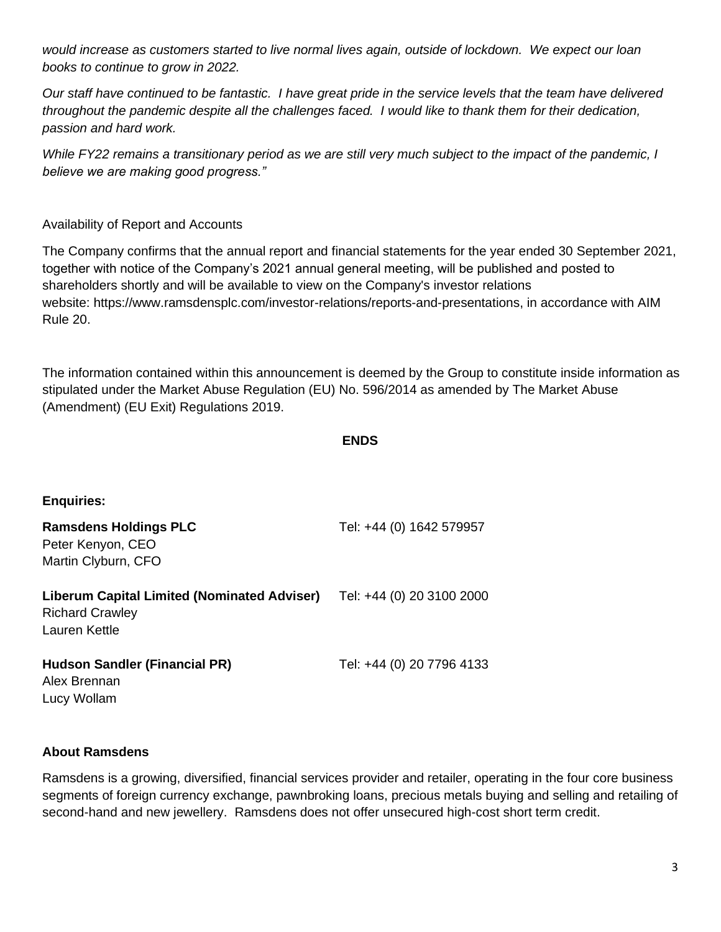*would increase as customers started to live normal lives again, outside of lockdown. We expect our loan books to continue to grow in 2022.*

*Our staff have continued to be fantastic. I have great pride in the service levels that the team have delivered throughout the pandemic despite all the challenges faced. I would like to thank them for their dedication, passion and hard work.* 

*While FY22 remains a transitionary period as we are still very much subject to the impact of the pandemic, I believe we are making good progress."* 

## Availability of Report and Accounts

The Company confirms that the annual report and financial statements for the year ended 30 September 2021, together with notice of the Company's 2021 annual general meeting, will be published and posted to shareholders shortly and will be available to view on the Company's investor relations website: [https://www.ramsdensplc.com/investor-relations/reports-and-presentations,](https://eur01.safelinks.protection.outlook.com/?url=https%3A%2F%2Fwww.ramsdensplc.com%2Finvestor-relations%2Freports-and-presentations&data=02%7C01%7Clwollam%40hudsonsandler.com%7C5e65bb6855a840ec736808d6e9028d50%7Ca33bdb157e25438ab1fd5c523a8866f9%7C1%7C0%7C636952594503059063&sdata=Cpng724nGX9wrWhD9NwOlkiZHLeIZZnzg6S71WXuRQE%3D&reserved=0) in accordance with AIM Rule 20.

The information contained within this announcement is deemed by the Group to constitute inside information as stipulated under the Market Abuse Regulation (EU) No. 596/2014 as amended by The Market Abuse (Amendment) (EU Exit) Regulations 2019.

```
ENDS
```

| <b>Enquiries:</b> |  |  |
|-------------------|--|--|
|                   |  |  |

| <b>Ramsdens Holdings PLC</b><br>Peter Kenyon, CEO<br>Martin Clyburn, CFO                      | Tel: +44 (0) 1642 579957  |
|-----------------------------------------------------------------------------------------------|---------------------------|
| <b>Liberum Capital Limited (Nominated Adviser)</b><br><b>Richard Crawley</b><br>Lauren Kettle | Tel: +44 (0) 20 3100 2000 |
| <b>Hudson Sandler (Financial PR)</b>                                                          | Tel: +44 (0) 20 7796 4133 |

Alex Brennan Lucy Wollam

## **About Ramsdens**

Ramsdens is a growing, diversified, financial services provider and retailer, operating in the four core business segments of foreign currency exchange, pawnbroking loans, precious metals buying and selling and retailing of second-hand and new jewellery. Ramsdens does not offer unsecured high-cost short term credit.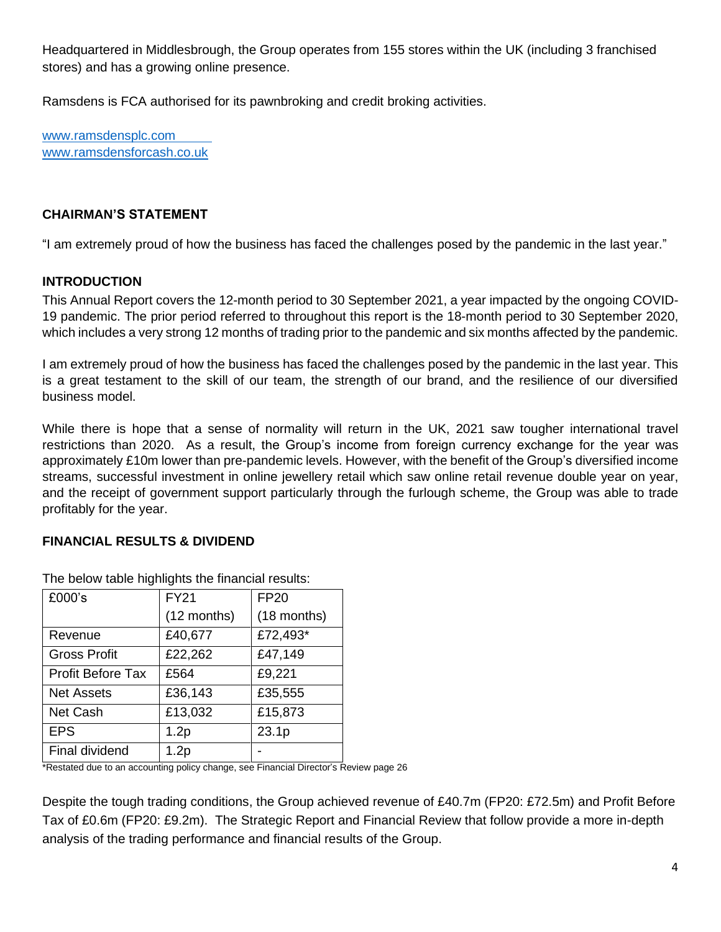Headquartered in Middlesbrough, the Group operates from 155 stores within the UK (including 3 franchised stores) and has a growing online presence.

Ramsdens is FCA authorised for its pawnbroking and credit broking activities.

[www.ramsdensplc.com](file:///C:/Users/alex/Dropbox%20(Hudson%20Sandler)/Clients/Ramsdens/Releases/Drafts/www.ramsdensplc.com) [www.ramsdensforcash.co.uk](http://www.ramsdensforcash.co.uk/)

# **CHAIRMAN'S STATEMENT**

"I am extremely proud of how the business has faced the challenges posed by the pandemic in the last year."

# **INTRODUCTION**

This Annual Report covers the 12-month period to 30 September 2021, a year impacted by the ongoing COVID-19 pandemic. The prior period referred to throughout this report is the 18-month period to 30 September 2020, which includes a very strong 12 months of trading prior to the pandemic and six months affected by the pandemic.

I am extremely proud of how the business has faced the challenges posed by the pandemic in the last year. This is a great testament to the skill of our team, the strength of our brand, and the resilience of our diversified business model.

While there is hope that a sense of normality will return in the UK, 2021 saw tougher international travel restrictions than 2020. As a result, the Group's income from foreign currency exchange for the year was approximately £10m lower than pre-pandemic levels. However, with the benefit of the Group's diversified income streams, successful investment in online jewellery retail which saw online retail revenue double year on year, and the receipt of government support particularly through the furlough scheme, the Group was able to trade profitably for the year.

# **FINANCIAL RESULTS & DIVIDEND**

| £000's                   | <b>FY21</b> | <b>FP20</b> |
|--------------------------|-------------|-------------|
|                          | (12 months) | (18 months) |
| Revenue                  | £40,677     | £72,493*    |
| <b>Gross Profit</b>      | £22,262     | £47,149     |
| <b>Profit Before Tax</b> | £564        | £9,221      |
| <b>Net Assets</b>        | £36,143     | £35,555     |
| <b>Net Cash</b>          | £13,032     | £15,873     |
| <b>EPS</b>               | 1.2p        | 23.1p       |
| Final dividend           | 1.2p        |             |

The below table highlights the financial results:

\*Restated due to an accounting policy change, see Financial Director's Review page 26

Despite the tough trading conditions, the Group achieved revenue of £40.7m (FP20: £72.5m) and Profit Before Tax of £0.6m (FP20: £9.2m). The Strategic Report and Financial Review that follow provide a more in-depth analysis of the trading performance and financial results of the Group.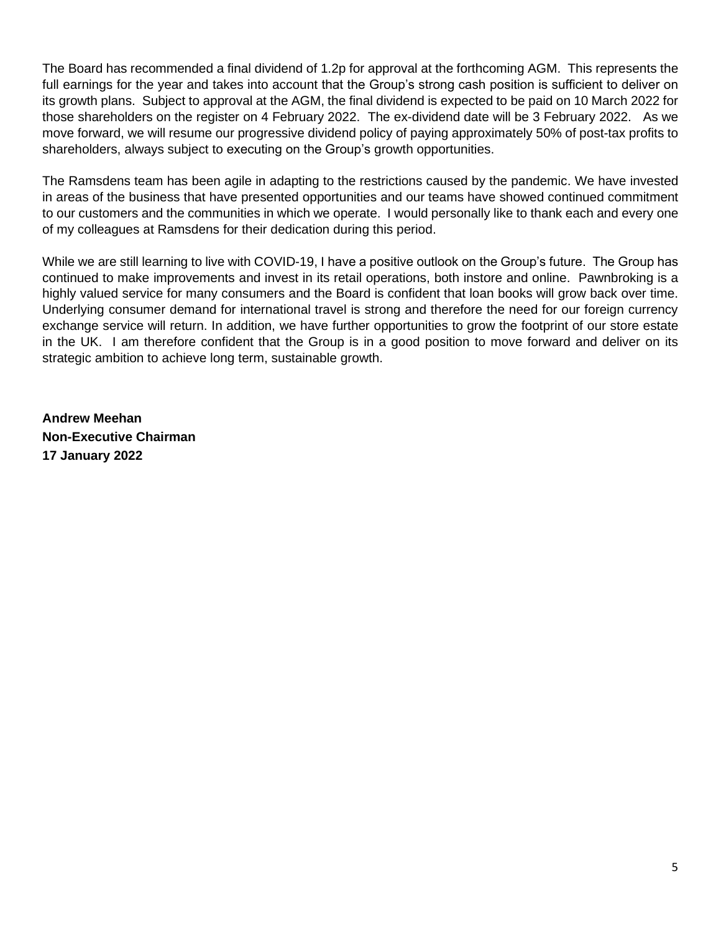The Board has recommended a final dividend of 1.2p for approval at the forthcoming AGM. This represents the full earnings for the year and takes into account that the Group's strong cash position is sufficient to deliver on its growth plans. Subject to approval at the AGM, the final dividend is expected to be paid on 10 March 2022 for those shareholders on the register on 4 February 2022. The ex-dividend date will be 3 February 2022. As we move forward, we will resume our progressive dividend policy of paying approximately 50% of post-tax profits to shareholders, always subject to executing on the Group's growth opportunities.

The Ramsdens team has been agile in adapting to the restrictions caused by the pandemic. We have invested in areas of the business that have presented opportunities and our teams have showed continued commitment to our customers and the communities in which we operate. I would personally like to thank each and every one of my colleagues at Ramsdens for their dedication during this period.

While we are still learning to live with COVID-19, I have a positive outlook on the Group's future. The Group has continued to make improvements and invest in its retail operations, both instore and online. Pawnbroking is a highly valued service for many consumers and the Board is confident that loan books will grow back over time. Underlying consumer demand for international travel is strong and therefore the need for our foreign currency exchange service will return. In addition, we have further opportunities to grow the footprint of our store estate in the UK. I am therefore confident that the Group is in a good position to move forward and deliver on its strategic ambition to achieve long term, sustainable growth.

**Andrew Meehan Non-Executive Chairman 17 January 2022**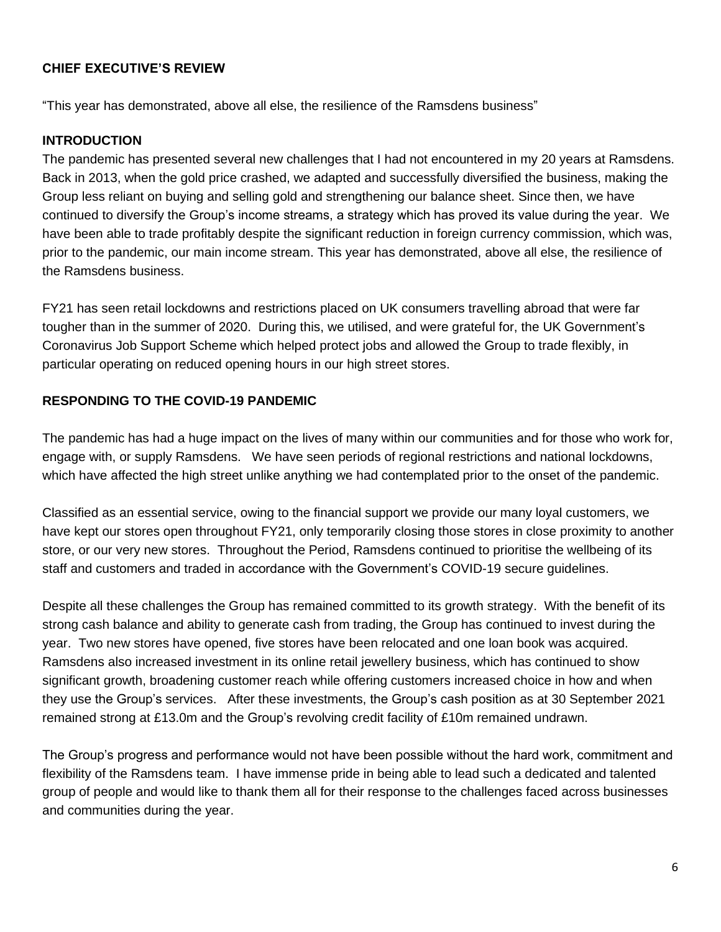## **CHIEF EXECUTIVE'S REVIEW**

"This year has demonstrated, above all else, the resilience of the Ramsdens business"

### **INTRODUCTION**

The pandemic has presented several new challenges that I had not encountered in my 20 years at Ramsdens. Back in 2013, when the gold price crashed, we adapted and successfully diversified the business, making the Group less reliant on buying and selling gold and strengthening our balance sheet. Since then, we have continued to diversify the Group's income streams, a strategy which has proved its value during the year. We have been able to trade profitably despite the significant reduction in foreign currency commission, which was, prior to the pandemic, our main income stream. This year has demonstrated, above all else, the resilience of the Ramsdens business.

FY21 has seen retail lockdowns and restrictions placed on UK consumers travelling abroad that were far tougher than in the summer of 2020. During this, we utilised, and were grateful for, the UK Government's Coronavirus Job Support Scheme which helped protect jobs and allowed the Group to trade flexibly, in particular operating on reduced opening hours in our high street stores.

## **RESPONDING TO THE COVID-19 PANDEMIC**

The pandemic has had a huge impact on the lives of many within our communities and for those who work for, engage with, or supply Ramsdens. We have seen periods of regional restrictions and national lockdowns, which have affected the high street unlike anything we had contemplated prior to the onset of the pandemic.

Classified as an essential service, owing to the financial support we provide our many loyal customers, we have kept our stores open throughout FY21, only temporarily closing those stores in close proximity to another store, or our very new stores. Throughout the Period, Ramsdens continued to prioritise the wellbeing of its staff and customers and traded in accordance with the Government's COVID-19 secure guidelines.

Despite all these challenges the Group has remained committed to its growth strategy. With the benefit of its strong cash balance and ability to generate cash from trading, the Group has continued to invest during the year. Two new stores have opened, five stores have been relocated and one loan book was acquired. Ramsdens also increased investment in its online retail jewellery business, which has continued to show significant growth, broadening customer reach while offering customers increased choice in how and when they use the Group's services. After these investments, the Group's cash position as at 30 September 2021 remained strong at £13.0m and the Group's revolving credit facility of £10m remained undrawn.

The Group's progress and performance would not have been possible without the hard work, commitment and flexibility of the Ramsdens team. I have immense pride in being able to lead such a dedicated and talented group of people and would like to thank them all for their response to the challenges faced across businesses and communities during the year.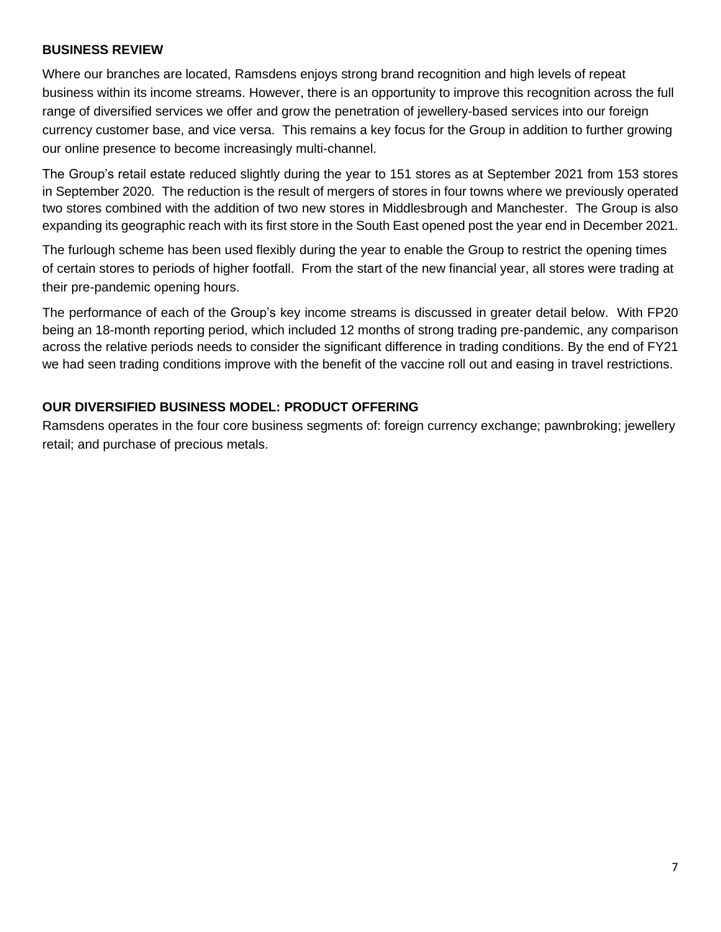### **BUSINESS REVIEW**

Where our branches are located, Ramsdens enjoys strong brand recognition and high levels of repeat business within its income streams. However, there is an opportunity to improve this recognition across the full range of diversified services we offer and grow the penetration of jewellery-based services into our foreign currency customer base, and vice versa. This remains a key focus for the Group in addition to further growing our online presence to become increasingly multi-channel.

The Group's retail estate reduced slightly during the year to 151 stores as at September 2021 from 153 stores in September 2020. The reduction is the result of mergers of stores in four towns where we previously operated two stores combined with the addition of two new stores in Middlesbrough and Manchester. The Group is also expanding its geographic reach with its first store in the South East opened post the year end in December 2021.

The furlough scheme has been used flexibly during the year to enable the Group to restrict the opening times of certain stores to periods of higher footfall. From the start of the new financial year, all stores were trading at their pre-pandemic opening hours.

The performance of each of the Group's key income streams is discussed in greater detail below. With FP20 being an 18-month reporting period, which included 12 months of strong trading pre-pandemic, any comparison across the relative periods needs to consider the significant difference in trading conditions. By the end of FY21 we had seen trading conditions improve with the benefit of the vaccine roll out and easing in travel restrictions.

# **OUR DIVERSIFIED BUSINESS MODEL: PRODUCT OFFERING**

Ramsdens operates in the four core business segments of: foreign currency exchange; pawnbroking; jewellery retail; and purchase of precious metals.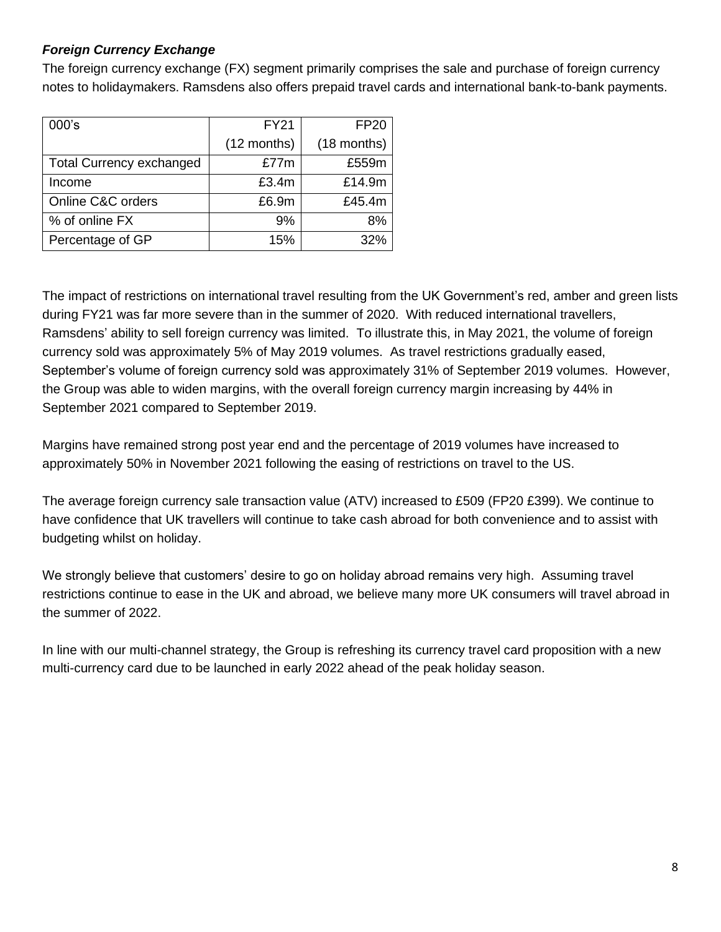# *Foreign Currency Exchange*

The foreign currency exchange (FX) segment primarily comprises the sale and purchase of foreign currency notes to holidaymakers. Ramsdens also offers prepaid travel cards and international bank-to-bank payments.

| 000's                           | <b>FY21</b> | <b>FP20</b> |
|---------------------------------|-------------|-------------|
|                                 | (12 months) | (18 months) |
| <b>Total Currency exchanged</b> | £77m        | £559m       |
| Income                          | £3.4m       | £14.9m      |
| Online C&C orders               | £6.9m       | £45.4m      |
| % of online FX                  | 9%          | 8%          |
| Percentage of GP                | 15%         | 32%         |

The impact of restrictions on international travel resulting from the UK Government's red, amber and green lists during FY21 was far more severe than in the summer of 2020. With reduced international travellers, Ramsdens' ability to sell foreign currency was limited. To illustrate this, in May 2021, the volume of foreign currency sold was approximately 5% of May 2019 volumes. As travel restrictions gradually eased, September's volume of foreign currency sold was approximately 31% of September 2019 volumes. However, the Group was able to widen margins, with the overall foreign currency margin increasing by 44% in September 2021 compared to September 2019.

Margins have remained strong post year end and the percentage of 2019 volumes have increased to approximately 50% in November 2021 following the easing of restrictions on travel to the US.

The average foreign currency sale transaction value (ATV) increased to £509 (FP20 £399). We continue to have confidence that UK travellers will continue to take cash abroad for both convenience and to assist with budgeting whilst on holiday.

We strongly believe that customers' desire to go on holiday abroad remains very high. Assuming travel restrictions continue to ease in the UK and abroad, we believe many more UK consumers will travel abroad in the summer of 2022.

In line with our multi-channel strategy, the Group is refreshing its currency travel card proposition with a new multi-currency card due to be launched in early 2022 ahead of the peak holiday season.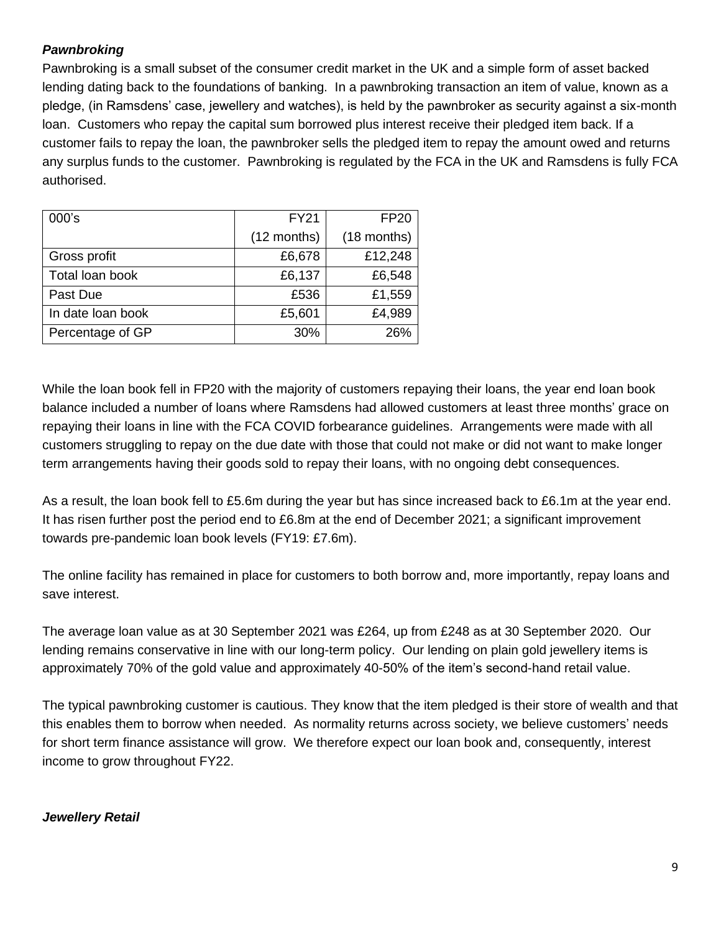# *Pawnbroking*

Pawnbroking is a small subset of the consumer credit market in the UK and a simple form of asset backed lending dating back to the foundations of banking. In a pawnbroking transaction an item of value, known as a pledge, (in Ramsdens' case, jewellery and watches), is held by the pawnbroker as security against a six-month loan. Customers who repay the capital sum borrowed plus interest receive their pledged item back. If a customer fails to repay the loan, the pawnbroker sells the pledged item to repay the amount owed and returns any surplus funds to the customer. Pawnbroking is regulated by the FCA in the UK and Ramsdens is fully FCA authorised.

| 000's             | <b>FY21</b> | <b>FP20</b> |
|-------------------|-------------|-------------|
|                   | (12 months) | (18 months) |
| Gross profit      | £6,678      | £12,248     |
| Total loan book   | £6,137      | £6,548      |
| Past Due          | £536        | £1,559      |
| In date loan book | £5,601      | £4,989      |
| Percentage of GP  | 30%         | 26%         |

While the loan book fell in FP20 with the majority of customers repaying their loans, the year end loan book balance included a number of loans where Ramsdens had allowed customers at least three months' grace on repaying their loans in line with the FCA COVID forbearance guidelines. Arrangements were made with all customers struggling to repay on the due date with those that could not make or did not want to make longer term arrangements having their goods sold to repay their loans, with no ongoing debt consequences.

As a result, the loan book fell to £5.6m during the year but has since increased back to £6.1m at the year end. It has risen further post the period end to £6.8m at the end of December 2021; a significant improvement towards pre-pandemic loan book levels (FY19: £7.6m).

The online facility has remained in place for customers to both borrow and, more importantly, repay loans and save interest.

The average loan value as at 30 September 2021 was £264, up from £248 as at 30 September 2020. Our lending remains conservative in line with our long-term policy. Our lending on plain gold jewellery items is approximately 70% of the gold value and approximately 40-50% of the item's second-hand retail value.

The typical pawnbroking customer is cautious. They know that the item pledged is their store of wealth and that this enables them to borrow when needed. As normality returns across society, we believe customers' needs for short term finance assistance will grow. We therefore expect our loan book and, consequently, interest income to grow throughout FY22.

# *Jewellery Retail*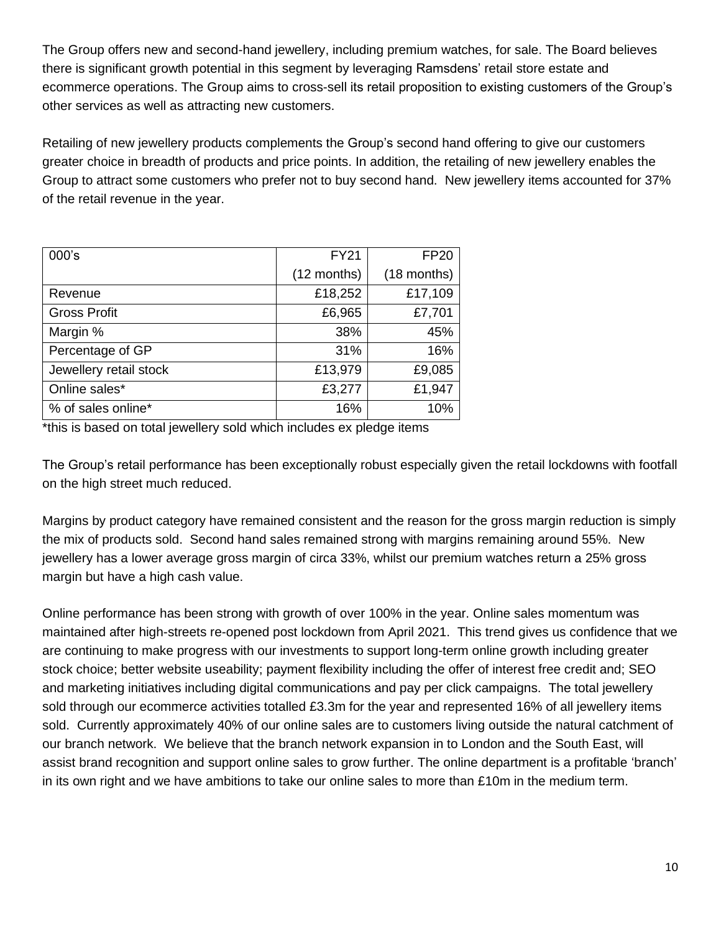The Group offers new and second-hand jewellery, including premium watches, for sale. The Board believes there is significant growth potential in this segment by leveraging Ramsdens' retail store estate and ecommerce operations. The Group aims to cross-sell its retail proposition to existing customers of the Group's other services as well as attracting new customers.

Retailing of new jewellery products complements the Group's second hand offering to give our customers greater choice in breadth of products and price points. In addition, the retailing of new jewellery enables the Group to attract some customers who prefer not to buy second hand. New jewellery items accounted for 37% of the retail revenue in the year.

| 000's                  | <b>FY21</b> | <b>FP20</b> |
|------------------------|-------------|-------------|
|                        | (12 months) | (18 months) |
| Revenue                | £18,252     | £17,109     |
| <b>Gross Profit</b>    | £6,965      | £7,701      |
| Margin %               | 38%         | 45%         |
| Percentage of GP       | 31%         | 16%         |
| Jewellery retail stock | £13,979     | £9,085      |
| Online sales*          | £3,277      | £1,947      |
| % of sales online*     | 16%         | 10%         |

\*this is based on total jewellery sold which includes ex pledge items

The Group's retail performance has been exceptionally robust especially given the retail lockdowns with footfall on the high street much reduced.

Margins by product category have remained consistent and the reason for the gross margin reduction is simply the mix of products sold. Second hand sales remained strong with margins remaining around 55%. New jewellery has a lower average gross margin of circa 33%, whilst our premium watches return a 25% gross margin but have a high cash value.

Online performance has been strong with growth of over 100% in the year. Online sales momentum was maintained after high-streets re-opened post lockdown from April 2021. This trend gives us confidence that we are continuing to make progress with our investments to support long-term online growth including greater stock choice; better website useability; payment flexibility including the offer of interest free credit and; SEO and marketing initiatives including digital communications and pay per click campaigns. The total jewellery sold through our ecommerce activities totalled £3.3m for the year and represented 16% of all jewellery items sold. Currently approximately 40% of our online sales are to customers living outside the natural catchment of our branch network. We believe that the branch network expansion in to London and the South East, will assist brand recognition and support online sales to grow further. The online department is a profitable 'branch' in its own right and we have ambitions to take our online sales to more than £10m in the medium term.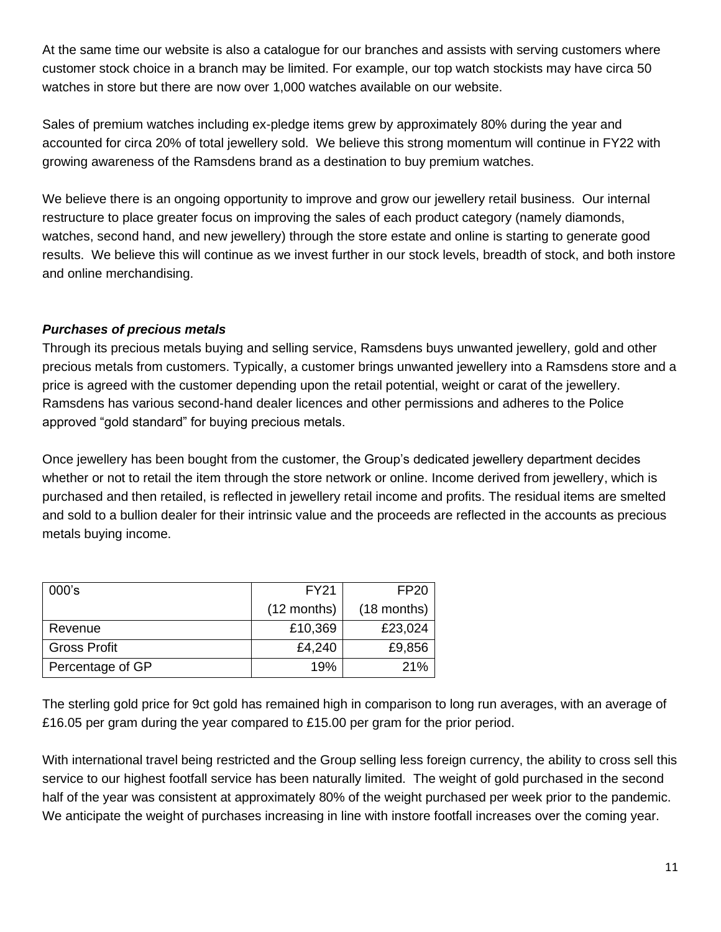At the same time our website is also a catalogue for our branches and assists with serving customers where customer stock choice in a branch may be limited. For example, our top watch stockists may have circa 50 watches in store but there are now over 1,000 watches available on our website.

Sales of premium watches including ex-pledge items grew by approximately 80% during the year and accounted for circa 20% of total jewellery sold. We believe this strong momentum will continue in FY22 with growing awareness of the Ramsdens brand as a destination to buy premium watches.

We believe there is an ongoing opportunity to improve and grow our jewellery retail business. Our internal restructure to place greater focus on improving the sales of each product category (namely diamonds, watches, second hand, and new jewellery) through the store estate and online is starting to generate good results. We believe this will continue as we invest further in our stock levels, breadth of stock, and both instore and online merchandising.

# *Purchases of precious metals*

Through its precious metals buying and selling service, Ramsdens buys unwanted jewellery, gold and other precious metals from customers. Typically, a customer brings unwanted jewellery into a Ramsdens store and a price is agreed with the customer depending upon the retail potential, weight or carat of the jewellery. Ramsdens has various second-hand dealer licences and other permissions and adheres to the Police approved "gold standard" for buying precious metals.

Once jewellery has been bought from the customer, the Group's dedicated jewellery department decides whether or not to retail the item through the store network or online. Income derived from jewellery, which is purchased and then retailed, is reflected in jewellery retail income and profits. The residual items are smelted and sold to a bullion dealer for their intrinsic value and the proceeds are reflected in the accounts as precious metals buying income.

| 000's               | <b>FY21</b>   | FP <sub>20</sub> |
|---------------------|---------------|------------------|
|                     | $(12$ months) | $(18$ months)    |
| Revenue             | £10,369       | £23,024          |
| <b>Gross Profit</b> | £4,240        | £9,856           |
| Percentage of GP    | 19%           | 21%              |

The sterling gold price for 9ct gold has remained high in comparison to long run averages, with an average of £16.05 per gram during the year compared to £15.00 per gram for the prior period.

With international travel being restricted and the Group selling less foreign currency, the ability to cross sell this service to our highest footfall service has been naturally limited. The weight of gold purchased in the second half of the year was consistent at approximately 80% of the weight purchased per week prior to the pandemic. We anticipate the weight of purchases increasing in line with instore footfall increases over the coming year.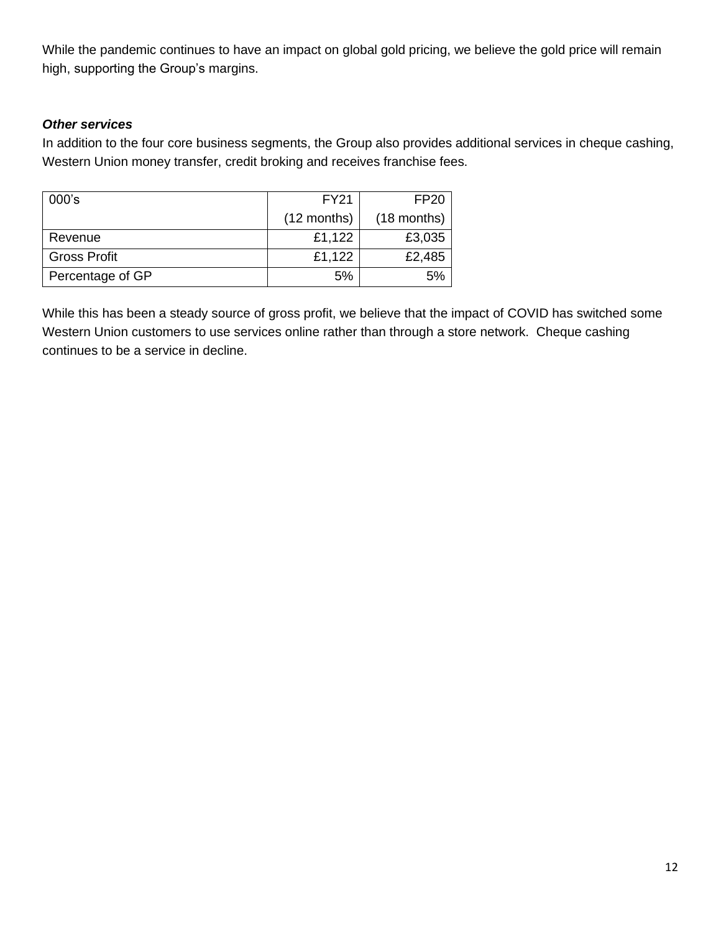While the pandemic continues to have an impact on global gold pricing, we believe the gold price will remain high, supporting the Group's margins.

# *Other services*

In addition to the four core business segments, the Group also provides additional services in cheque cashing, Western Union money transfer, credit broking and receives franchise fees.

| 000's               | <b>FY21</b>   | <b>FP20</b>   |  |
|---------------------|---------------|---------------|--|
|                     | $(12$ months) | $(18$ months) |  |
| Revenue             | £1,122        | £3,035        |  |
| <b>Gross Profit</b> | £1,122        | £2,485        |  |
| Percentage of GP    | 5%            |               |  |

While this has been a steady source of gross profit, we believe that the impact of COVID has switched some Western Union customers to use services online rather than through a store network. Cheque cashing continues to be a service in decline.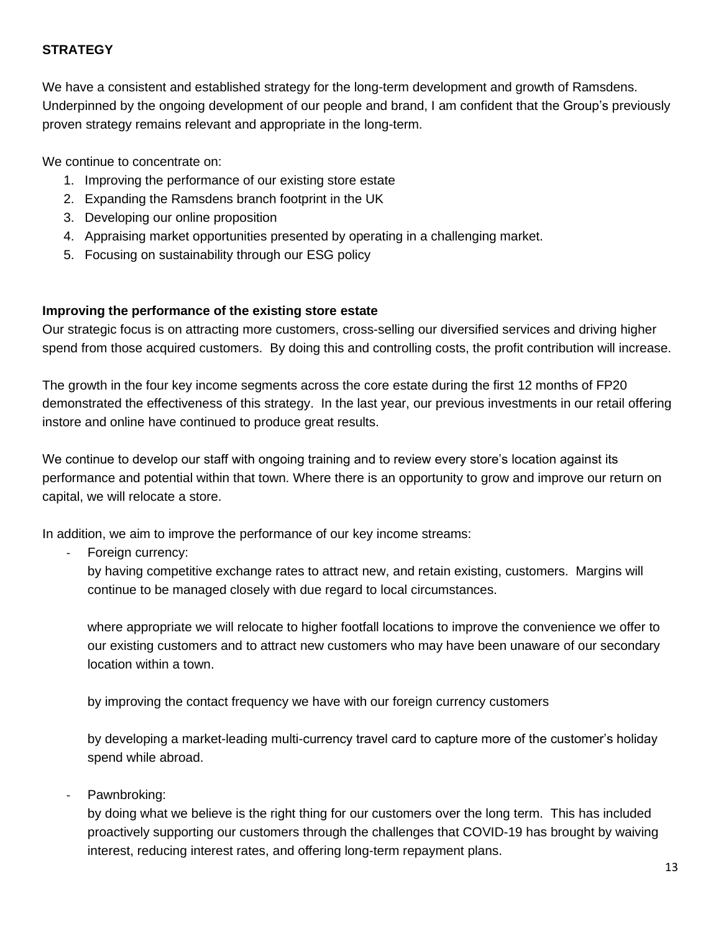# **STRATEGY**

We have a consistent and established strategy for the long-term development and growth of Ramsdens. Underpinned by the ongoing development of our people and brand, I am confident that the Group's previously proven strategy remains relevant and appropriate in the long-term.

We continue to concentrate on:

- 1. Improving the performance of our existing store estate
- 2. Expanding the Ramsdens branch footprint in the UK
- 3. Developing our online proposition
- 4. Appraising market opportunities presented by operating in a challenging market.
- 5. Focusing on sustainability through our ESG policy

### **Improving the performance of the existing store estate**

Our strategic focus is on attracting more customers, cross-selling our diversified services and driving higher spend from those acquired customers. By doing this and controlling costs, the profit contribution will increase.

The growth in the four key income segments across the core estate during the first 12 months of FP20 demonstrated the effectiveness of this strategy. In the last year, our previous investments in our retail offering instore and online have continued to produce great results.

We continue to develop our staff with ongoing training and to review every store's location against its performance and potential within that town. Where there is an opportunity to grow and improve our return on capital, we will relocate a store.

In addition, we aim to improve the performance of our key income streams:

Foreign currency:

by having competitive exchange rates to attract new, and retain existing, customers. Margins will continue to be managed closely with due regard to local circumstances.

where appropriate we will relocate to higher footfall locations to improve the convenience we offer to our existing customers and to attract new customers who may have been unaware of our secondary location within a town.

by improving the contact frequency we have with our foreign currency customers

by developing a market-leading multi-currency travel card to capture more of the customer's holiday spend while abroad.

### Pawnbroking:

by doing what we believe is the right thing for our customers over the long term. This has included proactively supporting our customers through the challenges that COVID-19 has brought by waiving interest, reducing interest rates, and offering long-term repayment plans.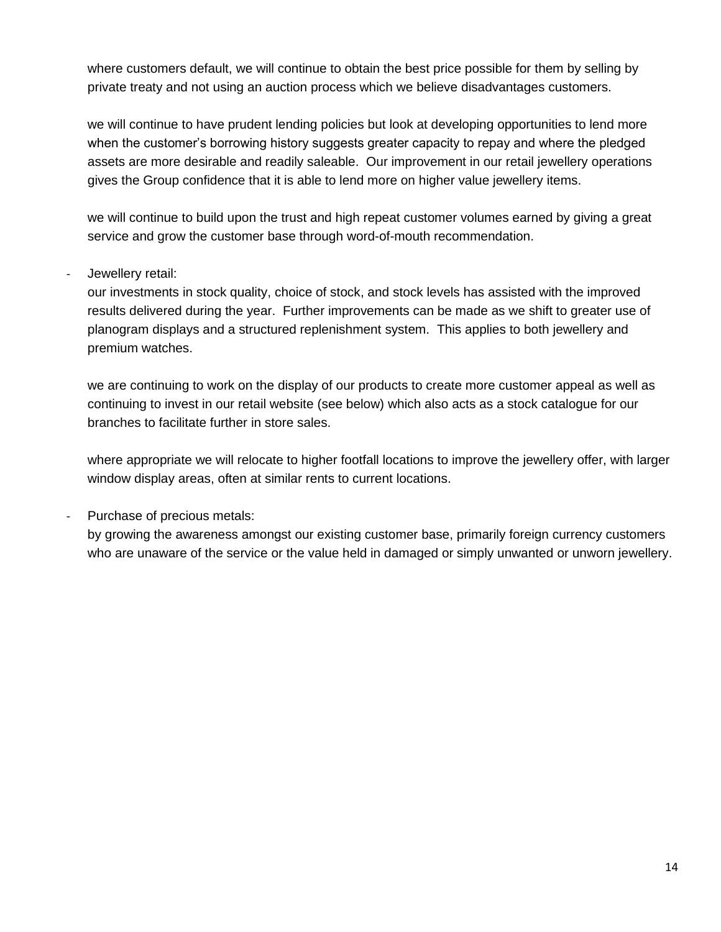where customers default, we will continue to obtain the best price possible for them by selling by private treaty and not using an auction process which we believe disadvantages customers.

we will continue to have prudent lending policies but look at developing opportunities to lend more when the customer's borrowing history suggests greater capacity to repay and where the pledged assets are more desirable and readily saleable. Our improvement in our retail jewellery operations gives the Group confidence that it is able to lend more on higher value jewellery items.

we will continue to build upon the trust and high repeat customer volumes earned by giving a great service and grow the customer base through word-of-mouth recommendation.

# Jewellery retail:

our investments in stock quality, choice of stock, and stock levels has assisted with the improved results delivered during the year. Further improvements can be made as we shift to greater use of planogram displays and a structured replenishment system. This applies to both jewellery and premium watches.

we are continuing to work on the display of our products to create more customer appeal as well as continuing to invest in our retail website (see below) which also acts as a stock catalogue for our branches to facilitate further in store sales.

where appropriate we will relocate to higher footfall locations to improve the jewellery offer, with larger window display areas, often at similar rents to current locations.

# Purchase of precious metals:

by growing the awareness amongst our existing customer base, primarily foreign currency customers who are unaware of the service or the value held in damaged or simply unwanted or unworn jewellery.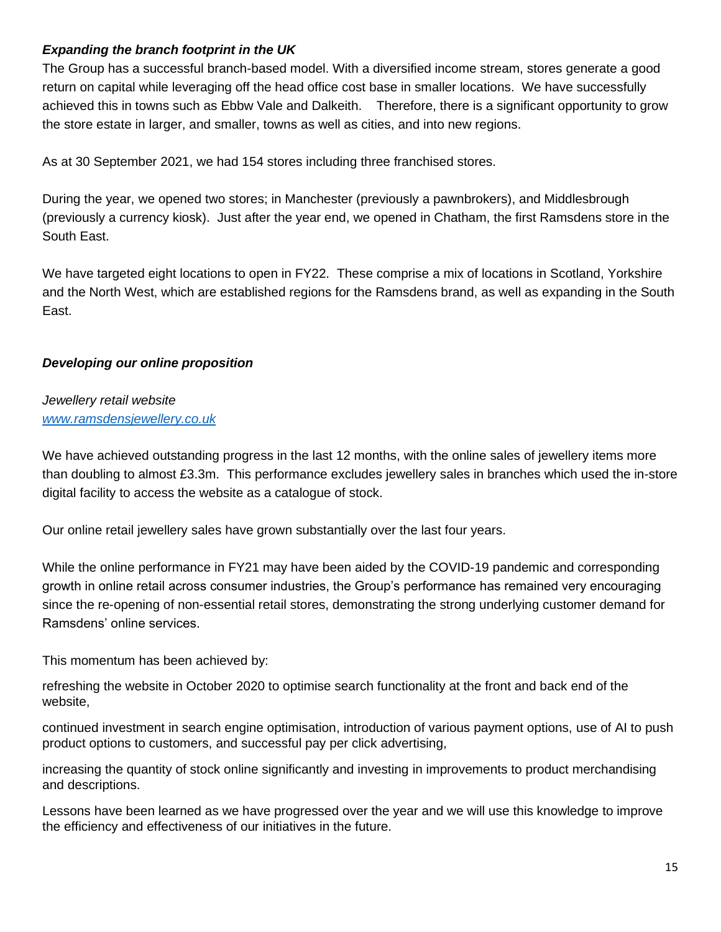## *Expanding the branch footprint in the UK*

The Group has a successful branch-based model. With a diversified income stream, stores generate a good return on capital while leveraging off the head office cost base in smaller locations. We have successfully achieved this in towns such as Ebbw Vale and Dalkeith. Therefore, there is a significant opportunity to grow the store estate in larger, and smaller, towns as well as cities, and into new regions.

As at 30 September 2021, we had 154 stores including three franchised stores.

During the year, we opened two stores; in Manchester (previously a pawnbrokers), and Middlesbrough (previously a currency kiosk). Just after the year end, we opened in Chatham, the first Ramsdens store in the South East.

We have targeted eight locations to open in FY22. These comprise a mix of locations in Scotland, Yorkshire and the North West, which are established regions for the Ramsdens brand, as well as expanding in the South East.

# *Developing our online proposition*

# *Jewellery retail website [www.ramsdensjewellery.co.uk](http://www.ramsdensjewellery.co.uk/)*

We have achieved outstanding progress in the last 12 months, with the online sales of jewellery items more than doubling to almost £3.3m. This performance excludes jewellery sales in branches which used the in-store digital facility to access the website as a catalogue of stock.

Our online retail jewellery sales have grown substantially over the last four years.

While the online performance in FY21 may have been aided by the COVID-19 pandemic and corresponding growth in online retail across consumer industries, the Group's performance has remained very encouraging since the re-opening of non-essential retail stores, demonstrating the strong underlying customer demand for Ramsdens' online services.

This momentum has been achieved by:

refreshing the website in October 2020 to optimise search functionality at the front and back end of the website,

continued investment in search engine optimisation, introduction of various payment options, use of AI to push product options to customers, and successful pay per click advertising,

increasing the quantity of stock online significantly and investing in improvements to product merchandising and descriptions.

Lessons have been learned as we have progressed over the year and we will use this knowledge to improve the efficiency and effectiveness of our initiatives in the future.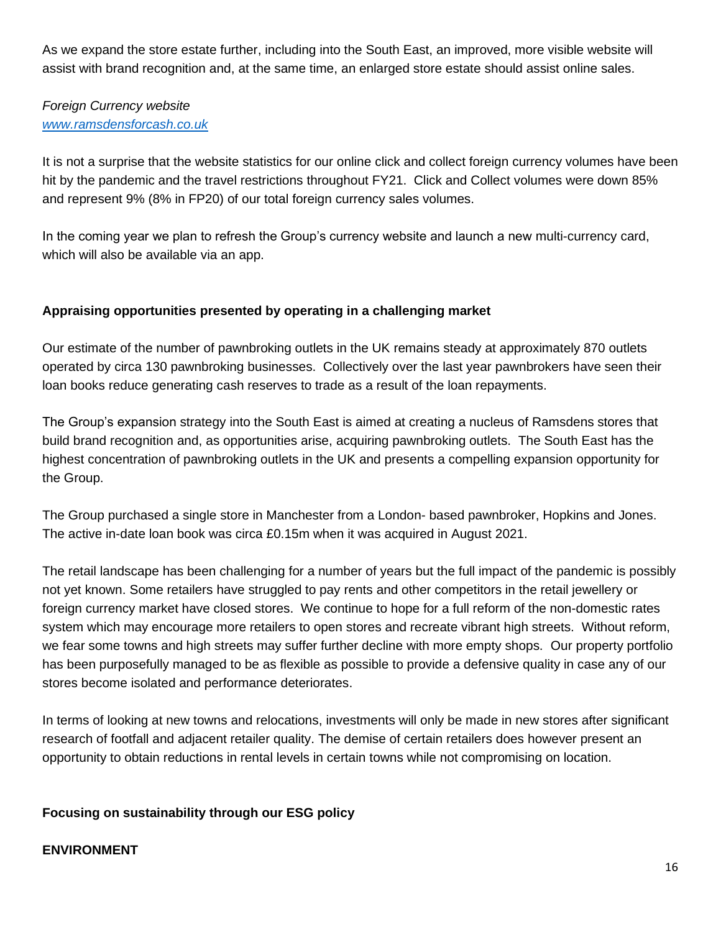As we expand the store estate further, including into the South East, an improved, more visible website will assist with brand recognition and, at the same time, an enlarged store estate should assist online sales.

# *Foreign Currency website [www.ramsdensforcash.co.uk](http://www.ramsdensforcash.co.uk/)*

It is not a surprise that the website statistics for our online click and collect foreign currency volumes have been hit by the pandemic and the travel restrictions throughout FY21. Click and Collect volumes were down 85% and represent 9% (8% in FP20) of our total foreign currency sales volumes.

In the coming year we plan to refresh the Group's currency website and launch a new multi-currency card, which will also be available via an app.

# **Appraising opportunities presented by operating in a challenging market**

Our estimate of the number of pawnbroking outlets in the UK remains steady at approximately 870 outlets operated by circa 130 pawnbroking businesses. Collectively over the last year pawnbrokers have seen their loan books reduce generating cash reserves to trade as a result of the loan repayments.

The Group's expansion strategy into the South East is aimed at creating a nucleus of Ramsdens stores that build brand recognition and, as opportunities arise, acquiring pawnbroking outlets. The South East has the highest concentration of pawnbroking outlets in the UK and presents a compelling expansion opportunity for the Group.

The Group purchased a single store in Manchester from a London- based pawnbroker, Hopkins and Jones. The active in-date loan book was circa £0.15m when it was acquired in August 2021.

The retail landscape has been challenging for a number of years but the full impact of the pandemic is possibly not yet known. Some retailers have struggled to pay rents and other competitors in the retail jewellery or foreign currency market have closed stores. We continue to hope for a full reform of the non-domestic rates system which may encourage more retailers to open stores and recreate vibrant high streets. Without reform, we fear some towns and high streets may suffer further decline with more empty shops. Our property portfolio has been purposefully managed to be as flexible as possible to provide a defensive quality in case any of our stores become isolated and performance deteriorates.

In terms of looking at new towns and relocations, investments will only be made in new stores after significant research of footfall and adjacent retailer quality. The demise of certain retailers does however present an opportunity to obtain reductions in rental levels in certain towns while not compromising on location.

# **Focusing on sustainability through our ESG policy**

# **ENVIRONMENT**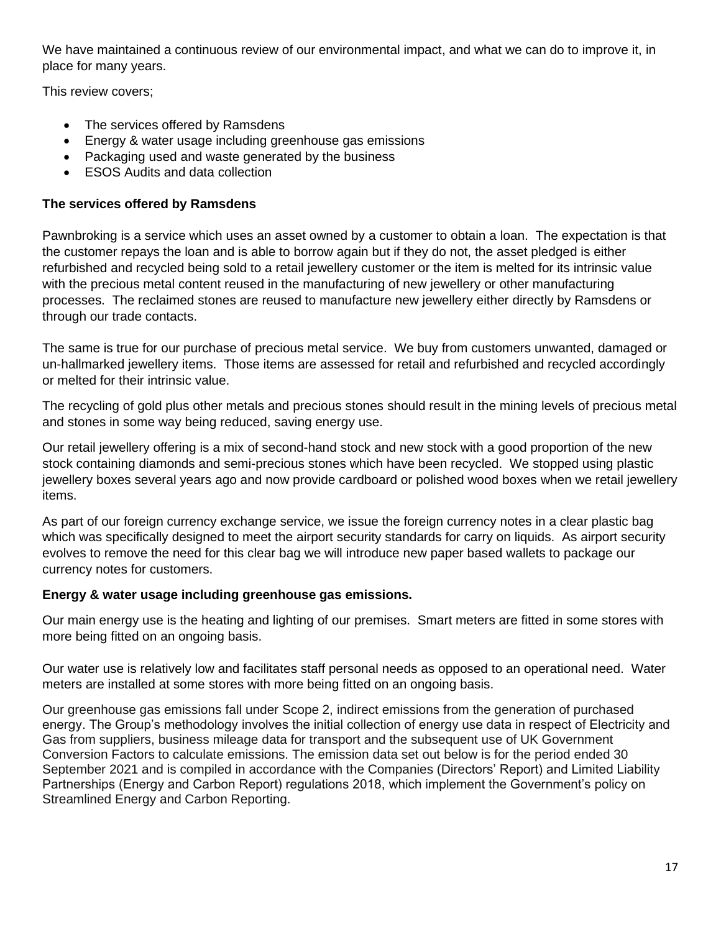We have maintained a continuous review of our environmental impact, and what we can do to improve it, in place for many years.

This review covers;

- The services offered by Ramsdens
- Energy & water usage including greenhouse gas emissions
- Packaging used and waste generated by the business
- ESOS Audits and data collection

# **The services offered by Ramsdens**

Pawnbroking is a service which uses an asset owned by a customer to obtain a loan. The expectation is that the customer repays the loan and is able to borrow again but if they do not, the asset pledged is either refurbished and recycled being sold to a retail jewellery customer or the item is melted for its intrinsic value with the precious metal content reused in the manufacturing of new jewellery or other manufacturing processes. The reclaimed stones are reused to manufacture new jewellery either directly by Ramsdens or through our trade contacts.

The same is true for our purchase of precious metal service. We buy from customers unwanted, damaged or un-hallmarked jewellery items. Those items are assessed for retail and refurbished and recycled accordingly or melted for their intrinsic value.

The recycling of gold plus other metals and precious stones should result in the mining levels of precious metal and stones in some way being reduced, saving energy use.

Our retail jewellery offering is a mix of second-hand stock and new stock with a good proportion of the new stock containing diamonds and semi-precious stones which have been recycled. We stopped using plastic jewellery boxes several years ago and now provide cardboard or polished wood boxes when we retail jewellery items.

As part of our foreign currency exchange service, we issue the foreign currency notes in a clear plastic bag which was specifically designed to meet the airport security standards for carry on liquids. As airport security evolves to remove the need for this clear bag we will introduce new paper based wallets to package our currency notes for customers.

# **Energy & water usage including greenhouse gas emissions.**

Our main energy use is the heating and lighting of our premises. Smart meters are fitted in some stores with more being fitted on an ongoing basis.

Our water use is relatively low and facilitates staff personal needs as opposed to an operational need. Water meters are installed at some stores with more being fitted on an ongoing basis.

Our greenhouse gas emissions fall under Scope 2, indirect emissions from the generation of purchased energy. The Group's methodology involves the initial collection of energy use data in respect of Electricity and Gas from suppliers, business mileage data for transport and the subsequent use of UK Government Conversion Factors to calculate emissions. The emission data set out below is for the period ended 30 September 2021 and is compiled in accordance with the Companies (Directors' Report) and Limited Liability Partnerships (Energy and Carbon Report) regulations 2018, which implement the Government's policy on Streamlined Energy and Carbon Reporting.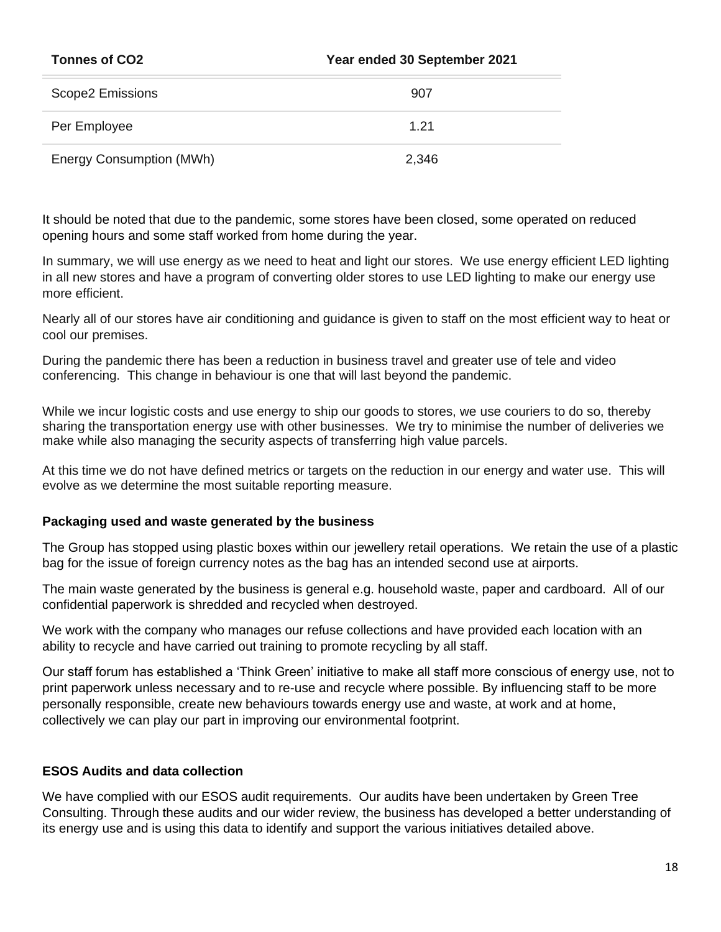| <b>Tonnes of CO2</b>            | Year ended 30 September 2021 |  |
|---------------------------------|------------------------------|--|
| Scope2 Emissions                | 907                          |  |
| Per Employee                    | 1.21                         |  |
| <b>Energy Consumption (MWh)</b> | 2,346                        |  |

It should be noted that due to the pandemic, some stores have been closed, some operated on reduced opening hours and some staff worked from home during the year.

In summary, we will use energy as we need to heat and light our stores. We use energy efficient LED lighting in all new stores and have a program of converting older stores to use LED lighting to make our energy use more efficient.

Nearly all of our stores have air conditioning and guidance is given to staff on the most efficient way to heat or cool our premises.

During the pandemic there has been a reduction in business travel and greater use of tele and video conferencing. This change in behaviour is one that will last beyond the pandemic.

While we incur logistic costs and use energy to ship our goods to stores, we use couriers to do so, thereby sharing the transportation energy use with other businesses. We try to minimise the number of deliveries we make while also managing the security aspects of transferring high value parcels.

At this time we do not have defined metrics or targets on the reduction in our energy and water use. This will evolve as we determine the most suitable reporting measure.

### **Packaging used and waste generated by the business**

The Group has stopped using plastic boxes within our jewellery retail operations. We retain the use of a plastic bag for the issue of foreign currency notes as the bag has an intended second use at airports.

The main waste generated by the business is general e.g. household waste, paper and cardboard. All of our confidential paperwork is shredded and recycled when destroyed.

We work with the company who manages our refuse collections and have provided each location with an ability to recycle and have carried out training to promote recycling by all staff.

Our staff forum has established a 'Think Green' initiative to make all staff more conscious of energy use, not to print paperwork unless necessary and to re-use and recycle where possible. By influencing staff to be more personally responsible, create new behaviours towards energy use and waste, at work and at home, collectively we can play our part in improving our environmental footprint.

### **ESOS Audits and data collection**

We have complied with our ESOS audit requirements. Our audits have been undertaken by Green Tree Consulting. Through these audits and our wider review, the business has developed a better understanding of its energy use and is using this data to identify and support the various initiatives detailed above.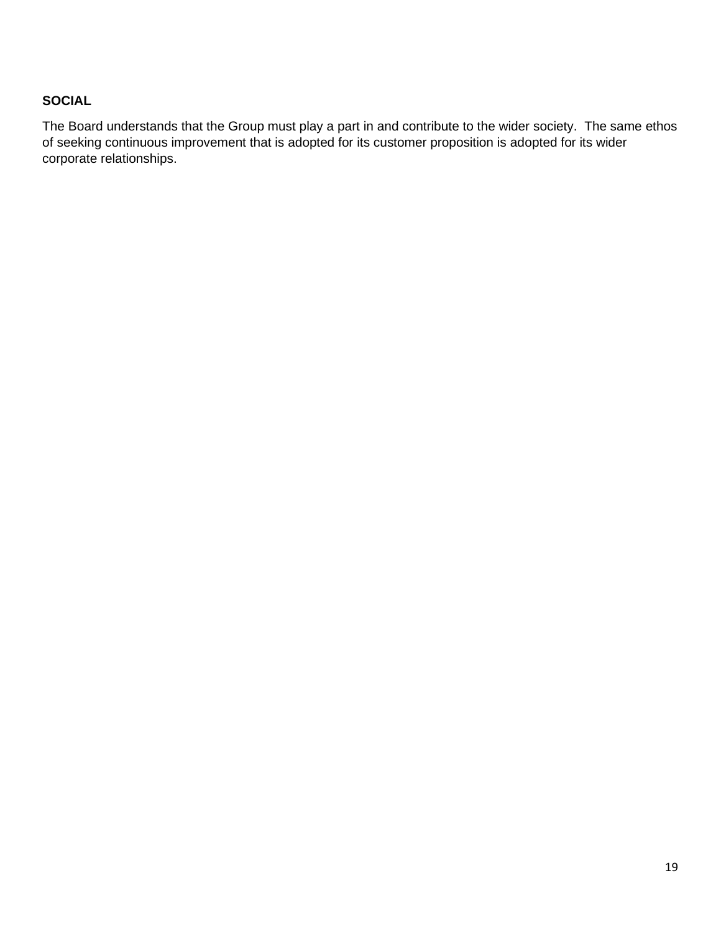# **SOCIAL**

The Board understands that the Group must play a part in and contribute to the wider society. The same ethos of seeking continuous improvement that is adopted for its customer proposition is adopted for its wider corporate relationships.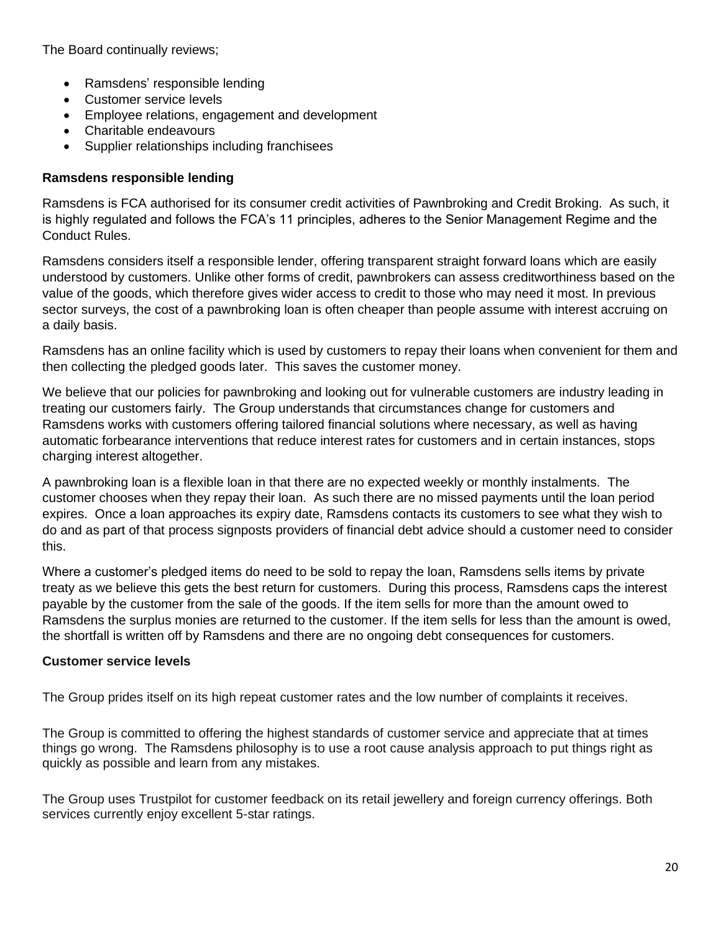The Board continually reviews;

- Ramsdens' responsible lending
- Customer service levels
- Employee relations, engagement and development
- Charitable endeavours
- Supplier relationships including franchisees

## **Ramsdens responsible lending**

Ramsdens is FCA authorised for its consumer credit activities of Pawnbroking and Credit Broking. As such, it is highly regulated and follows the FCA's 11 principles, adheres to the Senior Management Regime and the Conduct Rules.

Ramsdens considers itself a responsible lender, offering transparent straight forward loans which are easily understood by customers. Unlike other forms of credit, pawnbrokers can assess creditworthiness based on the value of the goods, which therefore gives wider access to credit to those who may need it most. In previous sector surveys, the cost of a pawnbroking loan is often cheaper than people assume with interest accruing on a daily basis.

Ramsdens has an online facility which is used by customers to repay their loans when convenient for them and then collecting the pledged goods later. This saves the customer money.

We believe that our policies for pawnbroking and looking out for vulnerable customers are industry leading in treating our customers fairly. The Group understands that circumstances change for customers and Ramsdens works with customers offering tailored financial solutions where necessary, as well as having automatic forbearance interventions that reduce interest rates for customers and in certain instances, stops charging interest altogether.

A pawnbroking loan is a flexible loan in that there are no expected weekly or monthly instalments. The customer chooses when they repay their loan. As such there are no missed payments until the loan period expires. Once a loan approaches its expiry date, Ramsdens contacts its customers to see what they wish to do and as part of that process signposts providers of financial debt advice should a customer need to consider this.

Where a customer's pledged items do need to be sold to repay the loan, Ramsdens sells items by private treaty as we believe this gets the best return for customers. During this process, Ramsdens caps the interest payable by the customer from the sale of the goods. If the item sells for more than the amount owed to Ramsdens the surplus monies are returned to the customer. If the item sells for less than the amount is owed, the shortfall is written off by Ramsdens and there are no ongoing debt consequences for customers.

### **Customer service levels**

The Group prides itself on its high repeat customer rates and the low number of complaints it receives.

The Group is committed to offering the highest standards of customer service and appreciate that at times things go wrong. The Ramsdens philosophy is to use a root cause analysis approach to put things right as quickly as possible and learn from any mistakes.

The Group uses Trustpilot for customer feedback on its retail jewellery and foreign currency offerings. Both services currently enjoy excellent 5-star ratings.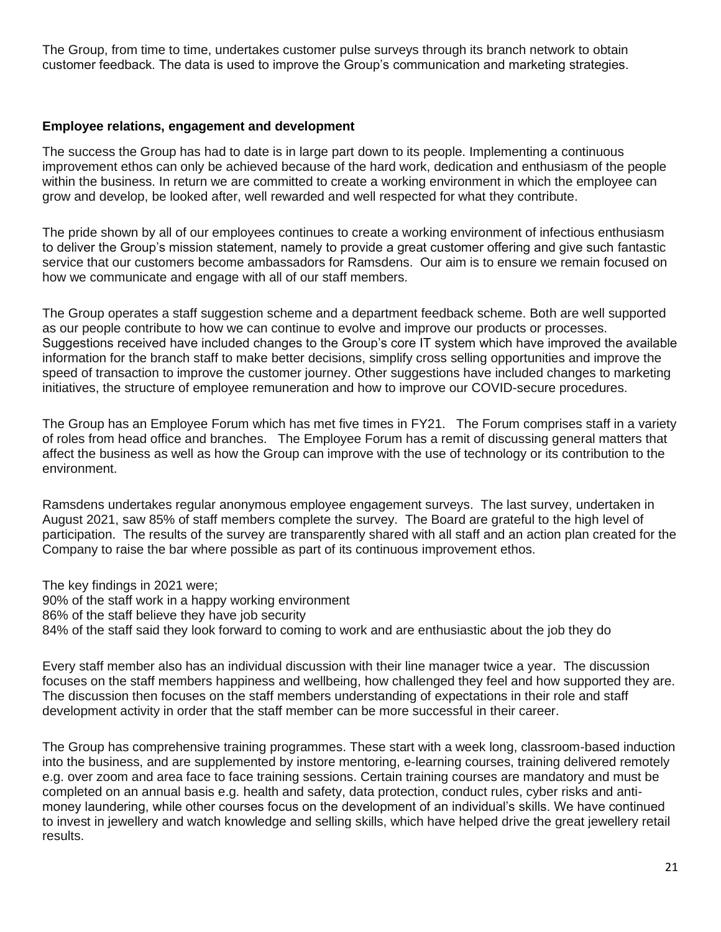The Group, from time to time, undertakes customer pulse surveys through its branch network to obtain customer feedback. The data is used to improve the Group's communication and marketing strategies.

### **Employee relations, engagement and development**

The success the Group has had to date is in large part down to its people. Implementing a continuous improvement ethos can only be achieved because of the hard work, dedication and enthusiasm of the people within the business. In return we are committed to create a working environment in which the employee can grow and develop, be looked after, well rewarded and well respected for what they contribute.

The pride shown by all of our employees continues to create a working environment of infectious enthusiasm to deliver the Group's mission statement, namely to provide a great customer offering and give such fantastic service that our customers become ambassadors for Ramsdens. Our aim is to ensure we remain focused on how we communicate and engage with all of our staff members.

The Group operates a staff suggestion scheme and a department feedback scheme. Both are well supported as our people contribute to how we can continue to evolve and improve our products or processes. Suggestions received have included changes to the Group's core IT system which have improved the available information for the branch staff to make better decisions, simplify cross selling opportunities and improve the speed of transaction to improve the customer journey. Other suggestions have included changes to marketing initiatives, the structure of employee remuneration and how to improve our COVID-secure procedures.

The Group has an Employee Forum which has met five times in FY21. The Forum comprises staff in a variety of roles from head office and branches. The Employee Forum has a remit of discussing general matters that affect the business as well as how the Group can improve with the use of technology or its contribution to the environment.

Ramsdens undertakes regular anonymous employee engagement surveys. The last survey, undertaken in August 2021, saw 85% of staff members complete the survey. The Board are grateful to the high level of participation. The results of the survey are transparently shared with all staff and an action plan created for the Company to raise the bar where possible as part of its continuous improvement ethos.

The key findings in 2021 were;

90% of the staff work in a happy working environment 86% of the staff believe they have job security 84% of the staff said they look forward to coming to work and are enthusiastic about the job they do

Every staff member also has an individual discussion with their line manager twice a year. The discussion focuses on the staff members happiness and wellbeing, how challenged they feel and how supported they are. The discussion then focuses on the staff members understanding of expectations in their role and staff development activity in order that the staff member can be more successful in their career.

The Group has comprehensive training programmes. These start with a week long, classroom-based induction into the business, and are supplemented by instore mentoring, e-learning courses, training delivered remotely e.g. over zoom and area face to face training sessions. Certain training courses are mandatory and must be completed on an annual basis e.g. health and safety, data protection, conduct rules, cyber risks and antimoney laundering, while other courses focus on the development of an individual's skills. We have continued to invest in jewellery and watch knowledge and selling skills, which have helped drive the great jewellery retail results.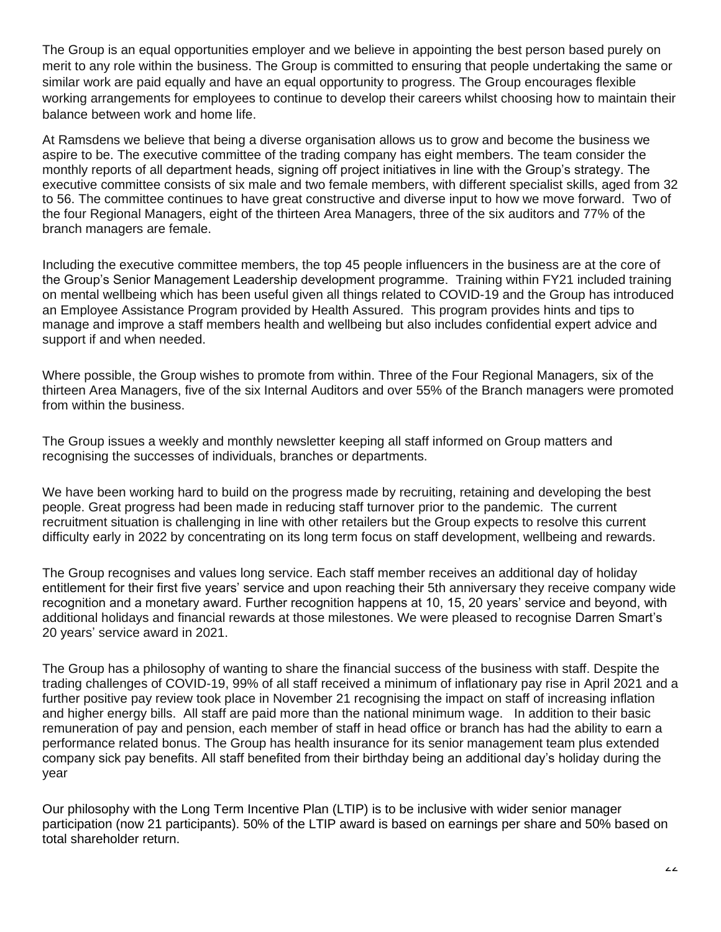The Group is an equal opportunities employer and we believe in appointing the best person based purely on merit to any role within the business. The Group is committed to ensuring that people undertaking the same or similar work are paid equally and have an equal opportunity to progress. The Group encourages flexible working arrangements for employees to continue to develop their careers whilst choosing how to maintain their balance between work and home life.

At Ramsdens we believe that being a diverse organisation allows us to grow and become the business we aspire to be. The executive committee of the trading company has eight members. The team consider the monthly reports of all department heads, signing off project initiatives in line with the Group's strategy. The executive committee consists of six male and two female members, with different specialist skills, aged from 32 to 56. The committee continues to have great constructive and diverse input to how we move forward. Two of the four Regional Managers, eight of the thirteen Area Managers, three of the six auditors and 77% of the branch managers are female.

Including the executive committee members, the top 45 people influencers in the business are at the core of the Group's Senior Management Leadership development programme. Training within FY21 included training on mental wellbeing which has been useful given all things related to COVID-19 and the Group has introduced an Employee Assistance Program provided by Health Assured. This program provides hints and tips to manage and improve a staff members health and wellbeing but also includes confidential expert advice and support if and when needed.

Where possible, the Group wishes to promote from within. Three of the Four Regional Managers, six of the thirteen Area Managers, five of the six Internal Auditors and over 55% of the Branch managers were promoted from within the business.

The Group issues a weekly and monthly newsletter keeping all staff informed on Group matters and recognising the successes of individuals, branches or departments.

We have been working hard to build on the progress made by recruiting, retaining and developing the best people. Great progress had been made in reducing staff turnover prior to the pandemic. The current recruitment situation is challenging in line with other retailers but the Group expects to resolve this current difficulty early in 2022 by concentrating on its long term focus on staff development, wellbeing and rewards.

The Group recognises and values long service. Each staff member receives an additional day of holiday entitlement for their first five years' service and upon reaching their 5th anniversary they receive company wide recognition and a monetary award. Further recognition happens at 10, 15, 20 years' service and beyond, with additional holidays and financial rewards at those milestones. We were pleased to recognise Darren Smart's 20 years' service award in 2021.

The Group has a philosophy of wanting to share the financial success of the business with staff. Despite the trading challenges of COVID-19, 99% of all staff received a minimum of inflationary pay rise in April 2021 and a further positive pay review took place in November 21 recognising the impact on staff of increasing inflation and higher energy bills. All staff are paid more than the national minimum wage. In addition to their basic remuneration of pay and pension, each member of staff in head office or branch has had the ability to earn a performance related bonus. The Group has health insurance for its senior management team plus extended company sick pay benefits. All staff benefited from their birthday being an additional day's holiday during the year

Our philosophy with the Long Term Incentive Plan (LTIP) is to be inclusive with wider senior manager participation (now 21 participants). 50% of the LTIP award is based on earnings per share and 50% based on total shareholder return.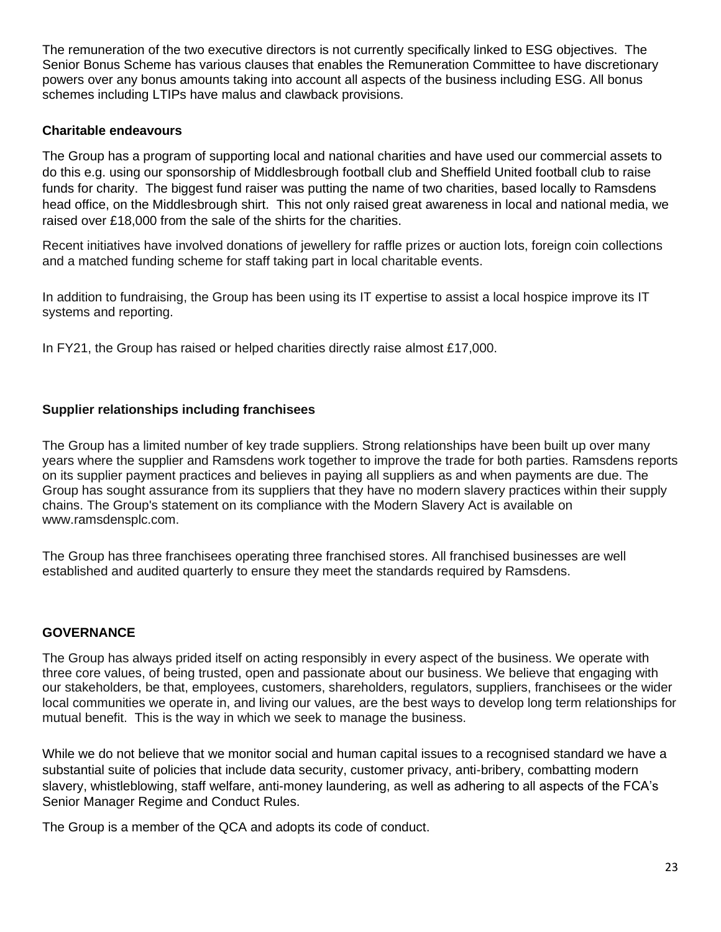The remuneration of the two executive directors is not currently specifically linked to ESG objectives. The Senior Bonus Scheme has various clauses that enables the Remuneration Committee to have discretionary powers over any bonus amounts taking into account all aspects of the business including ESG. All bonus schemes including LTIPs have malus and clawback provisions.

### **Charitable endeavours**

The Group has a program of supporting local and national charities and have used our commercial assets to do this e.g. using our sponsorship of Middlesbrough football club and Sheffield United football club to raise funds for charity. The biggest fund raiser was putting the name of two charities, based locally to Ramsdens head office, on the Middlesbrough shirt. This not only raised great awareness in local and national media, we raised over £18,000 from the sale of the shirts for the charities.

Recent initiatives have involved donations of jewellery for raffle prizes or auction lots, foreign coin collections and a matched funding scheme for staff taking part in local charitable events.

In addition to fundraising, the Group has been using its IT expertise to assist a local hospice improve its IT systems and reporting.

In FY21, the Group has raised or helped charities directly raise almost £17,000.

# **Supplier relationships including franchisees**

The Group has a limited number of key trade suppliers. Strong relationships have been built up over many years where the supplier and Ramsdens work together to improve the trade for both parties. Ramsdens reports on its supplier payment practices and believes in paying all suppliers as and when payments are due. The Group has sought assurance from its suppliers that they have no modern slavery practices within their supply chains. The Group's statement on its compliance with the Modern Slavery Act is available on www.ramsdensplc.com.

The Group has three franchisees operating three franchised stores. All franchised businesses are well established and audited quarterly to ensure they meet the standards required by Ramsdens.

### **GOVERNANCE**

The Group has always prided itself on acting responsibly in every aspect of the business. We operate with three core values, of being trusted, open and passionate about our business. We believe that engaging with our stakeholders, be that, employees, customers, shareholders, regulators, suppliers, franchisees or the wider local communities we operate in, and living our values, are the best ways to develop long term relationships for mutual benefit. This is the way in which we seek to manage the business.

While we do not believe that we monitor social and human capital issues to a recognised standard we have a substantial suite of policies that include data security, customer privacy, anti-bribery, combatting modern slavery, whistleblowing, staff welfare, anti-money laundering, as well as adhering to all aspects of the FCA's Senior Manager Regime and Conduct Rules.

The Group is a member of the QCA and adopts its code of conduct.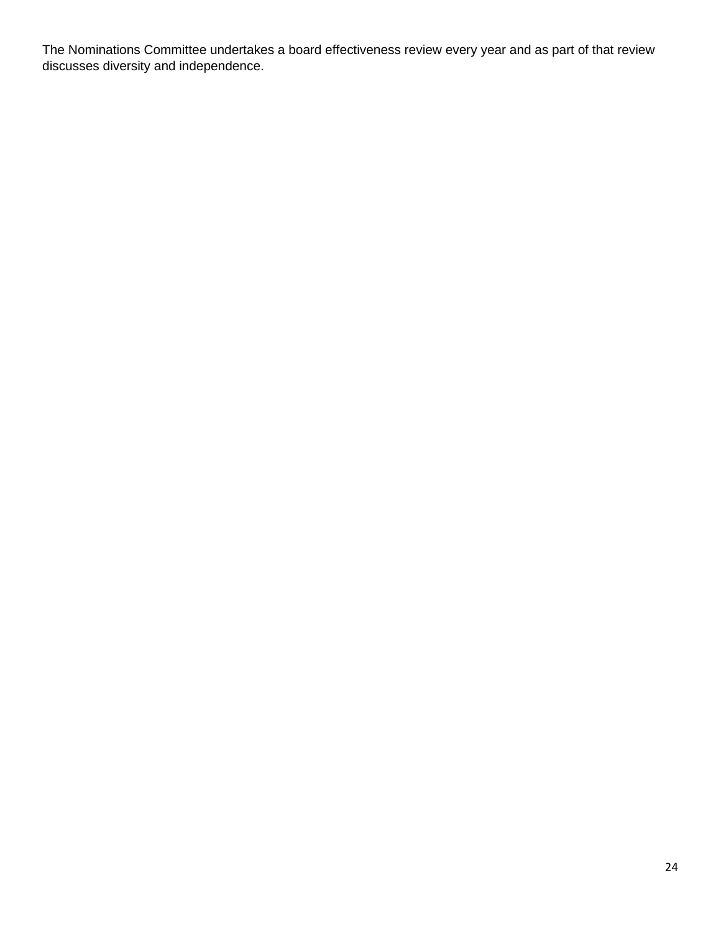The Nominations Committee undertakes a board effectiveness review every year and as part of that review discusses diversity and independence.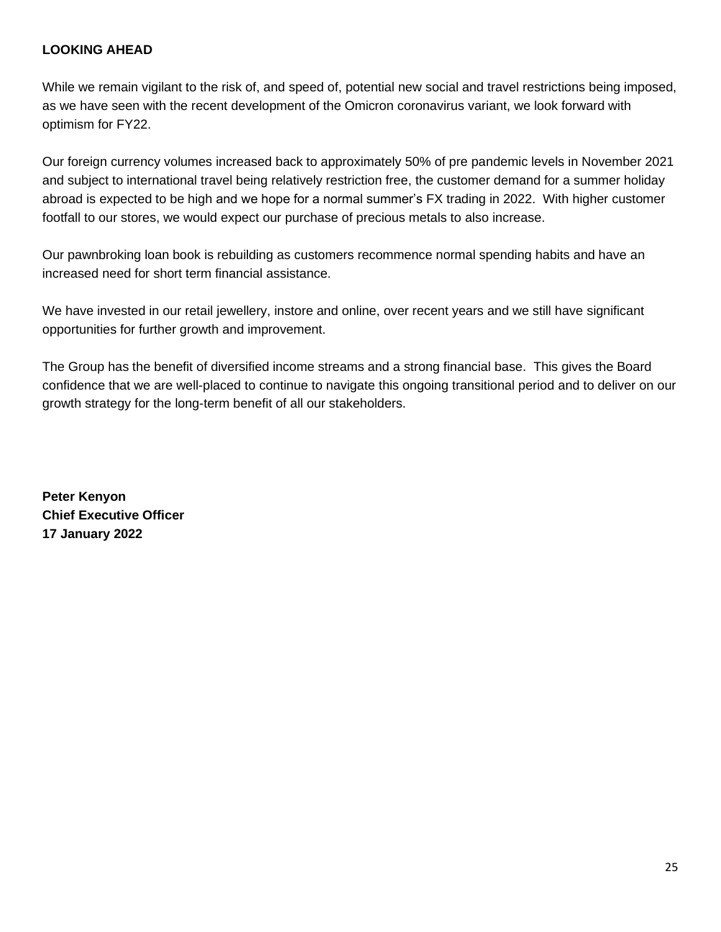# **LOOKING AHEAD**

While we remain vigilant to the risk of, and speed of, potential new social and travel restrictions being imposed, as we have seen with the recent development of the Omicron coronavirus variant, we look forward with optimism for FY22.

Our foreign currency volumes increased back to approximately 50% of pre pandemic levels in November 2021 and subject to international travel being relatively restriction free, the customer demand for a summer holiday abroad is expected to be high and we hope for a normal summer's FX trading in 2022. With higher customer footfall to our stores, we would expect our purchase of precious metals to also increase.

Our pawnbroking loan book is rebuilding as customers recommence normal spending habits and have an increased need for short term financial assistance.

We have invested in our retail jewellery, instore and online, over recent years and we still have significant opportunities for further growth and improvement.

The Group has the benefit of diversified income streams and a strong financial base. This gives the Board confidence that we are well-placed to continue to navigate this ongoing transitional period and to deliver on our growth strategy for the long-term benefit of all our stakeholders.

**Peter Kenyon Chief Executive Officer 17 January 2022**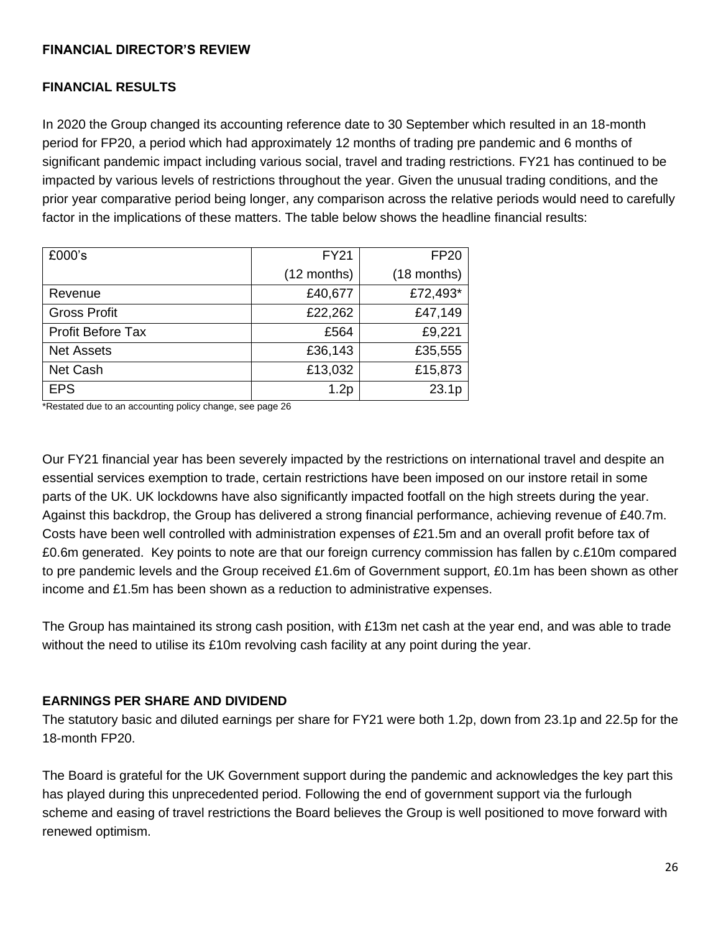## **FINANCIAL DIRECTOR'S REVIEW**

## **FINANCIAL RESULTS**

In 2020 the Group changed its accounting reference date to 30 September which resulted in an 18-month period for FP20, a period which had approximately 12 months of trading pre pandemic and 6 months of significant pandemic impact including various social, travel and trading restrictions. FY21 has continued to be impacted by various levels of restrictions throughout the year. Given the unusual trading conditions, and the prior year comparative period being longer, any comparison across the relative periods would need to carefully factor in the implications of these matters. The table below shows the headline financial results:

| £000's                   | <b>FY21</b> | <b>FP20</b> |
|--------------------------|-------------|-------------|
|                          | (12 months) | (18 months) |
| Revenue                  | £40,677     | £72,493*    |
| <b>Gross Profit</b>      | £22,262     | £47,149     |
| <b>Profit Before Tax</b> | £564        | £9,221      |
| <b>Net Assets</b>        | £36,143     | £35,555     |
| <b>Net Cash</b>          | £13,032     | £15,873     |
| <b>EPS</b>               | 1.2p        | 23.1p       |

\*Restated due to an accounting policy change, see page 26

Our FY21 financial year has been severely impacted by the restrictions on international travel and despite an essential services exemption to trade, certain restrictions have been imposed on our instore retail in some parts of the UK. UK lockdowns have also significantly impacted footfall on the high streets during the year. Against this backdrop, the Group has delivered a strong financial performance, achieving revenue of £40.7m. Costs have been well controlled with administration expenses of £21.5m and an overall profit before tax of £0.6m generated. Key points to note are that our foreign currency commission has fallen by c.£10m compared to pre pandemic levels and the Group received £1.6m of Government support, £0.1m has been shown as other income and £1.5m has been shown as a reduction to administrative expenses.

The Group has maintained its strong cash position, with £13m net cash at the year end, and was able to trade without the need to utilise its £10m revolving cash facility at any point during the year.

# **EARNINGS PER SHARE AND DIVIDEND**

The statutory basic and diluted earnings per share for FY21 were both 1.2p, down from 23.1p and 22.5p for the 18-month FP20.

The Board is grateful for the UK Government support during the pandemic and acknowledges the key part this has played during this unprecedented period. Following the end of government support via the furlough scheme and easing of travel restrictions the Board believes the Group is well positioned to move forward with renewed optimism.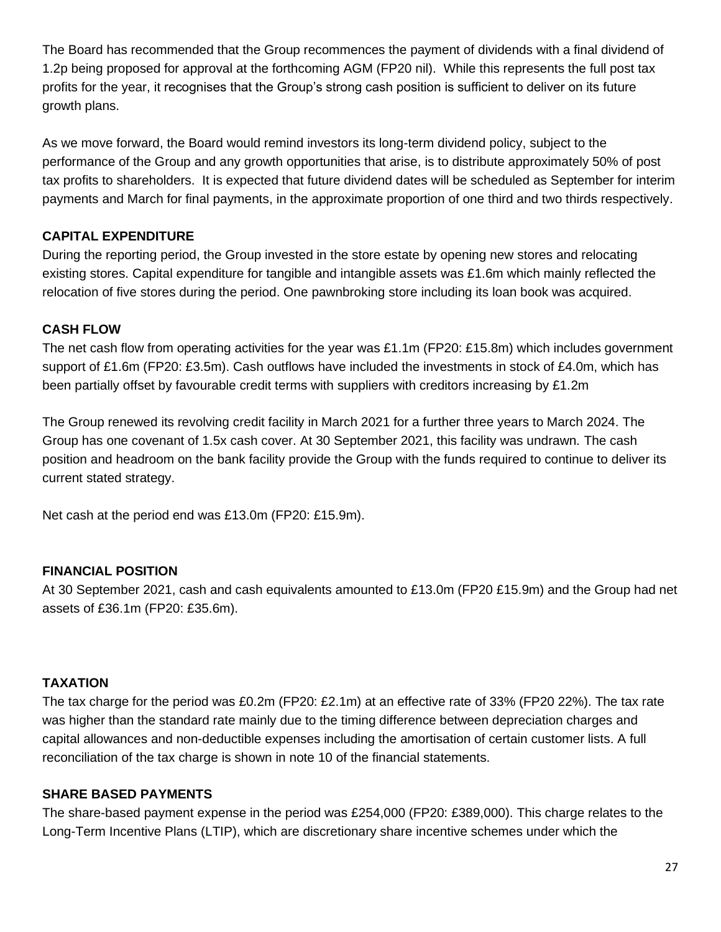The Board has recommended that the Group recommences the payment of dividends with a final dividend of 1.2p being proposed for approval at the forthcoming AGM (FP20 nil). While this represents the full post tax profits for the year, it recognises that the Group's strong cash position is sufficient to deliver on its future growth plans.

As we move forward, the Board would remind investors its long-term dividend policy, subject to the performance of the Group and any growth opportunities that arise, is to distribute approximately 50% of post tax profits to shareholders. It is expected that future dividend dates will be scheduled as September for interim payments and March for final payments, in the approximate proportion of one third and two thirds respectively.

# **CAPITAL EXPENDITURE**

During the reporting period, the Group invested in the store estate by opening new stores and relocating existing stores. Capital expenditure for tangible and intangible assets was £1.6m which mainly reflected the relocation of five stores during the period. One pawnbroking store including its loan book was acquired.

# **CASH FLOW**

The net cash flow from operating activities for the year was £1.1m (FP20: £15.8m) which includes government support of £1.6m (FP20: £3.5m). Cash outflows have included the investments in stock of £4.0m, which has been partially offset by favourable credit terms with suppliers with creditors increasing by £1.2m

The Group renewed its revolving credit facility in March 2021 for a further three years to March 2024. The Group has one covenant of 1.5x cash cover. At 30 September 2021, this facility was undrawn. The cash position and headroom on the bank facility provide the Group with the funds required to continue to deliver its current stated strategy.

Net cash at the period end was £13.0m (FP20: £15.9m).

# **FINANCIAL POSITION**

At 30 September 2021, cash and cash equivalents amounted to £13.0m (FP20 £15.9m) and the Group had net assets of £36.1m (FP20: £35.6m).

# **TAXATION**

The tax charge for the period was £0.2m (FP20: £2.1m) at an effective rate of 33% (FP20 22%). The tax rate was higher than the standard rate mainly due to the timing difference between depreciation charges and capital allowances and non-deductible expenses including the amortisation of certain customer lists. A full reconciliation of the tax charge is shown in note 10 of the financial statements.

# **SHARE BASED PAYMENTS**

The share-based payment expense in the period was £254,000 (FP20: £389,000). This charge relates to the Long-Term Incentive Plans (LTIP), which are discretionary share incentive schemes under which the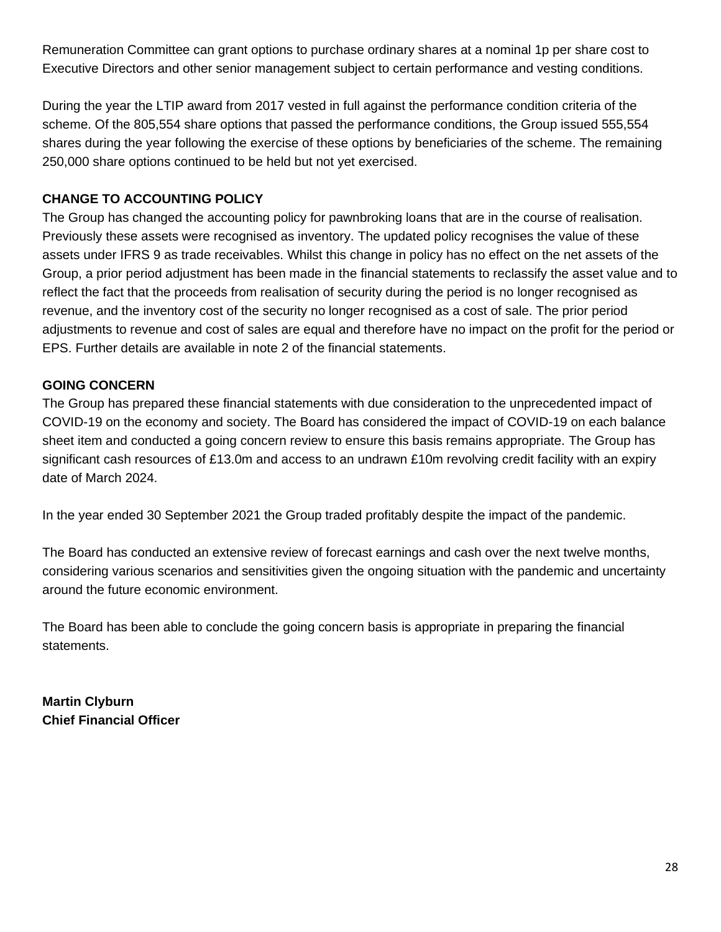Remuneration Committee can grant options to purchase ordinary shares at a nominal 1p per share cost to Executive Directors and other senior management subject to certain performance and vesting conditions.

During the year the LTIP award from 2017 vested in full against the performance condition criteria of the scheme. Of the 805,554 share options that passed the performance conditions, the Group issued 555,554 shares during the year following the exercise of these options by beneficiaries of the scheme. The remaining 250,000 share options continued to be held but not yet exercised.

# **CHANGE TO ACCOUNTING POLICY**

The Group has changed the accounting policy for pawnbroking loans that are in the course of realisation. Previously these assets were recognised as inventory. The updated policy recognises the value of these assets under IFRS 9 as trade receivables. Whilst this change in policy has no effect on the net assets of the Group, a prior period adjustment has been made in the financial statements to reclassify the asset value and to reflect the fact that the proceeds from realisation of security during the period is no longer recognised as revenue, and the inventory cost of the security no longer recognised as a cost of sale. The prior period adjustments to revenue and cost of sales are equal and therefore have no impact on the profit for the period or EPS. Further details are available in note 2 of the financial statements.

# **GOING CONCERN**

The Group has prepared these financial statements with due consideration to the unprecedented impact of COVID-19 on the economy and society. The Board has considered the impact of COVID-19 on each balance sheet item and conducted a going concern review to ensure this basis remains appropriate. The Group has significant cash resources of £13.0m and access to an undrawn £10m revolving credit facility with an expiry date of March 2024.

In the year ended 30 September 2021 the Group traded profitably despite the impact of the pandemic.

The Board has conducted an extensive review of forecast earnings and cash over the next twelve months, considering various scenarios and sensitivities given the ongoing situation with the pandemic and uncertainty around the future economic environment.

The Board has been able to conclude the going concern basis is appropriate in preparing the financial statements.

**Martin Clyburn Chief Financial Officer**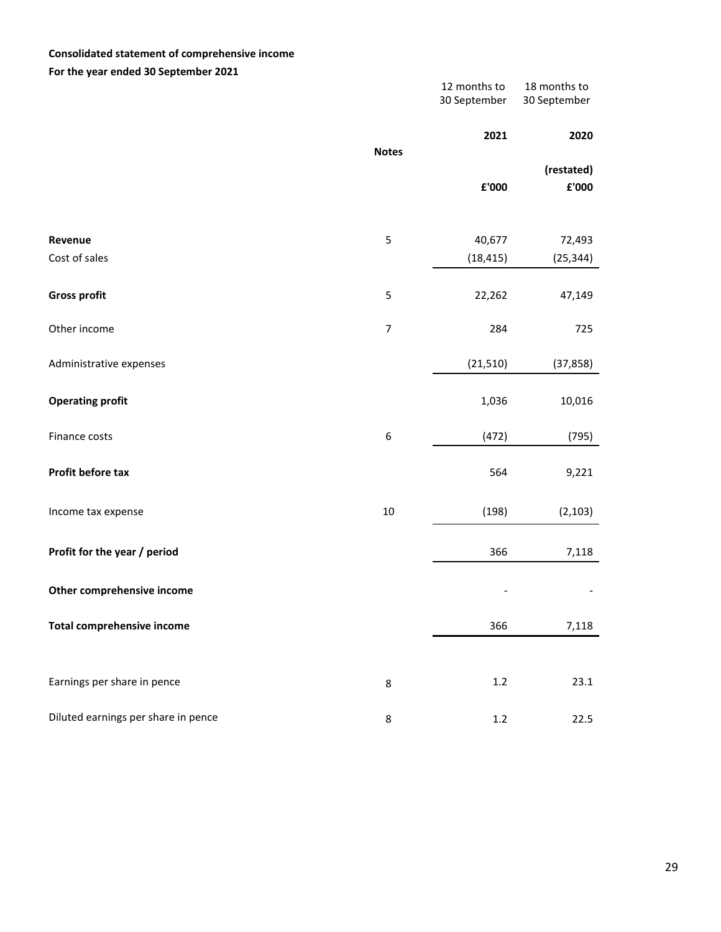### **Consolidated statement of comprehensive income**

**For the year ended 30 September 2021**

| .                                   |                  | 12 months to<br>30 September | 18 months to<br>30 September |
|-------------------------------------|------------------|------------------------------|------------------------------|
|                                     |                  | 2021                         | 2020                         |
|                                     | <b>Notes</b>     | £'000                        | (restated)<br>£'000          |
| Revenue<br>Cost of sales            | 5                | 40,677<br>(18, 415)          | 72,493<br>(25, 344)          |
| <b>Gross profit</b>                 | 5                | 22,262                       | 47,149                       |
| Other income                        | $\boldsymbol{7}$ | 284                          | 725                          |
| Administrative expenses             |                  | (21, 510)                    | (37, 858)                    |
| <b>Operating profit</b>             |                  | 1,036                        | 10,016                       |
| Finance costs                       | 6                | (472)                        | (795)                        |
| Profit before tax                   |                  | 564                          | 9,221                        |
| Income tax expense                  | $10\,$           | (198)                        | (2, 103)                     |
| Profit for the year / period        |                  | 366                          | 7,118                        |
| Other comprehensive income          |                  |                              |                              |
| <b>Total comprehensive income</b>   |                  | 366                          | 7,118                        |
|                                     |                  |                              |                              |
| Earnings per share in pence         | 8                | $1.2\,$                      | 23.1                         |
| Diluted earnings per share in pence | 8                | $1.2\,$                      | 22.5                         |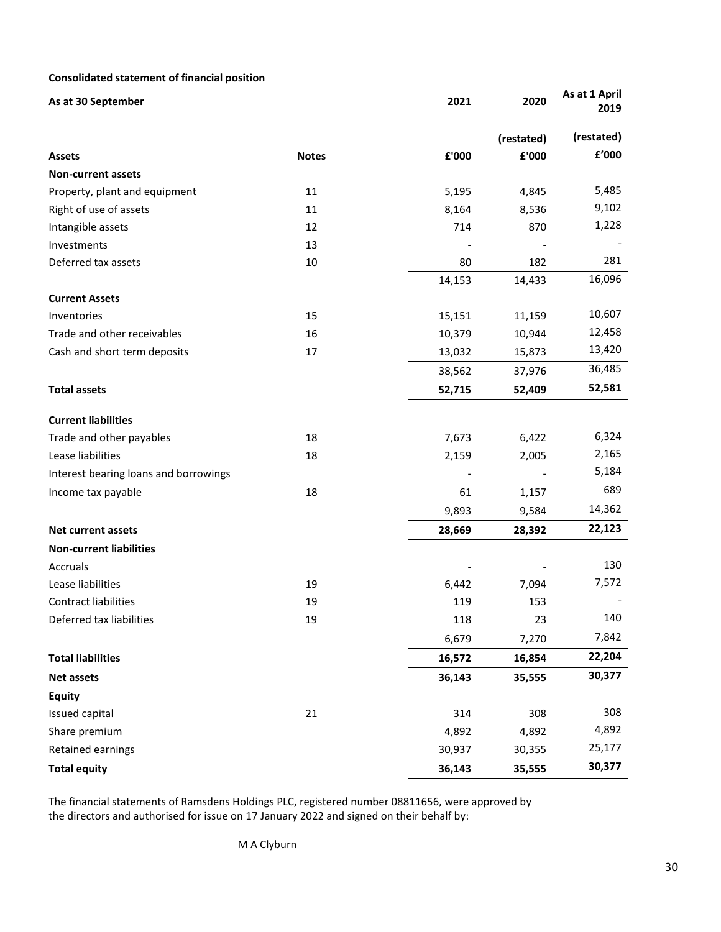### **Consolidated statement of financial position**

| As at 30 September                    |              | 2021   | 2020       | As at 1 April<br>2019 |
|---------------------------------------|--------------|--------|------------|-----------------------|
|                                       |              |        | (restated) | (restated)            |
| <b>Assets</b>                         | <b>Notes</b> | £'000  | £'000      | £'000                 |
| <b>Non-current assets</b>             |              |        |            |                       |
| Property, plant and equipment         | 11           | 5,195  | 4,845      | 5,485                 |
| Right of use of assets                | 11           | 8,164  | 8,536      | 9,102                 |
| Intangible assets                     | 12           | 714    | 870        | 1,228                 |
| Investments                           | 13           |        |            |                       |
| Deferred tax assets                   | 10           | 80     | 182        | 281                   |
|                                       |              | 14,153 | 14,433     | 16,096                |
| <b>Current Assets</b>                 |              |        |            |                       |
| Inventories                           | 15           | 15,151 | 11,159     | 10,607                |
| Trade and other receivables           | 16           | 10,379 | 10,944     | 12,458                |
| Cash and short term deposits          | 17           | 13,032 | 15,873     | 13,420                |
|                                       |              | 38,562 | 37,976     | 36,485                |
| <b>Total assets</b>                   |              | 52,715 | 52,409     | 52,581                |
| <b>Current liabilities</b>            |              |        |            |                       |
| Trade and other payables              | 18           | 7,673  | 6,422      | 6,324                 |
| Lease liabilities                     | 18           | 2,159  | 2,005      | 2,165                 |
| Interest bearing loans and borrowings |              |        |            | 5,184                 |
| Income tax payable                    | 18           | 61     | 1,157      | 689                   |
|                                       |              | 9,893  | 9,584      | 14,362                |
| Net current assets                    |              | 28,669 | 28,392     | 22,123                |
| <b>Non-current liabilities</b>        |              |        |            |                       |
| Accruals                              |              |        |            | 130                   |
| Lease liabilities                     | 19           | 6,442  | 7,094      | 7,572                 |
| <b>Contract liabilities</b>           | 19           | 119    | 153        |                       |
| Deferred tax liabilities              | 19           | 118    | 23         | 140                   |
|                                       |              | 6,679  | 7,270      | 7,842                 |
| <b>Total liabilities</b>              |              | 16,572 | 16,854     | 22,204                |
| <b>Net assets</b>                     |              | 36,143 | 35,555     | 30,377                |
| <b>Equity</b>                         |              |        |            |                       |
| Issued capital                        | 21           | 314    | 308        | 308                   |
| Share premium                         |              | 4,892  | 4,892      | 4,892                 |
| Retained earnings                     |              | 30,937 | 30,355     | 25,177                |
| <b>Total equity</b>                   |              | 36,143 | 35,555     | 30,377                |

The financial statements of Ramsdens Holdings PLC, registered number 08811656, were approved by the directors and authorised for issue on 17 January 2022 and signed on their behalf by: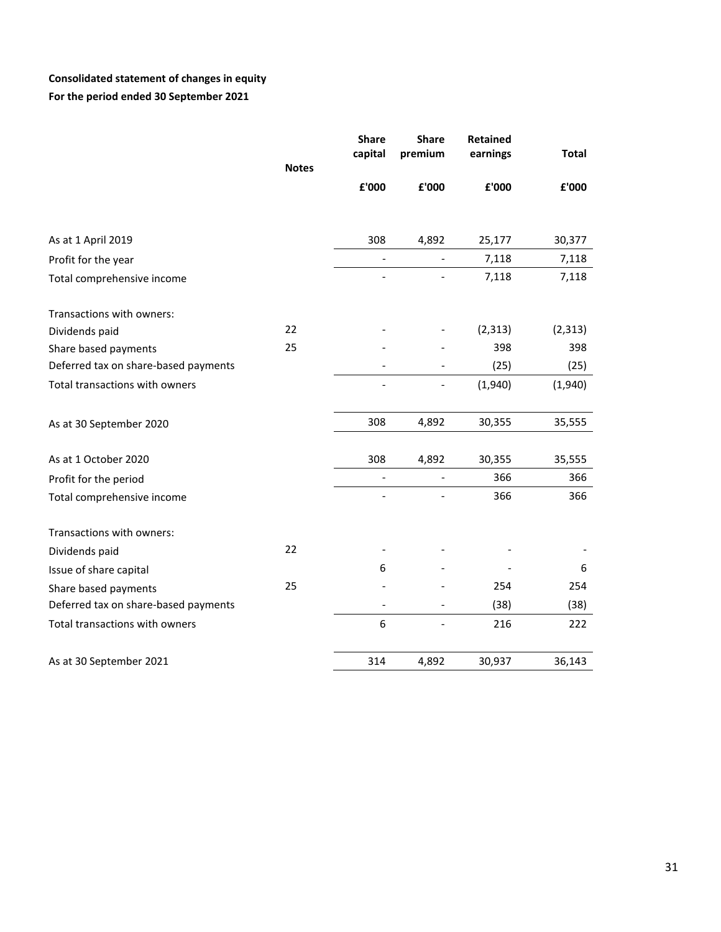# **Consolidated statement of changes in equity For the period ended 30 September 2021**

| <b>Notes</b>                         | <b>Share</b><br>capital | <b>Share</b><br>premium  | Retained<br>earnings | <b>Total</b> |
|--------------------------------------|-------------------------|--------------------------|----------------------|--------------|
|                                      | £'000                   | £'000                    | £'000                | £'000        |
| As at 1 April 2019                   | 308                     | 4,892                    | 25,177               | 30,377       |
| Profit for the year                  |                         | $\blacksquare$           | 7,118                | 7,118        |
| Total comprehensive income           |                         |                          | 7,118                | 7,118        |
| Transactions with owners:            |                         |                          |                      |              |
| 22<br>Dividends paid                 |                         |                          | (2, 313)             | (2, 313)     |
| 25<br>Share based payments           |                         |                          | 398                  | 398          |
| Deferred tax on share-based payments |                         | $\overline{\phantom{a}}$ | (25)                 | (25)         |
| Total transactions with owners       |                         | $\overline{\phantom{a}}$ | (1,940)              | (1,940)      |
| As at 30 September 2020              | 308                     | 4,892                    | 30,355               | 35,555       |
| As at 1 October 2020                 | 308                     | 4,892                    | 30,355               | 35,555       |
| Profit for the period                |                         | $\overline{\phantom{a}}$ | 366                  | 366          |
| Total comprehensive income           |                         |                          | 366                  | 366          |
| Transactions with owners:            |                         |                          |                      |              |
| 22<br>Dividends paid                 |                         |                          |                      |              |
| Issue of share capital               | 6                       |                          |                      | 6            |
| 25<br>Share based payments           |                         |                          | 254                  | 254          |
| Deferred tax on share-based payments |                         |                          | (38)                 | (38)         |
| Total transactions with owners       | 6                       |                          | 216                  | 222          |
| As at 30 September 2021              | 314                     | 4,892                    | 30,937               | 36,143       |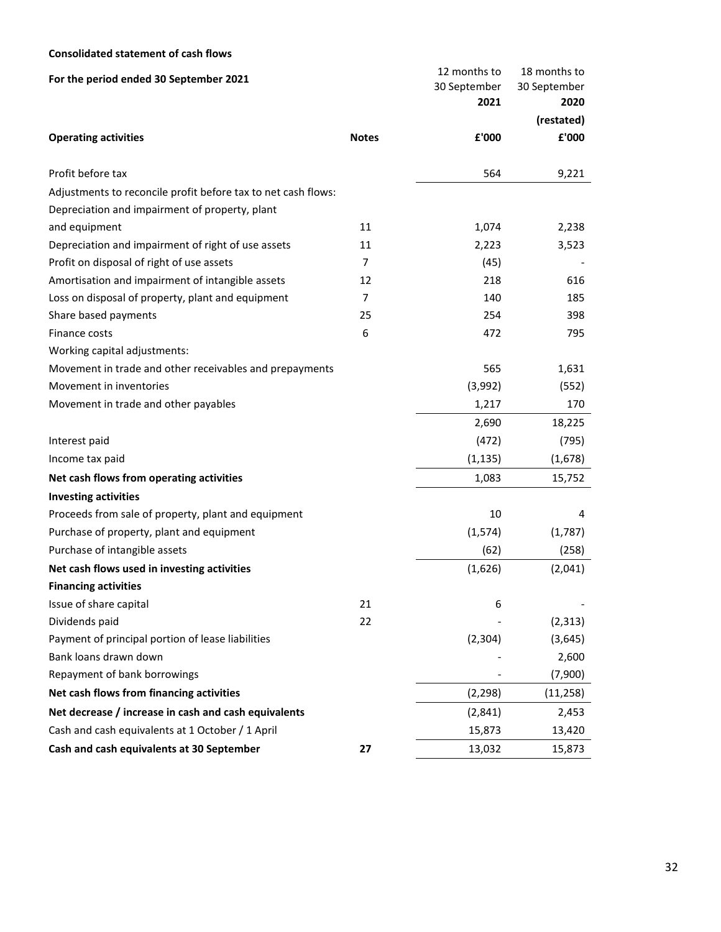### **Consolidated statement of cash flows**

| For the period ended 30 September 2021                        |                | 12 months to         | 18 months to         |
|---------------------------------------------------------------|----------------|----------------------|----------------------|
|                                                               |                | 30 September<br>2021 | 30 September<br>2020 |
|                                                               |                |                      | (restated)           |
| <b>Operating activities</b>                                   | <b>Notes</b>   | £'000                | £'000                |
| Profit before tax                                             |                | 564                  | 9,221                |
| Adjustments to reconcile profit before tax to net cash flows: |                |                      |                      |
| Depreciation and impairment of property, plant                |                |                      |                      |
| and equipment                                                 | 11             | 1,074                | 2,238                |
| Depreciation and impairment of right of use assets            | 11             | 2,223                | 3,523                |
| Profit on disposal of right of use assets                     | $\overline{7}$ | (45)                 |                      |
| Amortisation and impairment of intangible assets              | 12             | 218                  | 616                  |
| Loss on disposal of property, plant and equipment             | $\overline{7}$ | 140                  | 185                  |
| Share based payments                                          | 25             | 254                  | 398                  |
| Finance costs                                                 | 6              | 472                  | 795                  |
| Working capital adjustments:                                  |                |                      |                      |
| Movement in trade and other receivables and prepayments       |                | 565                  | 1,631                |
| Movement in inventories                                       |                | (3,992)              | (552)                |
| Movement in trade and other payables                          |                | 1,217                | 170                  |
|                                                               |                | 2,690                | 18,225               |
| Interest paid                                                 |                | (472)                | (795)                |
| Income tax paid                                               |                | (1, 135)             | (1,678)              |
| Net cash flows from operating activities                      |                | 1,083                | 15,752               |
| <b>Investing activities</b>                                   |                |                      |                      |
| Proceeds from sale of property, plant and equipment           |                | 10                   | 4                    |
| Purchase of property, plant and equipment                     |                | (1, 574)             | (1,787)              |
| Purchase of intangible assets                                 |                | (62)                 | (258)                |
| Net cash flows used in investing activities                   |                | (1,626)              | (2,041)              |
| <b>Financing activities</b>                                   |                |                      |                      |
| Issue of share capital                                        | 21             | 6                    |                      |
| Dividends paid                                                | 22             |                      | (2, 313)             |
| Payment of principal portion of lease liabilities             |                | (2, 304)             | (3,645)              |
| Bank loans drawn down                                         |                |                      | 2,600                |
| Repayment of bank borrowings                                  |                |                      | (7,900)              |
| Net cash flows from financing activities                      |                | (2, 298)             | (11, 258)            |
| Net decrease / increase in cash and cash equivalents          |                | (2,841)              | 2,453                |
| Cash and cash equivalents at 1 October / 1 April              |                | 15,873               | 13,420               |
| Cash and cash equivalents at 30 September                     | 27             | 13,032               | 15,873               |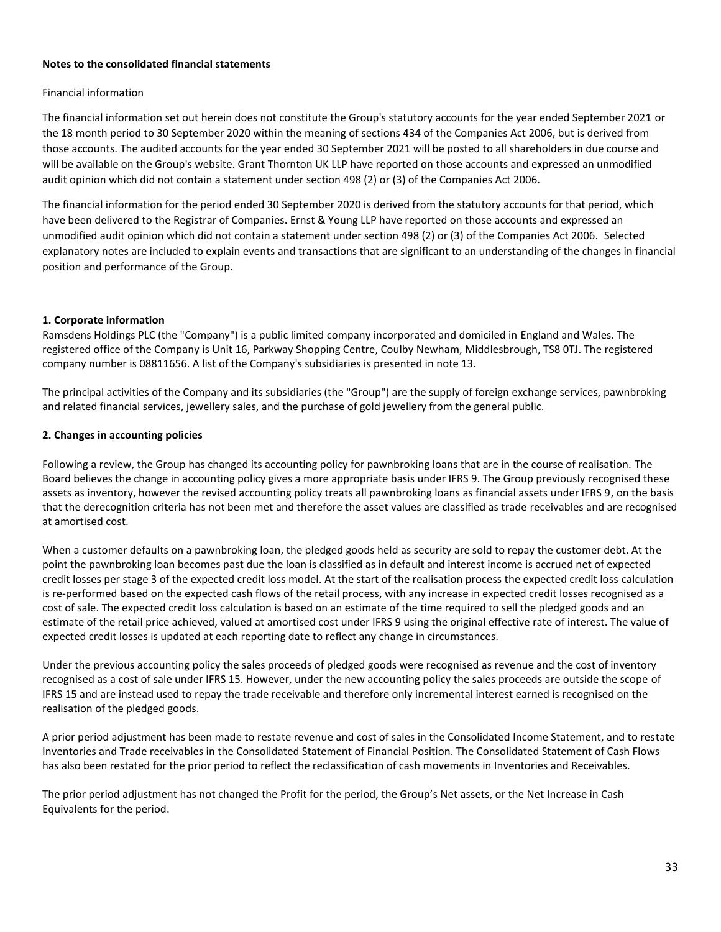#### **Notes to the consolidated financial statements**

#### Financial information

The financial information set out herein does not constitute the Group's statutory accounts for the year ended September 2021 or the 18 month period to 30 September 2020 within the meaning of sections 434 of the Companies Act 2006, but is derived from those accounts. The audited accounts for the year ended 30 September 2021 will be posted to all shareholders in due course and will be available on the Group's website. Grant Thornton UK LLP have reported on those accounts and expressed an unmodified audit opinion which did not contain a statement under section 498 (2) or (3) of the Companies Act 2006.

The financial information for the period ended 30 September 2020 is derived from the statutory accounts for that period, which have been delivered to the Registrar of Companies. Ernst & Young LLP have reported on those accounts and expressed an unmodified audit opinion which did not contain a statement under section 498 (2) or (3) of the Companies Act 2006. Selected explanatory notes are included to explain events and transactions that are significant to an understanding of the changes in financial position and performance of the Group.

#### **1. Corporate information**

Ramsdens Holdings PLC (the "Company") is a public limited company incorporated and domiciled in England and Wales. The registered office of the Company is Unit 16, Parkway Shopping Centre, Coulby Newham, Middlesbrough, TS8 0TJ. The registered company number is 08811656. A list of the Company's subsidiaries is presented in note 13.

The principal activities of the Company and its subsidiaries (the "Group") are the supply of foreign exchange services, pawnbroking and related financial services, jewellery sales, and the purchase of gold jewellery from the general public.

#### **2. Changes in accounting policies**

Following a review, the Group has changed its accounting policy for pawnbroking loans that are in the course of realisation. The Board believes the change in accounting policy gives a more appropriate basis under IFRS 9. The Group previously recognised these assets as inventory, however the revised accounting policy treats all pawnbroking loans as financial assets under IFRS 9, on the basis that the derecognition criteria has not been met and therefore the asset values are classified as trade receivables and are recognised at amortised cost.

When a customer defaults on a pawnbroking loan, the pledged goods held as security are sold to repay the customer debt. At the point the pawnbroking loan becomes past due the loan is classified as in default and interest income is accrued net of expected credit losses per stage 3 of the expected credit loss model. At the start of the realisation process the expected credit loss calculation is re-performed based on the expected cash flows of the retail process, with any increase in expected credit losses recognised as a cost of sale. The expected credit loss calculation is based on an estimate of the time required to sell the pledged goods and an estimate of the retail price achieved, valued at amortised cost under IFRS 9 using the original effective rate of interest. The value of expected credit losses is updated at each reporting date to reflect any change in circumstances.

Under the previous accounting policy the sales proceeds of pledged goods were recognised as revenue and the cost of inventory recognised as a cost of sale under IFRS 15. However, under the new accounting policy the sales proceeds are outside the scope of IFRS 15 and are instead used to repay the trade receivable and therefore only incremental interest earned is recognised on the realisation of the pledged goods.

A prior period adjustment has been made to restate revenue and cost of sales in the Consolidated Income Statement, and to restate Inventories and Trade receivables in the Consolidated Statement of Financial Position. The Consolidated Statement of Cash Flows has also been restated for the prior period to reflect the reclassification of cash movements in Inventories and Receivables.

The prior period adjustment has not changed the Profit for the period, the Group's Net assets, or the Net Increase in Cash Equivalents for the period.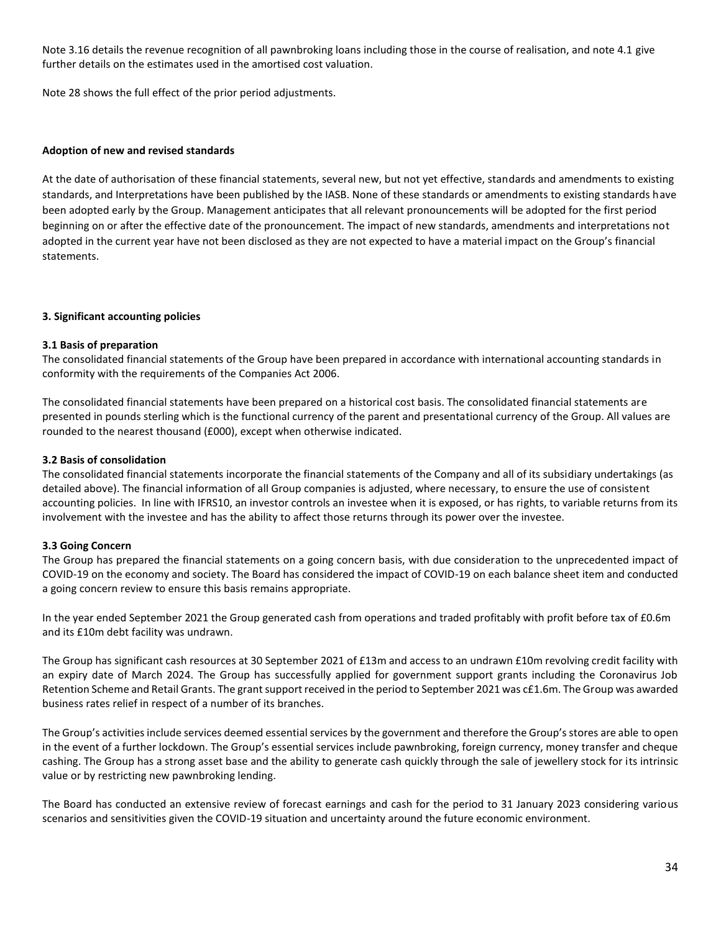Note 3.16 details the revenue recognition of all pawnbroking loans including those in the course of realisation, and note 4.1 give further details on the estimates used in the amortised cost valuation.

Note 28 shows the full effect of the prior period adjustments.

#### **Adoption of new and revised standards**

At the date of authorisation of these financial statements, several new, but not yet effective, standards and amendments to existing standards, and Interpretations have been published by the IASB. None of these standards or amendments to existing standards have been adopted early by the Group. Management anticipates that all relevant pronouncements will be adopted for the first period beginning on or after the effective date of the pronouncement. The impact of new standards, amendments and interpretations not adopted in the current year have not been disclosed as they are not expected to have a material impact on the Group's financial statements.

#### **3. Significant accounting policies**

#### **3.1 Basis of preparation**

The consolidated financial statements of the Group have been prepared in accordance with international accounting standards in conformity with the requirements of the Companies Act 2006.

The consolidated financial statements have been prepared on a historical cost basis. The consolidated financial statements are presented in pounds sterling which is the functional currency of the parent and presentational currency of the Group. All values are rounded to the nearest thousand (£000), except when otherwise indicated.

#### **3.2 Basis of consolidation**

The consolidated financial statements incorporate the financial statements of the Company and all of its subsidiary undertakings (as detailed above). The financial information of all Group companies is adjusted, where necessary, to ensure the use of consistent accounting policies. In line with IFRS10, an investor controls an investee when it is exposed, or has rights, to variable returns from its involvement with the investee and has the ability to affect those returns through its power over the investee.

#### **3.3 Going Concern**

The Group has prepared the financial statements on a going concern basis, with due consideration to the unprecedented impact of COVID-19 on the economy and society. The Board has considered the impact of COVID-19 on each balance sheet item and conducted a going concern review to ensure this basis remains appropriate.

In the year ended September 2021 the Group generated cash from operations and traded profitably with profit before tax of £0.6m and its £10m debt facility was undrawn.

The Group has significant cash resources at 30 September 2021 of £13m and access to an undrawn £10m revolving credit facility with an expiry date of March 2024. The Group has successfully applied for government support grants including the Coronavirus Job Retention Scheme and Retail Grants. The grant support received in the period to September 2021 was c£1.6m. The Group was awarded business rates relief in respect of a number of its branches.

The Group's activities include services deemed essential services by the government and therefore the Group's stores are able to open in the event of a further lockdown. The Group's essential services include pawnbroking, foreign currency, money transfer and cheque cashing. The Group has a strong asset base and the ability to generate cash quickly through the sale of jewellery stock for its intrinsic value or by restricting new pawnbroking lending.

The Board has conducted an extensive review of forecast earnings and cash for the period to 31 January 2023 considering various scenarios and sensitivities given the COVID-19 situation and uncertainty around the future economic environment.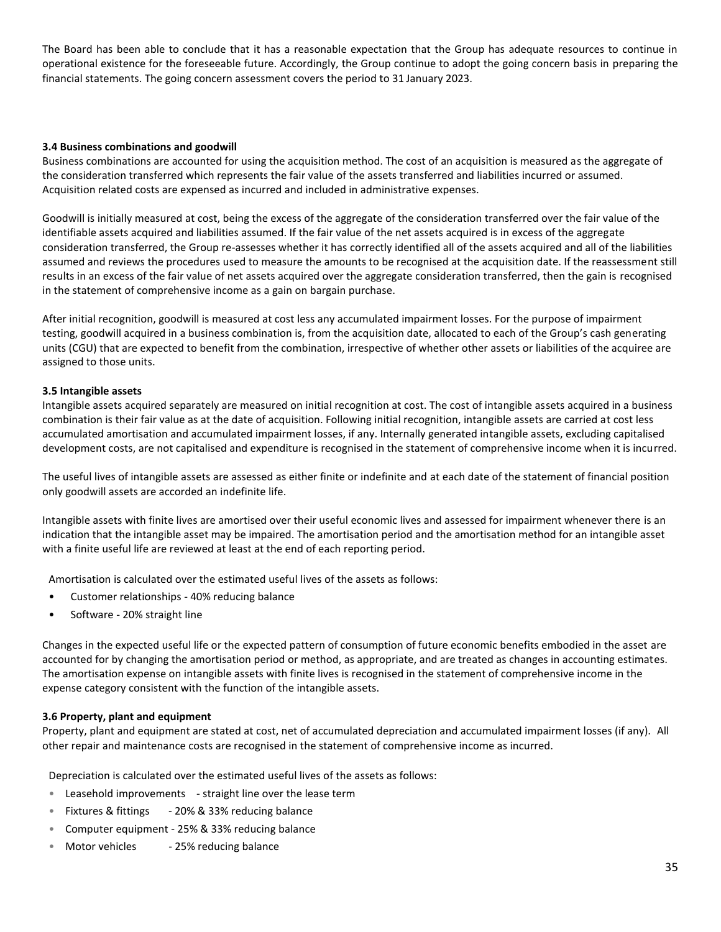The Board has been able to conclude that it has a reasonable expectation that the Group has adequate resources to continue in operational existence for the foreseeable future. Accordingly, the Group continue to adopt the going concern basis in preparing the financial statements. The going concern assessment covers the period to 31 January 2023.

#### **3.4 Business combinations and goodwill**

Business combinations are accounted for using the acquisition method. The cost of an acquisition is measured as the aggregate of the consideration transferred which represents the fair value of the assets transferred and liabilities incurred or assumed. Acquisition related costs are expensed as incurred and included in administrative expenses.

Goodwill is initially measured at cost, being the excess of the aggregate of the consideration transferred over the fair value of the identifiable assets acquired and liabilities assumed. If the fair value of the net assets acquired is in excess of the aggregate consideration transferred, the Group re-assesses whether it has correctly identified all of the assets acquired and all of the liabilities assumed and reviews the procedures used to measure the amounts to be recognised at the acquisition date. If the reassessment still results in an excess of the fair value of net assets acquired over the aggregate consideration transferred, then the gain is recognised in the statement of comprehensive income as a gain on bargain purchase.

After initial recognition, goodwill is measured at cost less any accumulated impairment losses. For the purpose of impairment testing, goodwill acquired in a business combination is, from the acquisition date, allocated to each of the Group's cash generating units (CGU) that are expected to benefit from the combination, irrespective of whether other assets or liabilities of the acquiree are assigned to those units.

#### **3.5 Intangible assets**

Intangible assets acquired separately are measured on initial recognition at cost. The cost of intangible assets acquired in a business combination is their fair value as at the date of acquisition. Following initial recognition, intangible assets are carried at cost less accumulated amortisation and accumulated impairment losses, if any. Internally generated intangible assets, excluding capitalised development costs, are not capitalised and expenditure is recognised in the statement of comprehensive income when it is incurred.

The useful lives of intangible assets are assessed as either finite or indefinite and at each date of the statement of financial position only goodwill assets are accorded an indefinite life.

Intangible assets with finite lives are amortised over their useful economic lives and assessed for impairment whenever there is an indication that the intangible asset may be impaired. The amortisation period and the amortisation method for an intangible asset with a finite useful life are reviewed at least at the end of each reporting period.

Amortisation is calculated over the estimated useful lives of the assets as follows:

- Customer relationships 40% reducing balance
- Software 20% straight line

Changes in the expected useful life or the expected pattern of consumption of future economic benefits embodied in the asset are accounted for by changing the amortisation period or method, as appropriate, and are treated as changes in accounting estimates. The amortisation expense on intangible assets with finite lives is recognised in the statement of comprehensive income in the expense category consistent with the function of the intangible assets.

#### **3.6 Property, plant and equipment**

Property, plant and equipment are stated at cost, net of accumulated depreciation and accumulated impairment losses (if any). All other repair and maintenance costs are recognised in the statement of comprehensive income as incurred.

Depreciation is calculated over the estimated useful lives of the assets as follows:

- Leasehold improvements straight line over the lease term
- Fixtures & fittings 20% & 33% reducing balance
- Computer equipment 25% & 33% reducing balance
- Motor vehicles 25% reducing balance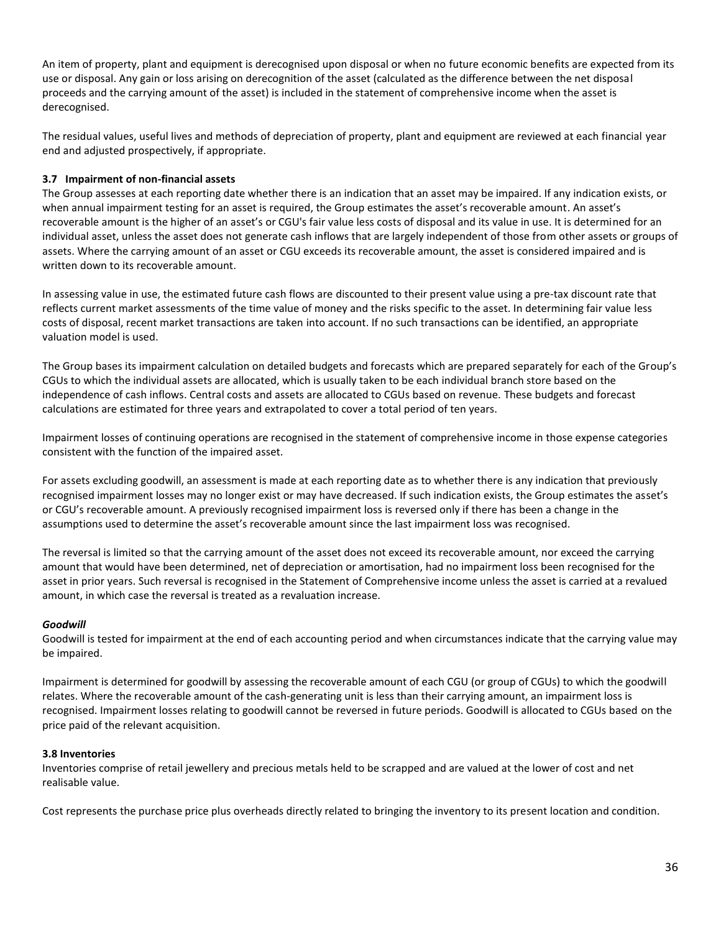An item of property, plant and equipment is derecognised upon disposal or when no future economic benefits are expected from its use or disposal. Any gain or loss arising on derecognition of the asset (calculated as the difference between the net disposal proceeds and the carrying amount of the asset) is included in the statement of comprehensive income when the asset is derecognised.

The residual values, useful lives and methods of depreciation of property, plant and equipment are reviewed at each financial year end and adjusted prospectively, if appropriate.

### **3.7 Impairment of non-financial assets**

The Group assesses at each reporting date whether there is an indication that an asset may be impaired. If any indication exists, or when annual impairment testing for an asset is required, the Group estimates the asset's recoverable amount. An asset's recoverable amount is the higher of an asset's or CGU's fair value less costs of disposal and its value in use. It is determined for an individual asset, unless the asset does not generate cash inflows that are largely independent of those from other assets or groups of assets. Where the carrying amount of an asset or CGU exceeds its recoverable amount, the asset is considered impaired and is written down to its recoverable amount.

In assessing value in use, the estimated future cash flows are discounted to their present value using a pre-tax discount rate that reflects current market assessments of the time value of money and the risks specific to the asset. In determining fair value less costs of disposal, recent market transactions are taken into account. If no such transactions can be identified, an appropriate valuation model is used.

The Group bases its impairment calculation on detailed budgets and forecasts which are prepared separately for each of the Group's CGUs to which the individual assets are allocated, which is usually taken to be each individual branch store based on the independence of cash inflows. Central costs and assets are allocated to CGUs based on revenue. These budgets and forecast calculations are estimated for three years and extrapolated to cover a total period of ten years.

Impairment losses of continuing operations are recognised in the statement of comprehensive income in those expense categories consistent with the function of the impaired asset.

For assets excluding goodwill, an assessment is made at each reporting date as to whether there is any indication that previously recognised impairment losses may no longer exist or may have decreased. If such indication exists, the Group estimates the asset's or CGU's recoverable amount. A previously recognised impairment loss is reversed only if there has been a change in the assumptions used to determine the asset's recoverable amount since the last impairment loss was recognised.

The reversal is limited so that the carrying amount of the asset does not exceed its recoverable amount, nor exceed the carrying amount that would have been determined, net of depreciation or amortisation, had no impairment loss been recognised for the asset in prior years. Such reversal is recognised in the Statement of Comprehensive income unless the asset is carried at a revalued amount, in which case the reversal is treated as a revaluation increase.

#### *Goodwill*

Goodwill is tested for impairment at the end of each accounting period and when circumstances indicate that the carrying value may be impaired.

Impairment is determined for goodwill by assessing the recoverable amount of each CGU (or group of CGUs) to which the goodwill relates. Where the recoverable amount of the cash-generating unit is less than their carrying amount, an impairment loss is recognised. Impairment losses relating to goodwill cannot be reversed in future periods. Goodwill is allocated to CGUs based on the price paid of the relevant acquisition.

#### **3.8 Inventories**

Inventories comprise of retail jewellery and precious metals held to be scrapped and are valued at the lower of cost and net realisable value.

Cost represents the purchase price plus overheads directly related to bringing the inventory to its present location and condition.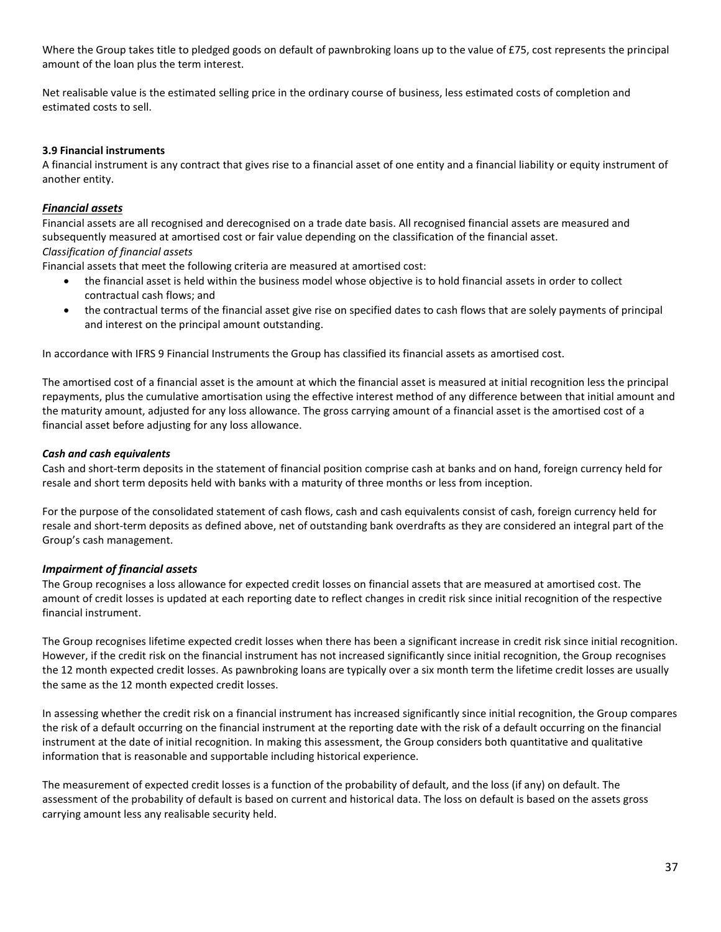Where the Group takes title to pledged goods on default of pawnbroking loans up to the value of £75, cost represents the principal amount of the loan plus the term interest.

Net realisable value is the estimated selling price in the ordinary course of business, less estimated costs of completion and estimated costs to sell.

### **3.9 Financial instruments**

A financial instrument is any contract that gives rise to a financial asset of one entity and a financial liability or equity instrument of another entity.

### *Financial assets*

Financial assets are all recognised and derecognised on a trade date basis. All recognised financial assets are measured and subsequently measured at amortised cost or fair value depending on the classification of the financial asset. *Classification of financial assets*

Financial assets that meet the following criteria are measured at amortised cost:

- the financial asset is held within the business model whose objective is to hold financial assets in order to collect contractual cash flows; and
- the contractual terms of the financial asset give rise on specified dates to cash flows that are solely payments of principal and interest on the principal amount outstanding.

In accordance with IFRS 9 Financial Instruments the Group has classified its financial assets as amortised cost.

The amortised cost of a financial asset is the amount at which the financial asset is measured at initial recognition less the principal repayments, plus the cumulative amortisation using the effective interest method of any difference between that initial amount and the maturity amount, adjusted for any loss allowance. The gross carrying amount of a financial asset is the amortised cost of a financial asset before adjusting for any loss allowance.

### *Cash and cash equivalents*

Cash and short-term deposits in the statement of financial position comprise cash at banks and on hand, foreign currency held for resale and short term deposits held with banks with a maturity of three months or less from inception.

For the purpose of the consolidated statement of cash flows, cash and cash equivalents consist of cash, foreign currency held for resale and short-term deposits as defined above, net of outstanding bank overdrafts as they are considered an integral part of the Group's cash management.

### *Impairment of financial assets*

The Group recognises a loss allowance for expected credit losses on financial assets that are measured at amortised cost. The amount of credit losses is updated at each reporting date to reflect changes in credit risk since initial recognition of the respective financial instrument.

The Group recognises lifetime expected credit losses when there has been a significant increase in credit risk since initial recognition. However, if the credit risk on the financial instrument has not increased significantly since initial recognition, the Group recognises the 12 month expected credit losses. As pawnbroking loans are typically over a six month term the lifetime credit losses are usually the same as the 12 month expected credit losses.

In assessing whether the credit risk on a financial instrument has increased significantly since initial recognition, the Group compares the risk of a default occurring on the financial instrument at the reporting date with the risk of a default occurring on the financial instrument at the date of initial recognition. In making this assessment, the Group considers both quantitative and qualitative information that is reasonable and supportable including historical experience.

The measurement of expected credit losses is a function of the probability of default, and the loss (if any) on default. The assessment of the probability of default is based on current and historical data. The loss on default is based on the assets gross carrying amount less any realisable security held.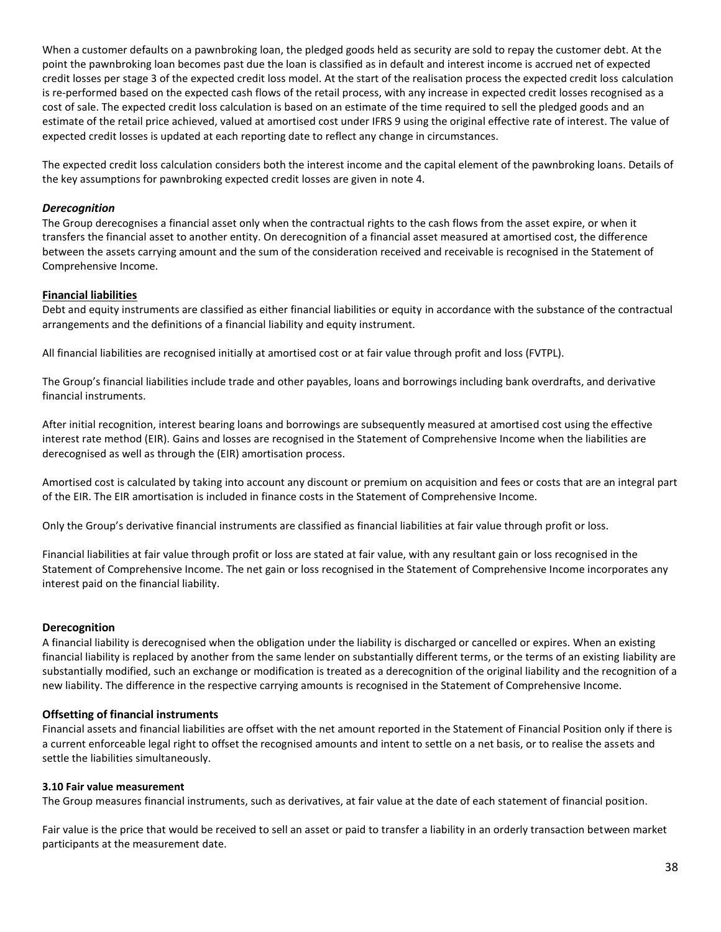When a customer defaults on a pawnbroking loan, the pledged goods held as security are sold to repay the customer debt. At the point the pawnbroking loan becomes past due the loan is classified as in default and interest income is accrued net of expected credit losses per stage 3 of the expected credit loss model. At the start of the realisation process the expected credit loss calculation is re-performed based on the expected cash flows of the retail process, with any increase in expected credit losses recognised as a cost of sale. The expected credit loss calculation is based on an estimate of the time required to sell the pledged goods and an estimate of the retail price achieved, valued at amortised cost under IFRS 9 using the original effective rate of interest. The value of expected credit losses is updated at each reporting date to reflect any change in circumstances.

The expected credit loss calculation considers both the interest income and the capital element of the pawnbroking loans. Details of the key assumptions for pawnbroking expected credit losses are given in note 4.

#### *Derecognition*

The Group derecognises a financial asset only when the contractual rights to the cash flows from the asset expire, or when it transfers the financial asset to another entity. On derecognition of a financial asset measured at amortised cost, the difference between the assets carrying amount and the sum of the consideration received and receivable is recognised in the Statement of Comprehensive Income.

#### **Financial liabilities**

Debt and equity instruments are classified as either financial liabilities or equity in accordance with the substance of the contractual arrangements and the definitions of a financial liability and equity instrument.

All financial liabilities are recognised initially at amortised cost or at fair value through profit and loss (FVTPL).

The Group's financial liabilities include trade and other payables, loans and borrowings including bank overdrafts, and derivative financial instruments.

After initial recognition, interest bearing loans and borrowings are subsequently measured at amortised cost using the effective interest rate method (EIR). Gains and losses are recognised in the Statement of Comprehensive Income when the liabilities are derecognised as well as through the (EIR) amortisation process.

Amortised cost is calculated by taking into account any discount or premium on acquisition and fees or costs that are an integral part of the EIR. The EIR amortisation is included in finance costs in the Statement of Comprehensive Income.

Only the Group's derivative financial instruments are classified as financial liabilities at fair value through profit or loss.

Financial liabilities at fair value through profit or loss are stated at fair value, with any resultant gain or loss recognised in the Statement of Comprehensive Income. The net gain or loss recognised in the Statement of Comprehensive Income incorporates any interest paid on the financial liability.

#### **Derecognition**

A financial liability is derecognised when the obligation under the liability is discharged or cancelled or expires. When an existing financial liability is replaced by another from the same lender on substantially different terms, or the terms of an existing liability are substantially modified, such an exchange or modification is treated as a derecognition of the original liability and the recognition of a new liability. The difference in the respective carrying amounts is recognised in the Statement of Comprehensive Income.

#### **Offsetting of financial instruments**

Financial assets and financial liabilities are offset with the net amount reported in the Statement of Financial Position only if there is a current enforceable legal right to offset the recognised amounts and intent to settle on a net basis, or to realise the assets and settle the liabilities simultaneously.

#### **3.10 Fair value measurement**

The Group measures financial instruments, such as derivatives, at fair value at the date of each statement of financial position.

Fair value is the price that would be received to sell an asset or paid to transfer a liability in an orderly transaction between market participants at the measurement date.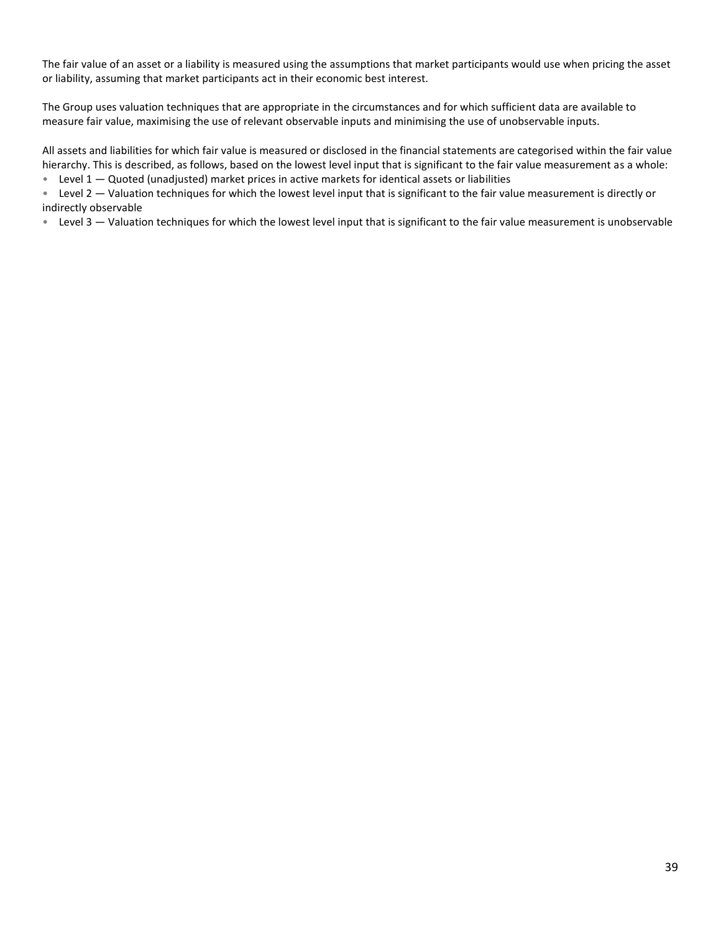The fair value of an asset or a liability is measured using the assumptions that market participants would use when pricing the asset or liability, assuming that market participants act in their economic best interest.

The Group uses valuation techniques that are appropriate in the circumstances and for which sufficient data are available to measure fair value, maximising the use of relevant observable inputs and minimising the use of unobservable inputs.

All assets and liabilities for which fair value is measured or disclosed in the financial statements are categorised within the fair value hierarchy. This is described, as follows, based on the lowest level input that is significant to the fair value measurement as a whole:

• Level  $1 -$  Quoted (unadjusted) market prices in active markets for identical assets or liabilities

• Level 2 — Valuation techniques for which the lowest level input that is significant to the fair value measurement is directly or indirectly observable

• Level 3 – Valuation techniques for which the lowest level input that is significant to the fair value measurement is unobservable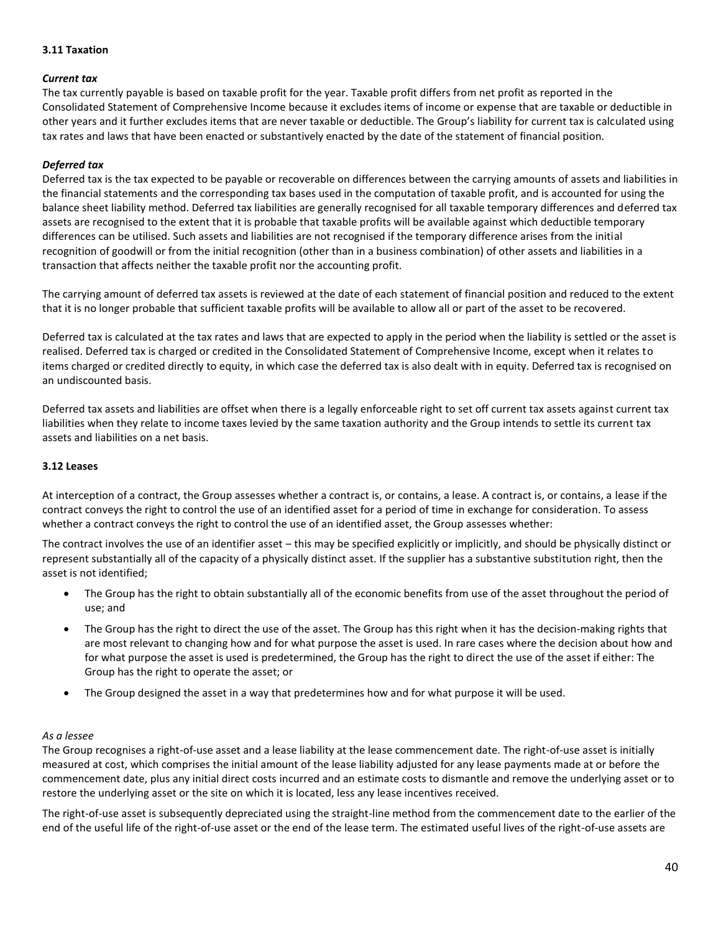#### **3.11 Taxation**

### *Current tax*

The tax currently payable is based on taxable profit for the year. Taxable profit differs from net profit as reported in the Consolidated Statement of Comprehensive Income because it excludes items of income or expense that are taxable or deductible in other years and it further excludes items that are never taxable or deductible. The Group's liability for current tax is calculated using tax rates and laws that have been enacted or substantively enacted by the date of the statement of financial position.

### *Deferred tax*

Deferred tax is the tax expected to be payable or recoverable on differences between the carrying amounts of assets and liabilities in the financial statements and the corresponding tax bases used in the computation of taxable profit, and is accounted for using the balance sheet liability method. Deferred tax liabilities are generally recognised for all taxable temporary differences and deferred tax assets are recognised to the extent that it is probable that taxable profits will be available against which deductible temporary differences can be utilised. Such assets and liabilities are not recognised if the temporary difference arises from the initial recognition of goodwill or from the initial recognition (other than in a business combination) of other assets and liabilities in a transaction that affects neither the taxable profit nor the accounting profit.

The carrying amount of deferred tax assets is reviewed at the date of each statement of financial position and reduced to the extent that it is no longer probable that sufficient taxable profits will be available to allow all or part of the asset to be recovered.

Deferred tax is calculated at the tax rates and laws that are expected to apply in the period when the liability is settled or the asset is realised. Deferred tax is charged or credited in the Consolidated Statement of Comprehensive Income, except when it relates to items charged or credited directly to equity, in which case the deferred tax is also dealt with in equity. Deferred tax is recognised on an undiscounted basis.

Deferred tax assets and liabilities are offset when there is a legally enforceable right to set off current tax assets against current tax liabilities when they relate to income taxes levied by the same taxation authority and the Group intends to settle its current tax assets and liabilities on a net basis.

### **3.12 Leases**

At interception of a contract, the Group assesses whether a contract is, or contains, a lease. A contract is, or contains, a lease if the contract conveys the right to control the use of an identified asset for a period of time in exchange for consideration. To assess whether a contract conveys the right to control the use of an identified asset, the Group assesses whether:

The contract involves the use of an identifier asset – this may be specified explicitly or implicitly, and should be physically distinct or represent substantially all of the capacity of a physically distinct asset. If the supplier has a substantive substitution right, then the asset is not identified;

- The Group has the right to obtain substantially all of the economic benefits from use of the asset throughout the period of use; and
- The Group has the right to direct the use of the asset. The Group has this right when it has the decision-making rights that are most relevant to changing how and for what purpose the asset is used. In rare cases where the decision about how and for what purpose the asset is used is predetermined, the Group has the right to direct the use of the asset if either: The Group has the right to operate the asset; or
- The Group designed the asset in a way that predetermines how and for what purpose it will be used.

#### *As a lessee*

The Group recognises a right-of-use asset and a lease liability at the lease commencement date. The right-of-use asset is initially measured at cost, which comprises the initial amount of the lease liability adjusted for any lease payments made at or before the commencement date, plus any initial direct costs incurred and an estimate costs to dismantle and remove the underlying asset or to restore the underlying asset or the site on which it is located, less any lease incentives received.

The right-of-use asset is subsequently depreciated using the straight-line method from the commencement date to the earlier of the end of the useful life of the right-of-use asset or the end of the lease term. The estimated useful lives of the right-of-use assets are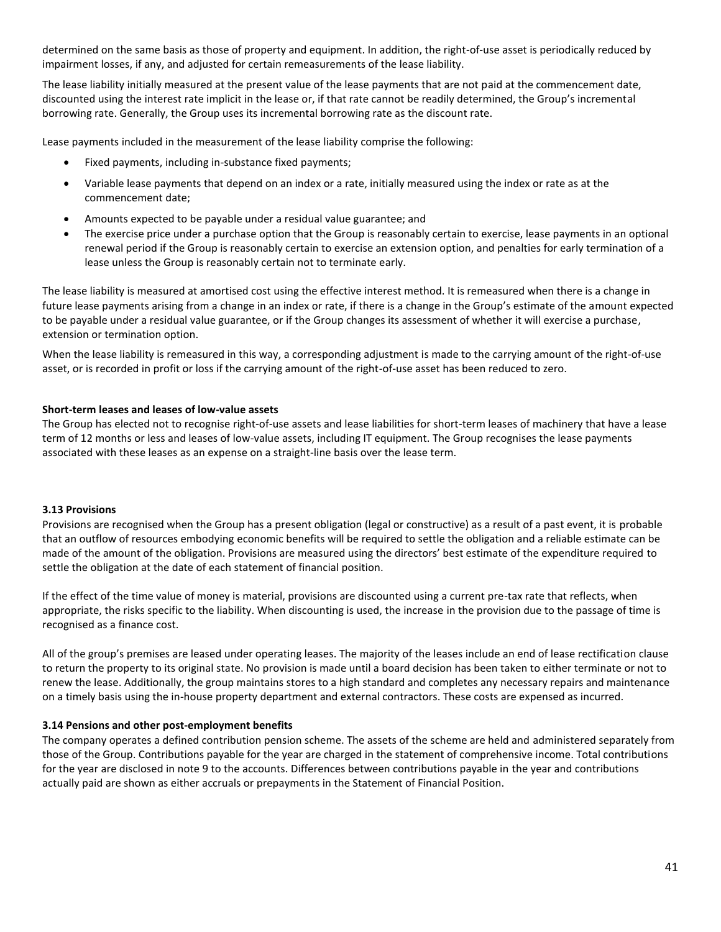determined on the same basis as those of property and equipment. In addition, the right-of-use asset is periodically reduced by impairment losses, if any, and adjusted for certain remeasurements of the lease liability.

The lease liability initially measured at the present value of the lease payments that are not paid at the commencement date, discounted using the interest rate implicit in the lease or, if that rate cannot be readily determined, the Group's incremental borrowing rate. Generally, the Group uses its incremental borrowing rate as the discount rate.

Lease payments included in the measurement of the lease liability comprise the following:

- Fixed payments, including in-substance fixed payments;
- Variable lease payments that depend on an index or a rate, initially measured using the index or rate as at the commencement date;
- Amounts expected to be payable under a residual value guarantee; and
- The exercise price under a purchase option that the Group is reasonably certain to exercise, lease payments in an optional renewal period if the Group is reasonably certain to exercise an extension option, and penalties for early termination of a lease unless the Group is reasonably certain not to terminate early.

The lease liability is measured at amortised cost using the effective interest method. It is remeasured when there is a change in future lease payments arising from a change in an index or rate, if there is a change in the Group's estimate of the amount expected to be payable under a residual value guarantee, or if the Group changes its assessment of whether it will exercise a purchase, extension or termination option.

When the lease liability is remeasured in this way, a corresponding adjustment is made to the carrying amount of the right-of-use asset, or is recorded in profit or loss if the carrying amount of the right-of-use asset has been reduced to zero.

#### **Short-term leases and leases of low-value assets**

The Group has elected not to recognise right-of-use assets and lease liabilities for short-term leases of machinery that have a lease term of 12 months or less and leases of low-value assets, including IT equipment. The Group recognises the lease payments associated with these leases as an expense on a straight-line basis over the lease term.

#### **3.13 Provisions**

Provisions are recognised when the Group has a present obligation (legal or constructive) as a result of a past event, it is probable that an outflow of resources embodying economic benefits will be required to settle the obligation and a reliable estimate can be made of the amount of the obligation. Provisions are measured using the directors' best estimate of the expenditure required to settle the obligation at the date of each statement of financial position.

If the effect of the time value of money is material, provisions are discounted using a current pre-tax rate that reflects, when appropriate, the risks specific to the liability. When discounting is used, the increase in the provision due to the passage of time is recognised as a finance cost.

All of the group's premises are leased under operating leases. The majority of the leases include an end of lease rectification clause to return the property to its original state. No provision is made until a board decision has been taken to either terminate or not to renew the lease. Additionally, the group maintains stores to a high standard and completes any necessary repairs and maintenance on a timely basis using the in-house property department and external contractors. These costs are expensed as incurred.

#### **3.14 Pensions and other post-employment benefits**

The company operates a defined contribution pension scheme. The assets of the scheme are held and administered separately from those of the Group. Contributions payable for the year are charged in the statement of comprehensive income. Total contributions for the year are disclosed in note 9 to the accounts. Differences between contributions payable in the year and contributions actually paid are shown as either accruals or prepayments in the Statement of Financial Position.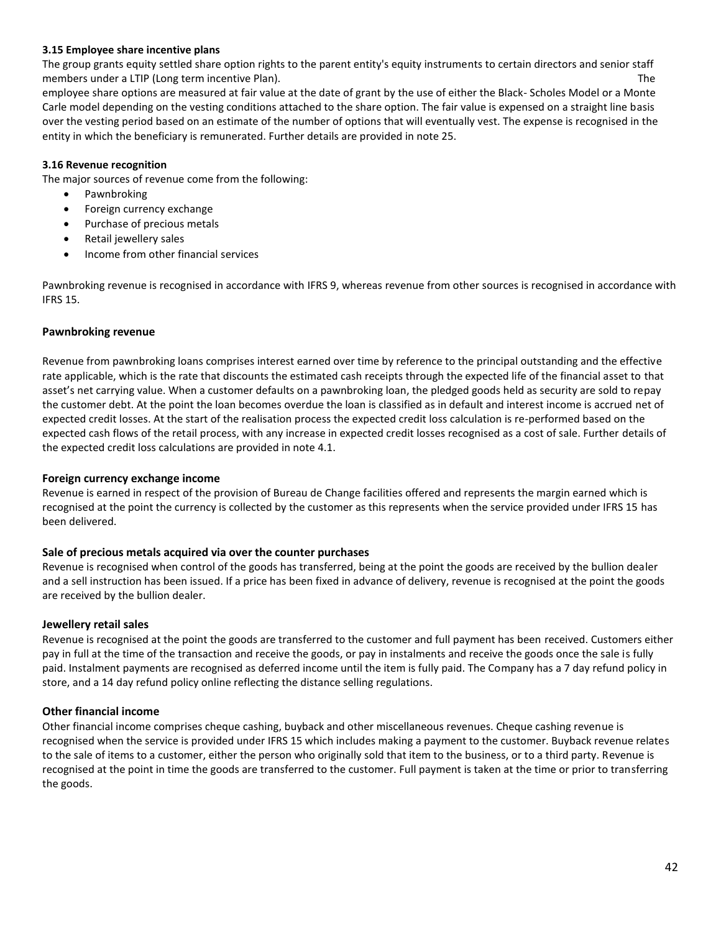#### **3.15 Employee share incentive plans**

The group grants equity settled share option rights to the parent entity's equity instruments to certain directors and senior staff members under a LTIP (Long term incentive Plan). The state of the state of the state of the state of the state of the state of the state of the state of the state of the state of the state of the state of the state of the

employee share options are measured at fair value at the date of grant by the use of either the Black- Scholes Model or a Monte Carle model depending on the vesting conditions attached to the share option. The fair value is expensed on a straight line basis over the vesting period based on an estimate of the number of options that will eventually vest. The expense is recognised in the entity in which the beneficiary is remunerated. Further details are provided in note 25.

#### **3.16 Revenue recognition**

The major sources of revenue come from the following:

- Pawnbroking
- Foreign currency exchange
- Purchase of precious metals
- Retail jewellery sales
- Income from other financial services

Pawnbroking revenue is recognised in accordance with IFRS 9, whereas revenue from other sources is recognised in accordance with IFRS 15.

### **Pawnbroking revenue**

Revenue from pawnbroking loans comprises interest earned over time by reference to the principal outstanding and the effective rate applicable, which is the rate that discounts the estimated cash receipts through the expected life of the financial asset to that asset's net carrying value. When a customer defaults on a pawnbroking loan, the pledged goods held as security are sold to repay the customer debt. At the point the loan becomes overdue the loan is classified as in default and interest income is accrued net of expected credit losses. At the start of the realisation process the expected credit loss calculation is re-performed based on the expected cash flows of the retail process, with any increase in expected credit losses recognised as a cost of sale. Further details of the expected credit loss calculations are provided in note 4.1.

#### **Foreign currency exchange income**

Revenue is earned in respect of the provision of Bureau de Change facilities offered and represents the margin earned which is recognised at the point the currency is collected by the customer as this represents when the service provided under IFRS 15 has been delivered.

#### **Sale of precious metals acquired via over the counter purchases**

Revenue is recognised when control of the goods has transferred, being at the point the goods are received by the bullion dealer and a sell instruction has been issued. If a price has been fixed in advance of delivery, revenue is recognised at the point the goods are received by the bullion dealer.

#### **Jewellery retail sales**

Revenue is recognised at the point the goods are transferred to the customer and full payment has been received. Customers either pay in full at the time of the transaction and receive the goods, or pay in instalments and receive the goods once the sale is fully paid. Instalment payments are recognised as deferred income until the item is fully paid. The Company has a 7 day refund policy in store, and a 14 day refund policy online reflecting the distance selling regulations.

#### **Other financial income**

Other financial income comprises cheque cashing, buyback and other miscellaneous revenues. Cheque cashing revenue is recognised when the service is provided under IFRS 15 which includes making a payment to the customer. Buyback revenue relates to the sale of items to a customer, either the person who originally sold that item to the business, or to a third party. Revenue is recognised at the point in time the goods are transferred to the customer. Full payment is taken at the time or prior to transferring the goods.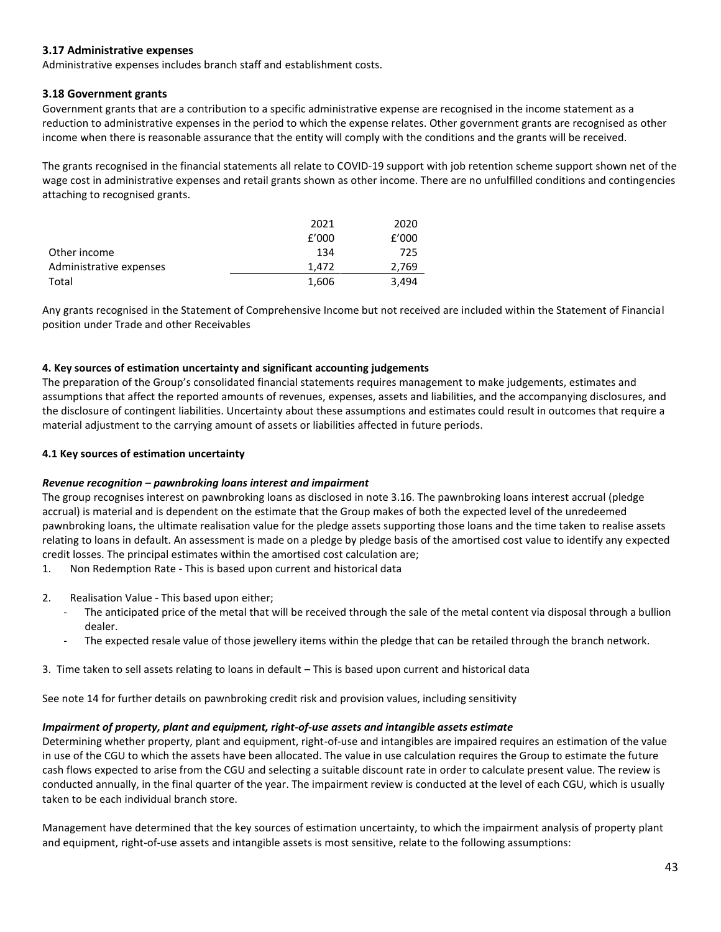### **3.17 Administrative expenses**

Administrative expenses includes branch staff and establishment costs.

### **3.18 Government grants**

Government grants that are a contribution to a specific administrative expense are recognised in the income statement as a reduction to administrative expenses in the period to which the expense relates. Other government grants are recognised as other income when there is reasonable assurance that the entity will comply with the conditions and the grants will be received.

The grants recognised in the financial statements all relate to COVID-19 support with job retention scheme support shown net of the wage cost in administrative expenses and retail grants shown as other income. There are no unfulfilled conditions and contingencies attaching to recognised grants.

|                         | 2021  | 2020  |
|-------------------------|-------|-------|
|                         | f'000 | f'000 |
| Other income            | 134   | 725   |
| Administrative expenses | 1.472 | 2,769 |
| Total                   | 1,606 | 3.494 |

Any grants recognised in the Statement of Comprehensive Income but not received are included within the Statement of Financial position under Trade and other Receivables

#### **4. Key sources of estimation uncertainty and significant accounting judgements**

The preparation of the Group's consolidated financial statements requires management to make judgements, estimates and assumptions that affect the reported amounts of revenues, expenses, assets and liabilities, and the accompanying disclosures, and the disclosure of contingent liabilities. Uncertainty about these assumptions and estimates could result in outcomes that require a material adjustment to the carrying amount of assets or liabilities affected in future periods.

#### **4.1 Key sources of estimation uncertainty**

#### *Revenue recognition – pawnbroking loans interest and impairment*

The group recognises interest on pawnbroking loans as disclosed in note 3.16. The pawnbroking loans interest accrual (pledge accrual) is material and is dependent on the estimate that the Group makes of both the expected level of the unredeemed pawnbroking loans, the ultimate realisation value for the pledge assets supporting those loans and the time taken to realise assets relating to loans in default. An assessment is made on a pledge by pledge basis of the amortised cost value to identify any expected credit losses. The principal estimates within the amortised cost calculation are;

1. Non Redemption Rate - This is based upon current and historical data

- 2. Realisation Value This based upon either;
	- The anticipated price of the metal that will be received through the sale of the metal content via disposal through a bullion dealer.
	- The expected resale value of those jewellery items within the pledge that can be retailed through the branch network.
- 3. Time taken to sell assets relating to loans in default This is based upon current and historical data

See note 14 for further details on pawnbroking credit risk and provision values, including sensitivity

#### *Impairment of property, plant and equipment, right-of-use assets and intangible assets estimate*

Determining whether property, plant and equipment, right-of-use and intangibles are impaired requires an estimation of the value in use of the CGU to which the assets have been allocated. The value in use calculation requires the Group to estimate the future cash flows expected to arise from the CGU and selecting a suitable discount rate in order to calculate present value. The review is conducted annually, in the final quarter of the year. The impairment review is conducted at the level of each CGU, which is usually taken to be each individual branch store.

Management have determined that the key sources of estimation uncertainty, to which the impairment analysis of property plant and equipment, right-of-use assets and intangible assets is most sensitive, relate to the following assumptions: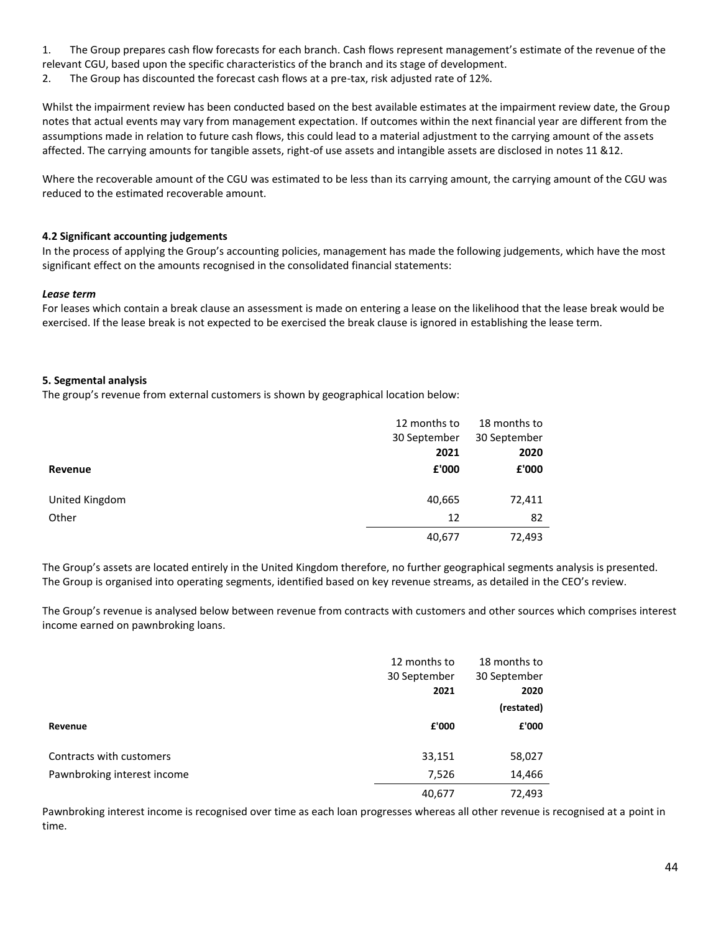1. The Group prepares cash flow forecasts for each branch. Cash flows represent management's estimate of the revenue of the relevant CGU, based upon the specific characteristics of the branch and its stage of development.

2. The Group has discounted the forecast cash flows at a pre-tax, risk adjusted rate of 12%.

Whilst the impairment review has been conducted based on the best available estimates at the impairment review date, the Group notes that actual events may vary from management expectation. If outcomes within the next financial year are different from the assumptions made in relation to future cash flows, this could lead to a material adjustment to the carrying amount of the assets affected. The carrying amounts for tangible assets, right-of use assets and intangible assets are disclosed in notes 11 &12.

Where the recoverable amount of the CGU was estimated to be less than its carrying amount, the carrying amount of the CGU was reduced to the estimated recoverable amount.

### **4.2 Significant accounting judgements**

In the process of applying the Group's accounting policies, management has made the following judgements, which have the most significant effect on the amounts recognised in the consolidated financial statements:

#### *Lease term*

For leases which contain a break clause an assessment is made on entering a lease on the likelihood that the lease break would be exercised. If the lease break is not expected to be exercised the break clause is ignored in establishing the lease term.

#### **5. Segmental analysis**

The group's revenue from external customers is shown by geographical location below:

|                | 12 months to | 18 months to |
|----------------|--------------|--------------|
|                | 30 September | 30 September |
|                | 2021         | 2020         |
| Revenue        | £'000        | £'000        |
|                |              |              |
| United Kingdom | 40,665       | 72,411       |
| Other          | 12           | 82           |
|                | 40,677       | 72,493       |

The Group's assets are located entirely in the United Kingdom therefore, no further geographical segments analysis is presented. The Group is organised into operating segments, identified based on key revenue streams, as detailed in the CEO's review.

The Group's revenue is analysed below between revenue from contracts with customers and other sources which comprises interest income earned on pawnbroking loans.

|                             | 12 months to<br>30 September<br>2021 | 18 months to<br>30 September<br>2020<br>(restated) |
|-----------------------------|--------------------------------------|----------------------------------------------------|
| Revenue                     | £'000                                | £'000                                              |
| Contracts with customers    | 33,151                               | 58,027                                             |
| Pawnbroking interest income | 7,526                                | 14,466                                             |
|                             | 40,677                               | 72,493                                             |

Pawnbroking interest income is recognised over time as each loan progresses whereas all other revenue is recognised at a point in time.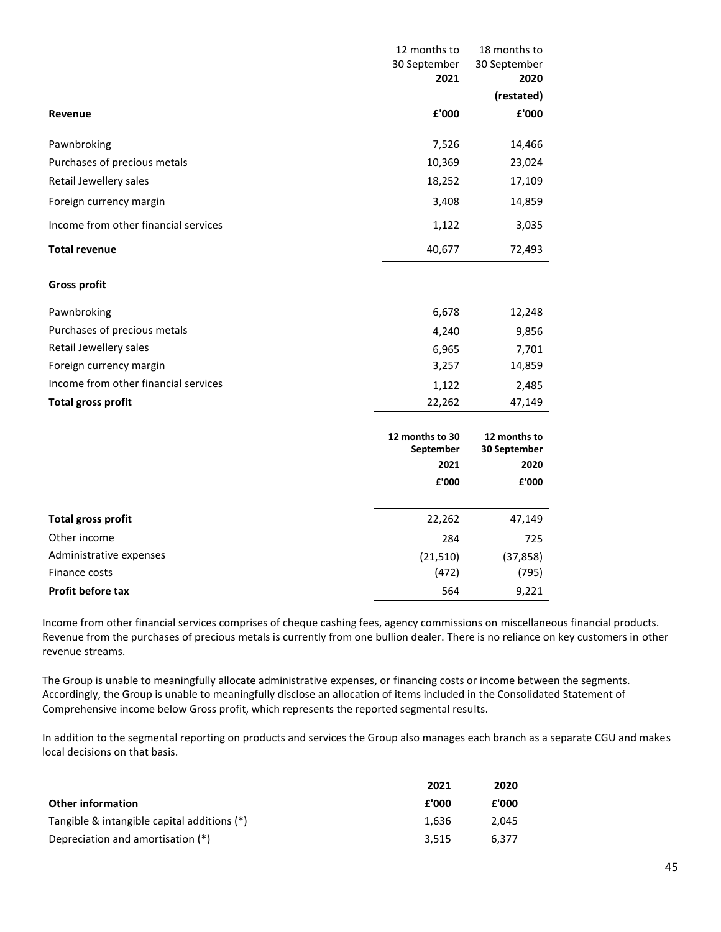|                                      | 12 months to                 | 18 months to                 |
|--------------------------------------|------------------------------|------------------------------|
|                                      | 30 September                 | 30 September                 |
|                                      | 2021                         | 2020                         |
|                                      |                              | (restated)                   |
| Revenue                              | £'000                        | £'000                        |
| Pawnbroking                          | 7,526                        | 14,466                       |
| Purchases of precious metals         | 10,369                       | 23,024                       |
| Retail Jewellery sales               | 18,252                       | 17,109                       |
| Foreign currency margin              | 3,408                        | 14,859                       |
| Income from other financial services | 1,122                        | 3,035                        |
| <b>Total revenue</b>                 | 40,677                       | 72,493                       |
| <b>Gross profit</b>                  |                              |                              |
| Pawnbroking                          | 6,678                        | 12,248                       |
| Purchases of precious metals         | 4,240                        | 9,856                        |
| Retail Jewellery sales               | 6,965                        | 7,701                        |
| Foreign currency margin              | 3,257                        | 14,859                       |
| Income from other financial services | 1,122                        | 2,485                        |
| <b>Total gross profit</b>            | 22,262                       | 47,149                       |
|                                      | 12 months to 30<br>September | 12 months to<br>30 September |
|                                      | 2021                         | 2020                         |
|                                      | £'000                        | £'000                        |
| <b>Total gross profit</b>            | 22,262                       | 47,149                       |
| Other income                         | 284                          | 725                          |
| Administrative expenses              | (21, 510)                    | (37, 858)                    |
| Finance costs                        | (472)                        | (795)                        |
| <b>Profit before tax</b>             | 564                          | 9,221                        |

Income from other financial services comprises of cheque cashing fees, agency commissions on miscellaneous financial products. Revenue from the purchases of precious metals is currently from one bullion dealer. There is no reliance on key customers in other revenue streams.

The Group is unable to meaningfully allocate administrative expenses, or financing costs or income between the segments. Accordingly, the Group is unable to meaningfully disclose an allocation of items included in the Consolidated Statement of Comprehensive income below Gross profit, which represents the reported segmental results.

In addition to the segmental reporting on products and services the Group also manages each branch as a separate CGU and makes local decisions on that basis.

|                                             | 2021  | 2020  |
|---------------------------------------------|-------|-------|
| <b>Other information</b>                    | £'000 | £'000 |
| Tangible & intangible capital additions (*) | 1.636 | 2.045 |
| Depreciation and amortisation (*)           | 3.515 | 6.377 |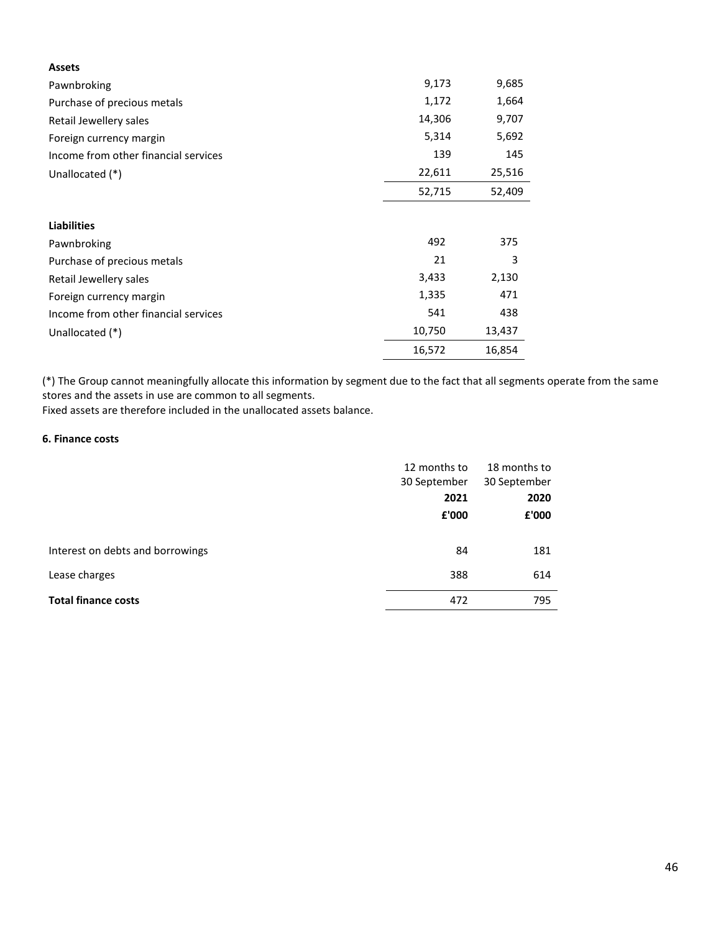| <b>Assets</b>                        |        |        |
|--------------------------------------|--------|--------|
| Pawnbroking                          | 9,173  | 9,685  |
| Purchase of precious metals          | 1,172  | 1,664  |
| Retail Jewellery sales               | 14,306 | 9,707  |
| Foreign currency margin              | 5,314  | 5,692  |
| Income from other financial services | 139    | 145    |
| Unallocated (*)                      | 22,611 | 25,516 |
|                                      | 52,715 | 52,409 |
|                                      |        |        |
| <b>Liabilities</b>                   |        |        |
| Pawnbroking                          | 492    | 375    |
| Purchase of precious metals          | 21     | 3      |
| Retail Jewellery sales               | 3,433  | 2,130  |
| Foreign currency margin              | 1,335  | 471    |
| Income from other financial services | 541    | 438    |
| Unallocated (*)                      | 10,750 | 13,437 |
|                                      | 16,572 | 16,854 |

(\*) The Group cannot meaningfully allocate this information by segment due to the fact that all segments operate from the same stores and the assets in use are common to all segments.

Fixed assets are therefore included in the unallocated assets balance.

#### **6. Finance costs**

|                                  | 12 months to<br>30 September<br>2021 | 18 months to<br>30 September<br>2020 |
|----------------------------------|--------------------------------------|--------------------------------------|
| Interest on debts and borrowings | £'000<br>84                          | £'000<br>181                         |
| Lease charges                    | 388                                  | 614                                  |
| <b>Total finance costs</b>       | 472                                  | 795                                  |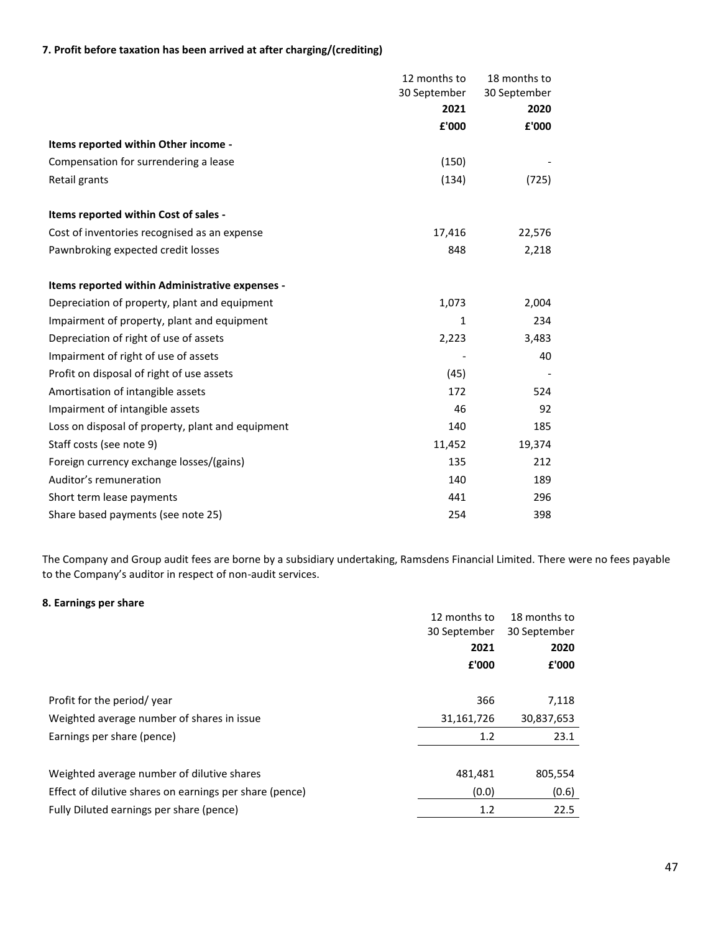### **7. Profit before taxation has been arrived at after charging/(crediting)**

|                                                   | 12 months to | 18 months to |
|---------------------------------------------------|--------------|--------------|
|                                                   | 30 September | 30 September |
|                                                   | 2021         | 2020         |
|                                                   | £'000        | £'000        |
| Items reported within Other income -              |              |              |
| Compensation for surrendering a lease             | (150)        |              |
| Retail grants                                     | (134)        | (725)        |
| Items reported within Cost of sales -             |              |              |
| Cost of inventories recognised as an expense      | 17,416       | 22,576       |
| Pawnbroking expected credit losses                | 848          | 2,218        |
| Items reported within Administrative expenses -   |              |              |
| Depreciation of property, plant and equipment     | 1,073        | 2,004        |
| Impairment of property, plant and equipment       | 1            | 234          |
| Depreciation of right of use of assets            | 2,223        | 3,483        |
| Impairment of right of use of assets              |              | 40           |
| Profit on disposal of right of use assets         | (45)         |              |
| Amortisation of intangible assets                 | 172          | 524          |
| Impairment of intangible assets                   | 46           | 92           |
| Loss on disposal of property, plant and equipment | 140          | 185          |
| Staff costs (see note 9)                          | 11,452       | 19,374       |
| Foreign currency exchange losses/(gains)          | 135          | 212          |
| Auditor's remuneration                            | 140          | 189          |
| Short term lease payments                         | 441          | 296          |
| Share based payments (see note 25)                | 254          | 398          |

The Company and Group audit fees are borne by a subsidiary undertaking, Ramsdens Financial Limited. There were no fees payable to the Company's auditor in respect of non-audit services.

### **8. Earnings per share**

|                                                         | 12 months to | 18 months to |
|---------------------------------------------------------|--------------|--------------|
|                                                         | 30 September | 30 September |
|                                                         | 2021         | 2020         |
|                                                         | £'000        | £'000        |
|                                                         |              |              |
| Profit for the period/year                              | 366          | 7,118        |
| Weighted average number of shares in issue              | 31,161,726   | 30,837,653   |
| Earnings per share (pence)                              | 1.2          | 23.1         |
|                                                         |              |              |
| Weighted average number of dilutive shares              | 481,481      | 805,554      |
| Effect of dilutive shares on earnings per share (pence) | (0.0)        | (0.6)        |
| Fully Diluted earnings per share (pence)                | 1.2          | 22.5         |
|                                                         |              |              |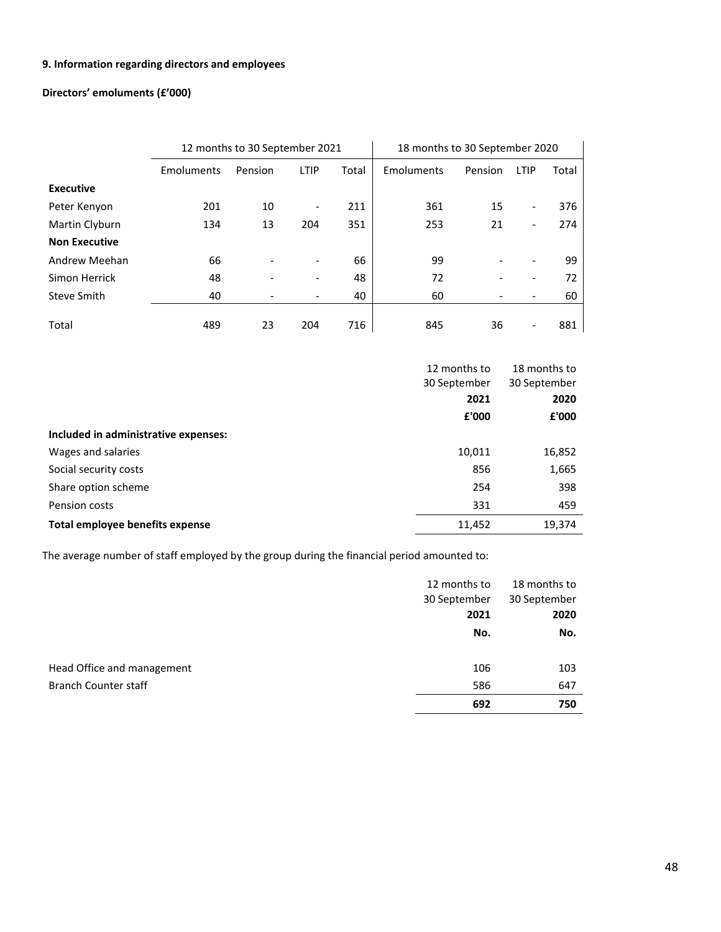### **9. Information regarding directors and employees**

## **Directors' emoluments (£'000)**

|                      | 12 months to 30 September 2021 |         |                          |       | 18 months to 30 September 2020 |         |                          |       |
|----------------------|--------------------------------|---------|--------------------------|-------|--------------------------------|---------|--------------------------|-------|
|                      | Emoluments                     | Pension | LTIP                     | Total | Emoluments                     | Pension | LTIP                     | Total |
| <b>Executive</b>     |                                |         |                          |       |                                |         |                          |       |
| Peter Kenyon         | 201                            | 10      | $\overline{\phantom{a}}$ | 211   | 361                            | 15      | $\overline{\phantom{a}}$ | 376   |
| Martin Clyburn       | 134                            | 13      | 204                      | 351   | 253                            | 21      | $\overline{\phantom{a}}$ | 274   |
| <b>Non Executive</b> |                                |         |                          |       |                                |         |                          |       |
| Andrew Meehan        | 66                             |         |                          | 66    | 99                             |         |                          | 99    |
| Simon Herrick        | 48                             |         |                          | 48    | 72                             |         |                          | 72    |
| Steve Smith          | 40                             |         |                          | 40    | 60                             |         |                          | 60    |
| Total                | 489                            | 23      | 204                      | 716   | 845                            | 36      |                          | 881   |

|                                      | 12 months to | 18 months to |
|--------------------------------------|--------------|--------------|
|                                      | 30 September | 30 September |
|                                      | 2021         | 2020         |
|                                      | £'000        | £'000        |
| Included in administrative expenses: |              |              |
| Wages and salaries                   | 10,011       | 16,852       |
| Social security costs                | 856          | 1,665        |
| Share option scheme                  | 254          | 398          |
| Pension costs                        | 331          | 459          |
| Total employee benefits expense      | 11,452       | 19,374       |

The average number of staff employed by the group during the financial period amounted to:

|                             | 12 months to | 18 months to |
|-----------------------------|--------------|--------------|
|                             | 30 September | 30 September |
|                             | 2021         | 2020         |
|                             | No.          | No.          |
| Head Office and management  | 106          | 103          |
| <b>Branch Counter staff</b> | 586          | 647          |
|                             | 692          | 750          |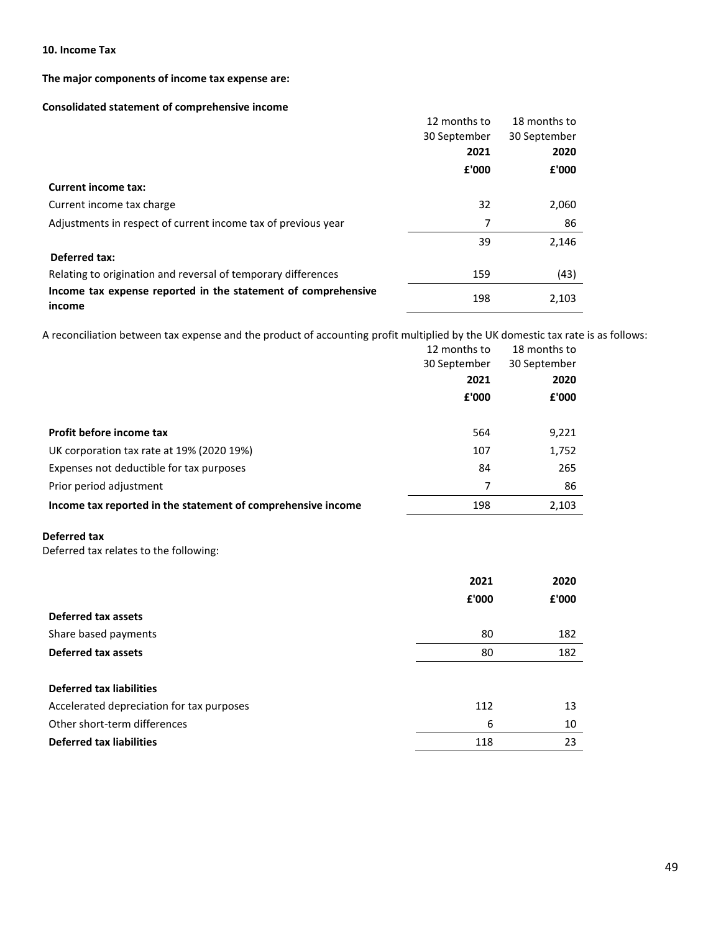#### **10. Income Tax**

### **The major components of income tax expense are:**

### **Consolidated statement of comprehensive income**

|                                                                         | 12 months to | 18 months to |
|-------------------------------------------------------------------------|--------------|--------------|
|                                                                         | 30 September | 30 September |
|                                                                         | 2021         | 2020         |
|                                                                         | £'000        | £'000        |
| <b>Current income tax:</b>                                              |              |              |
| Current income tax charge                                               | 32           | 2,060        |
| Adjustments in respect of current income tax of previous year           | 7            | 86           |
|                                                                         | 39           | 2,146        |
| Deferred tax:                                                           |              |              |
| Relating to origination and reversal of temporary differences           | 159          | (43)         |
| Income tax expense reported in the statement of comprehensive<br>income | 198          | 2,103        |

A reconciliation between tax expense and the product of accounting profit multiplied by the UK domestic tax rate is as follows:

|                                                              | 12 months to<br>30 September<br>2021<br>£'000 | 18 months to<br>30 September<br>2020<br>£'000 |
|--------------------------------------------------------------|-----------------------------------------------|-----------------------------------------------|
| Profit before income tax                                     | 564                                           | 9,221                                         |
| UK corporation tax rate at 19% (2020 19%)                    | 107                                           | 1,752                                         |
| Expenses not deductible for tax purposes                     | 84                                            | 265                                           |
| Prior period adjustment                                      | 7                                             | 86                                            |
| Income tax reported in the statement of comprehensive income | 198                                           | 2,103                                         |

#### **Deferred tax**

Deferred tax relates to the following:

|                                           | 2021  | 2020  |
|-------------------------------------------|-------|-------|
|                                           | £'000 | £'000 |
| Deferred tax assets                       |       |       |
| Share based payments                      | 80    | 182   |
| Deferred tax assets                       | 80    | 182   |
|                                           |       |       |
| Deferred tax liabilities                  |       |       |
| Accelerated depreciation for tax purposes | 112   | 13    |
| Other short-term differences              | 6     | 10    |
| <b>Deferred tax liabilities</b>           | 118   | 23    |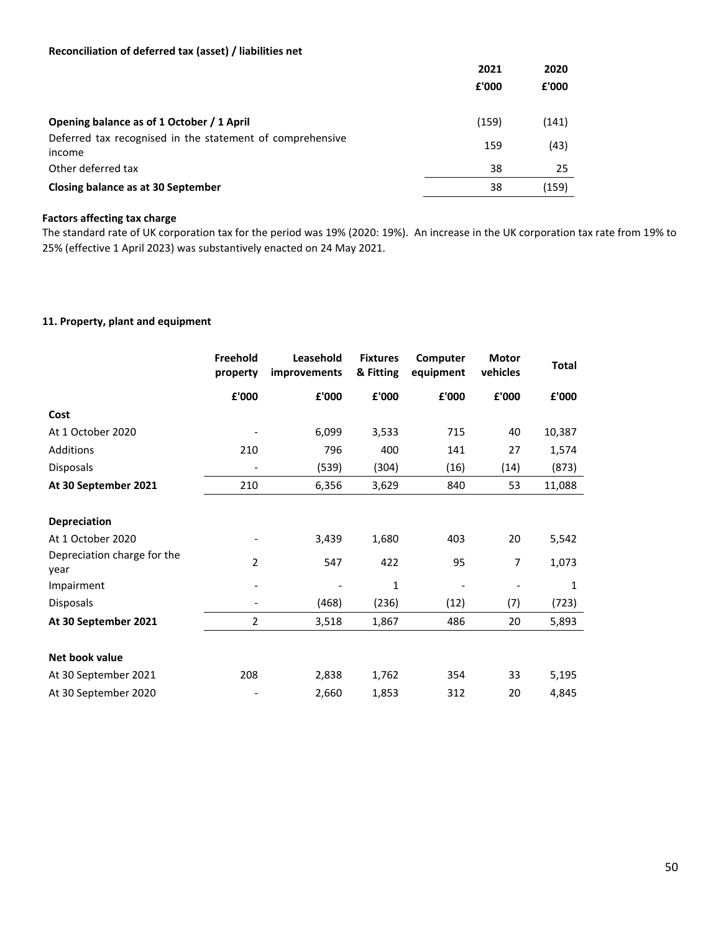### **Reconciliation of deferred tax (asset) / liabilities net**

|                                                                     | 2021<br>£'000 | 2020<br>£'000 |
|---------------------------------------------------------------------|---------------|---------------|
| Opening balance as of 1 October / 1 April                           | (159)         | (141)         |
| Deferred tax recognised in the statement of comprehensive<br>income | 159           | (43)          |
| Other deferred tax                                                  | 38            | 25            |
| Closing balance as at 30 September                                  | 38            | (159)         |

#### **Factors affecting tax charge**

The standard rate of UK corporation tax for the period was 19% (2020: 19%). An increase in the UK corporation tax rate from 19% to 25% (effective 1 April 2023) was substantively enacted on 24 May 2021.

#### **11. Property, plant and equipment**

|                                     | Freehold<br>property     | Leasehold<br><i>improvements</i> | <b>Fixtures</b><br>& Fitting | Computer<br>equipment | <b>Motor</b><br>vehicles | <b>Total</b> |
|-------------------------------------|--------------------------|----------------------------------|------------------------------|-----------------------|--------------------------|--------------|
|                                     | £'000                    | £'000                            | £'000                        | £'000                 | £'000                    | £'000        |
| Cost                                |                          |                                  |                              |                       |                          |              |
| At 1 October 2020                   |                          | 6,099                            | 3,533                        | 715                   | 40                       | 10,387       |
| Additions                           | 210                      | 796                              | 400                          | 141                   | 27                       | 1,574        |
| Disposals                           | $\overline{\phantom{a}}$ | (539)                            | (304)                        | (16)                  | (14)                     | (873)        |
| At 30 September 2021                | 210                      | 6,356                            | 3,629                        | 840                   | 53                       | 11,088       |
| <b>Depreciation</b>                 |                          |                                  |                              |                       |                          |              |
| At 1 October 2020                   |                          | 3,439                            | 1,680                        | 403                   | 20                       | 5,542        |
| Depreciation charge for the<br>year | 2                        | 547                              | 422                          | 95                    | 7                        | 1,073        |
| Impairment                          |                          |                                  | 1                            |                       |                          | 1            |
| Disposals                           |                          | (468)                            | (236)                        | (12)                  | (7)                      | (723)        |
| At 30 September 2021                | $\overline{2}$           | 3,518                            | 1,867                        | 486                   | 20                       | 5,893        |
| Net book value                      |                          |                                  |                              |                       |                          |              |
| At 30 September 2021                | 208                      | 2,838                            | 1,762                        | 354                   | 33                       | 5,195        |
| At 30 September 2020                |                          | 2,660                            | 1,853                        | 312                   | 20                       | 4,845        |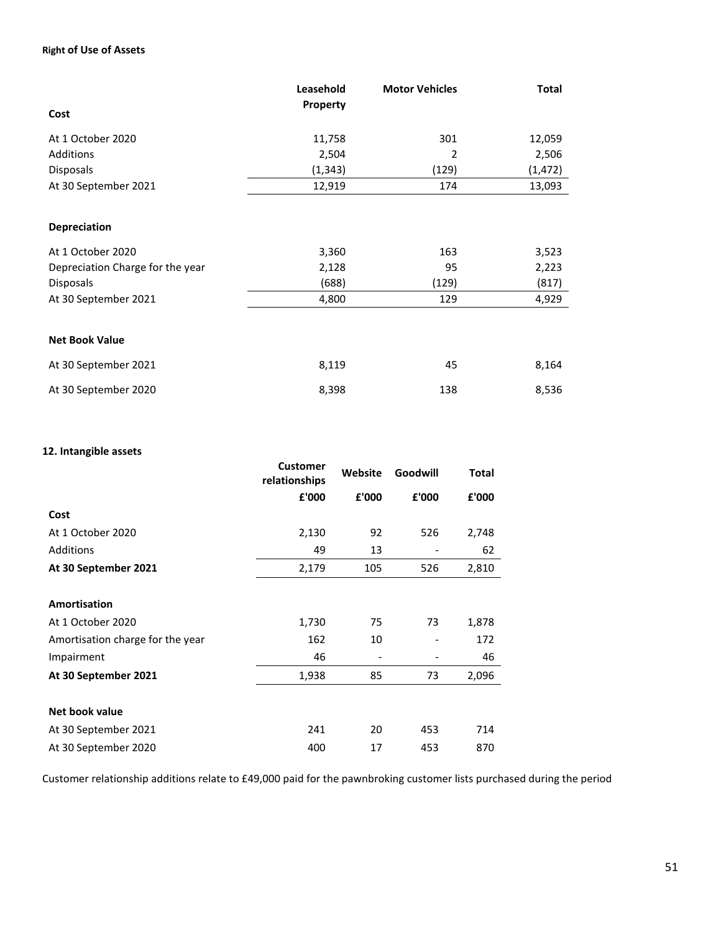### **Right of Use of Assets**

|                                  | Leasehold<br><b>Property</b> | <b>Motor Vehicles</b> | <b>Total</b> |
|----------------------------------|------------------------------|-----------------------|--------------|
| Cost                             |                              |                       |              |
| At 1 October 2020                | 11,758                       | 301                   | 12,059       |
| Additions                        | 2,504                        | 2                     | 2,506        |
| Disposals                        | (1, 343)                     | (129)                 | (1, 472)     |
| At 30 September 2021             | 12,919                       | 174                   | 13,093       |
|                                  |                              |                       |              |
| <b>Depreciation</b>              |                              |                       |              |
| At 1 October 2020                | 3,360                        | 163                   | 3,523        |
| Depreciation Charge for the year | 2,128                        | 95                    | 2,223        |
| <b>Disposals</b>                 | (688)                        | (129)                 | (817)        |
| At 30 September 2021             | 4,800                        | 129                   | 4,929        |
|                                  |                              |                       |              |
| <b>Net Book Value</b>            |                              |                       |              |
| At 30 September 2021             | 8,119                        | 45                    | 8,164        |
| At 30 September 2020             | 8,398                        | 138                   | 8,536        |

## **12. Intangible assets**

|                                  | <b>Customer</b><br>relationships | Website | Goodwill | <b>Total</b> |
|----------------------------------|----------------------------------|---------|----------|--------------|
|                                  | £'000                            | £'000   | £'000    | £'000        |
| Cost                             |                                  |         |          |              |
| At 1 October 2020                | 2,130                            | 92      | 526      | 2,748        |
| Additions                        | 49                               | 13      |          | 62           |
| At 30 September 2021             | 2,179                            | 105     | 526      | 2,810        |
|                                  |                                  |         |          |              |
| Amortisation                     |                                  |         |          |              |
| At 1 October 2020                | 1,730                            | 75      | 73       | 1,878        |
| Amortisation charge for the year | 162                              | 10      |          | 172          |
| Impairment                       | 46                               |         |          | 46           |
| At 30 September 2021             | 1,938                            | 85      | 73       | 2,096        |
|                                  |                                  |         |          |              |
| Net book value                   |                                  |         |          |              |
| At 30 September 2021             | 241                              | 20      | 453      | 714          |
| At 30 September 2020             | 400                              | 17      | 453      | 870          |

Customer relationship additions relate to £49,000 paid for the pawnbroking customer lists purchased during the period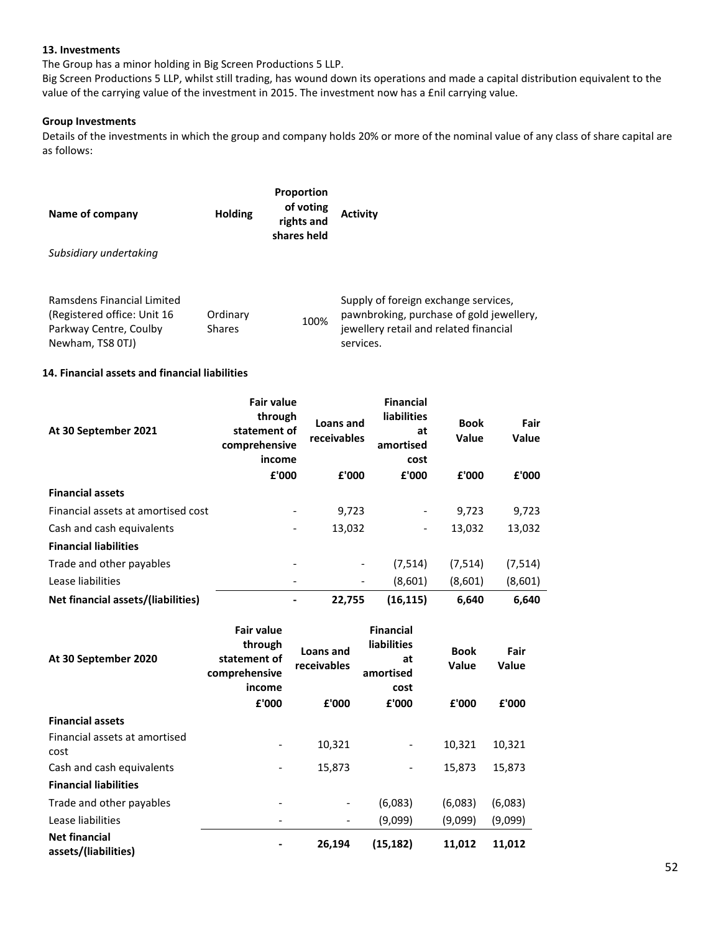#### **13. Investments**

The Group has a minor holding in Big Screen Productions 5 LLP.

Big Screen Productions 5 LLP, whilst still trading, has wound down its operations and made a capital distribution equivalent to the value of the carrying value of the investment in 2015. The investment now has a £nil carrying value.

#### **Group Investments**

Details of the investments in which the group and company holds 20% or more of the nominal value of any class of share capital are as follows:

| Name of company                                                                                          | <b>Holding</b>            | <b>Proportion</b><br>of voting<br>rights and<br>shares held | <b>Activity</b>                                                                                                                         |
|----------------------------------------------------------------------------------------------------------|---------------------------|-------------------------------------------------------------|-----------------------------------------------------------------------------------------------------------------------------------------|
| Subsidiary undertaking                                                                                   |                           |                                                             |                                                                                                                                         |
|                                                                                                          |                           |                                                             |                                                                                                                                         |
| Ramsdens Financial Limited<br>(Registered office: Unit 16)<br>Parkway Centre, Coulby<br>Newham, TS8 0TJ) | Ordinary<br><b>Shares</b> | 100%                                                        | Supply of foreign exchange services,<br>pawnbroking, purchase of gold jewellery,<br>jewellery retail and related financial<br>services. |

#### **14. Financial assets and financial liabilities**

| At 30 September 2021               | <b>Fair value</b><br>through<br>statement of<br>comprehensive<br>income | Loans and<br>receivables | <b>Financial</b><br><b>liabilities</b><br>at<br>amortised<br>cost | <b>Book</b><br>Value | Fair<br><b>Value</b> |
|------------------------------------|-------------------------------------------------------------------------|--------------------------|-------------------------------------------------------------------|----------------------|----------------------|
|                                    | £'000                                                                   | £'000                    | £'000                                                             | £'000                | £'000                |
| <b>Financial assets</b>            |                                                                         |                          |                                                                   |                      |                      |
| Financial assets at amortised cost |                                                                         | 9,723                    | -                                                                 | 9,723                | 9,723                |
| Cash and cash equivalents          |                                                                         | 13,032                   | $\qquad \qquad \blacksquare$                                      | 13,032               | 13,032               |
| <b>Financial liabilities</b>       |                                                                         |                          |                                                                   |                      |                      |
| Trade and other payables           | ۰                                                                       | $\overline{\phantom{a}}$ | (7, 514)                                                          | (7, 514)             | (7, 514)             |
| Lease liabilities                  |                                                                         |                          | (8,601)                                                           | (8,601)              | (8,601)              |
| Net financial assets/(liabilities) |                                                                         | 22.755                   | (16, 115)                                                         | 6,640                | 6,640                |

| At 30 September 2020                         | <b>Fair value</b><br>through<br>statement of<br>comprehensive<br>income<br>£'000 | Loans and<br>receivables<br>£'000 | <b>Financial</b><br><b>liabilities</b><br>at<br>amortised<br>cost<br>£'000 | <b>Book</b><br>Value<br>£'000 | Fair<br>Value<br>£'000 |
|----------------------------------------------|----------------------------------------------------------------------------------|-----------------------------------|----------------------------------------------------------------------------|-------------------------------|------------------------|
| <b>Financial assets</b>                      |                                                                                  |                                   |                                                                            |                               |                        |
| Financial assets at amortised<br>cost        |                                                                                  | 10,321                            |                                                                            | 10,321                        | 10,321                 |
| Cash and cash equivalents                    |                                                                                  | 15,873                            |                                                                            | 15,873                        | 15,873                 |
| <b>Financial liabilities</b>                 |                                                                                  |                                   |                                                                            |                               |                        |
| Trade and other payables                     |                                                                                  | -                                 | (6,083)                                                                    | (6,083)                       | (6,083)                |
| Lease liabilities                            |                                                                                  |                                   | (9,099)                                                                    | (9,099)                       | (9,099)                |
| <b>Net financial</b><br>assets/(liabilities) |                                                                                  | 26,194                            | (15, 182)                                                                  | 11,012                        | 11,012                 |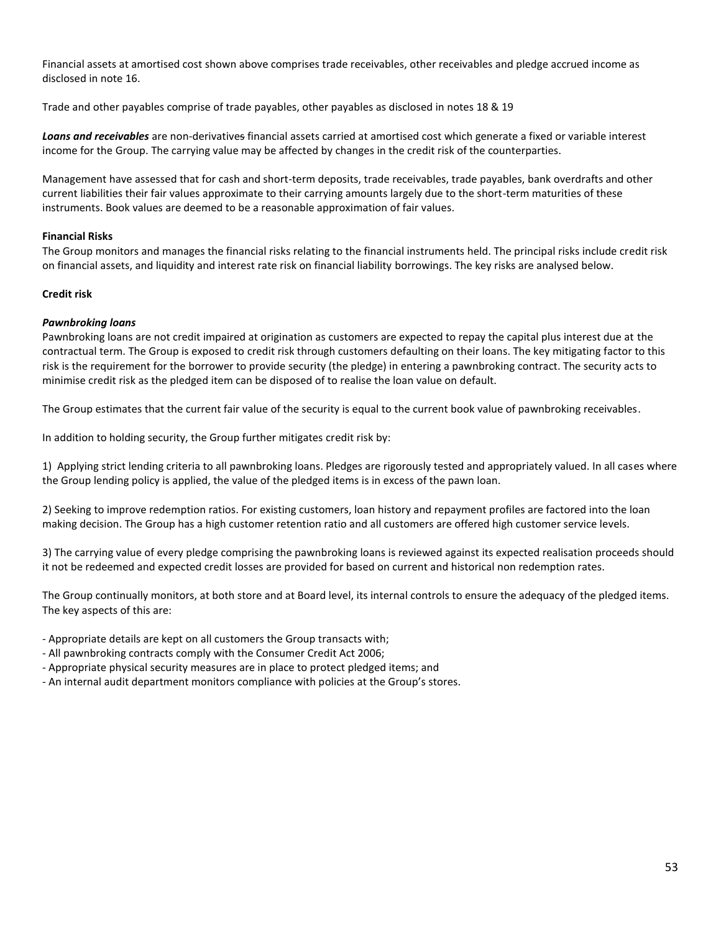Financial assets at amortised cost shown above comprises trade receivables, other receivables and pledge accrued income as disclosed in note 16.

Trade and other payables comprise of trade payables, other payables as disclosed in notes 18 & 19

*Loans and receivables* are non-derivatives financial assets carried at amortised cost which generate a fixed or variable interest income for the Group. The carrying value may be affected by changes in the credit risk of the counterparties.

Management have assessed that for cash and short-term deposits, trade receivables, trade payables, bank overdrafts and other current liabilities their fair values approximate to their carrying amounts largely due to the short-term maturities of these instruments. Book values are deemed to be a reasonable approximation of fair values.

### **Financial Risks**

The Group monitors and manages the financial risks relating to the financial instruments held. The principal risks include credit risk on financial assets, and liquidity and interest rate risk on financial liability borrowings. The key risks are analysed below.

### **Credit risk**

#### *Pawnbroking loans*

Pawnbroking loans are not credit impaired at origination as customers are expected to repay the capital plus interest due at the contractual term. The Group is exposed to credit risk through customers defaulting on their loans. The key mitigating factor to this risk is the requirement for the borrower to provide security (the pledge) in entering a pawnbroking contract. The security acts to minimise credit risk as the pledged item can be disposed of to realise the loan value on default.

The Group estimates that the current fair value of the security is equal to the current book value of pawnbroking receivables.

In addition to holding security, the Group further mitigates credit risk by:

1) Applying strict lending criteria to all pawnbroking loans. Pledges are rigorously tested and appropriately valued. In all cases where the Group lending policy is applied, the value of the pledged items is in excess of the pawn loan.

2) Seeking to improve redemption ratios. For existing customers, loan history and repayment profiles are factored into the loan making decision. The Group has a high customer retention ratio and all customers are offered high customer service levels.

3) The carrying value of every pledge comprising the pawnbroking loans is reviewed against its expected realisation proceeds should it not be redeemed and expected credit losses are provided for based on current and historical non redemption rates.

The Group continually monitors, at both store and at Board level, its internal controls to ensure the adequacy of the pledged items. The key aspects of this are:

- Appropriate details are kept on all customers the Group transacts with;

- All pawnbroking contracts comply with the Consumer Credit Act 2006;

- Appropriate physical security measures are in place to protect pledged items; and

- An internal audit department monitors compliance with policies at the Group's stores.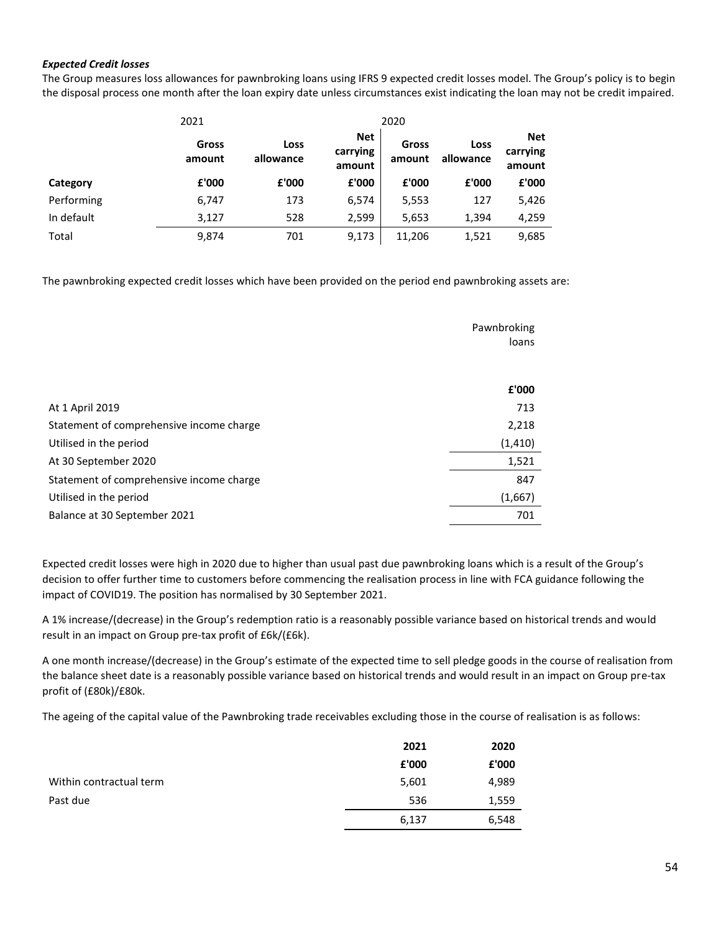#### *Expected Credit losses*

The Group measures loss allowances for pawnbroking loans using IFRS 9 expected credit losses model. The Group's policy is to begin the disposal process one month after the loan expiry date unless circumstances exist indicating the loan may not be credit impaired.

|            | 2021            |                   |                                  | 2020            |                   |                                  |
|------------|-----------------|-------------------|----------------------------------|-----------------|-------------------|----------------------------------|
|            | Gross<br>amount | Loss<br>allowance | <b>Net</b><br>carrying<br>amount | Gross<br>amount | Loss<br>allowance | <b>Net</b><br>carrying<br>amount |
| Category   | £'000           | £'000             | £'000                            | £'000           | £'000             | £'000                            |
| Performing | 6,747           | 173               | 6,574                            | 5,553           | 127               | 5,426                            |
| In default | 3,127           | 528               | 2,599                            | 5,653           | 1,394             | 4,259                            |
| Total      | 9,874           | 701               | 9,173                            | 11,206          | 1,521             | 9,685                            |

The pawnbroking expected credit losses which have been provided on the period end pawnbroking assets are:

|                                          | Pawnbroking<br>loans |
|------------------------------------------|----------------------|
|                                          | £'000                |
| At 1 April 2019                          | 713                  |
| Statement of comprehensive income charge | 2,218                |
| Utilised in the period                   | (1, 410)             |
| At 30 September 2020                     | 1,521                |
| Statement of comprehensive income charge | 847                  |
| Utilised in the period                   | (1,667)              |
| Balance at 30 September 2021             | 701                  |

Expected credit losses were high in 2020 due to higher than usual past due pawnbroking loans which is a result of the Group's decision to offer further time to customers before commencing the realisation process in line with FCA guidance following the impact of COVID19. The position has normalised by 30 September 2021.

A 1% increase/(decrease) in the Group's redemption ratio is a reasonably possible variance based on historical trends and would result in an impact on Group pre-tax profit of £6k/(£6k).

A one month increase/(decrease) in the Group's estimate of the expected time to sell pledge goods in the course of realisation from the balance sheet date is a reasonably possible variance based on historical trends and would result in an impact on Group pre-tax profit of (£80k)/£80k.

The ageing of the capital value of the Pawnbroking trade receivables excluding those in the course of realisation is as follows:

|                         | 2021  | 2020  |
|-------------------------|-------|-------|
|                         | £'000 | £'000 |
| Within contractual term | 5,601 | 4,989 |
| Past due                | 536   | 1,559 |
|                         | 6,137 | 6,548 |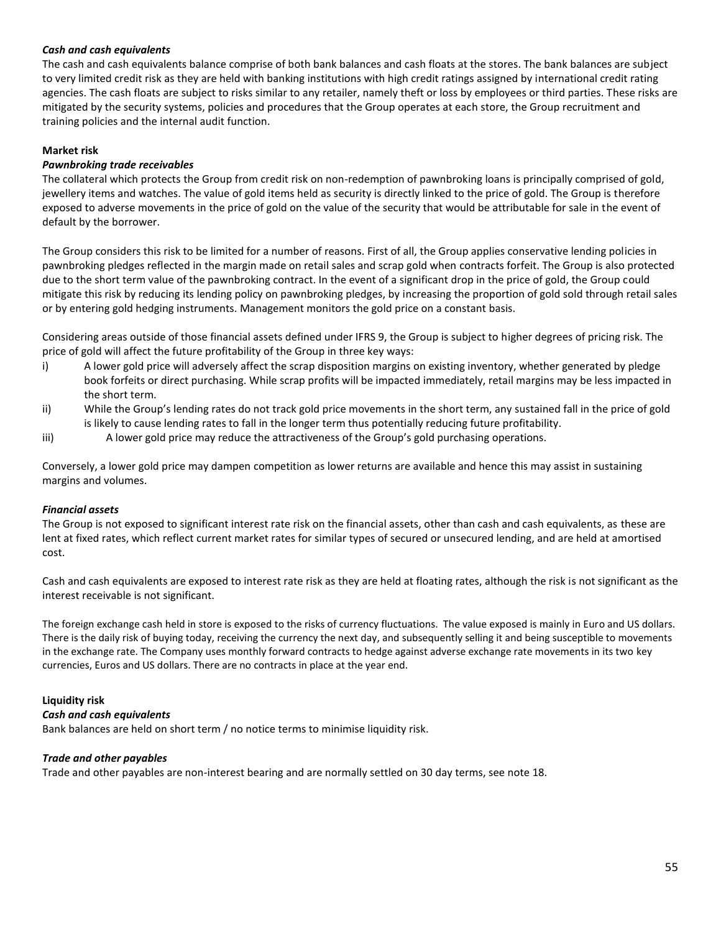#### *Cash and cash equivalents*

The cash and cash equivalents balance comprise of both bank balances and cash floats at the stores. The bank balances are subject to very limited credit risk as they are held with banking institutions with high credit ratings assigned by international credit rating agencies. The cash floats are subject to risks similar to any retailer, namely theft or loss by employees or third parties. These risks are mitigated by the security systems, policies and procedures that the Group operates at each store, the Group recruitment and training policies and the internal audit function.

### **Market risk**

### *Pawnbroking trade receivables*

The collateral which protects the Group from credit risk on non-redemption of pawnbroking loans is principally comprised of gold, jewellery items and watches. The value of gold items held as security is directly linked to the price of gold. The Group is therefore exposed to adverse movements in the price of gold on the value of the security that would be attributable for sale in the event of default by the borrower.

The Group considers this risk to be limited for a number of reasons. First of all, the Group applies conservative lending policies in pawnbroking pledges reflected in the margin made on retail sales and scrap gold when contracts forfeit. The Group is also protected due to the short term value of the pawnbroking contract. In the event of a significant drop in the price of gold, the Group could mitigate this risk by reducing its lending policy on pawnbroking pledges, by increasing the proportion of gold sold through retail sales or by entering gold hedging instruments. Management monitors the gold price on a constant basis.

Considering areas outside of those financial assets defined under IFRS 9, the Group is subject to higher degrees of pricing risk. The price of gold will affect the future profitability of the Group in three key ways:

- i) A lower gold price will adversely affect the scrap disposition margins on existing inventory, whether generated by pledge book forfeits or direct purchasing. While scrap profits will be impacted immediately, retail margins may be less impacted in the short term.
- ii) While the Group's lending rates do not track gold price movements in the short term, any sustained fall in the price of gold is likely to cause lending rates to fall in the longer term thus potentially reducing future profitability.
- iii) A lower gold price may reduce the attractiveness of the Group's gold purchasing operations.

Conversely, a lower gold price may dampen competition as lower returns are available and hence this may assist in sustaining margins and volumes.

#### *Financial assets*

The Group is not exposed to significant interest rate risk on the financial assets, other than cash and cash equivalents, as these are lent at fixed rates, which reflect current market rates for similar types of secured or unsecured lending, and are held at amortised cost.

Cash and cash equivalents are exposed to interest rate risk as they are held at floating rates, although the risk is not significant as the interest receivable is not significant.

The foreign exchange cash held in store is exposed to the risks of currency fluctuations. The value exposed is mainly in Euro and US dollars. There is the daily risk of buying today, receiving the currency the next day, and subsequently selling it and being susceptible to movements in the exchange rate. The Company uses monthly forward contracts to hedge against adverse exchange rate movements in its two key currencies, Euros and US dollars. There are no contracts in place at the year end.

#### **Liquidity risk**

#### *Cash and cash equivalents*

Bank balances are held on short term / no notice terms to minimise liquidity risk.

#### *Trade and other payables*

Trade and other payables are non-interest bearing and are normally settled on 30 day terms, see note 18.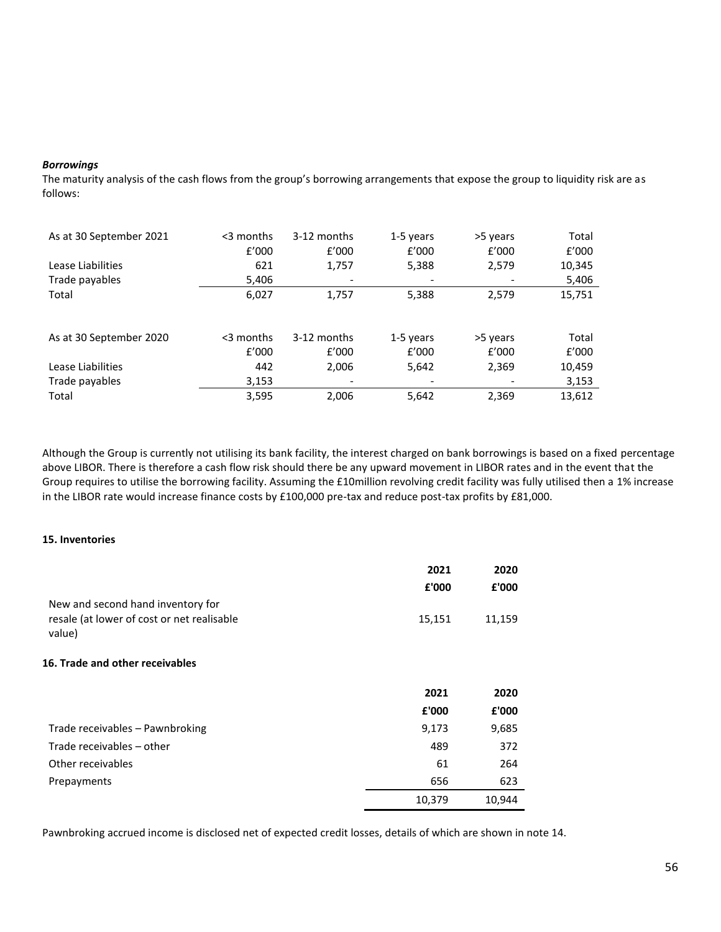#### *Borrowings*

The maturity analysis of the cash flows from the group's borrowing arrangements that expose the group to liquidity risk are as follows:

| As at 30 September 2021 | $<$ 3 months<br>f'000 | 3-12 months<br>f'000     | 1-5 years<br>f'000 | >5 years<br>f'000 | Total<br>f'000 |
|-------------------------|-----------------------|--------------------------|--------------------|-------------------|----------------|
| Lease Liabilities       | 621                   | 1,757                    | 5,388              | 2,579             | 10,345         |
| Trade payables          | 5,406                 | -                        |                    |                   | 5,406          |
| Total                   | 6,027                 | 1,757                    | 5,388              | 2,579             | 15,751         |
|                         |                       |                          |                    |                   |                |
| As at 30 September 2020 | $<$ 3 months          | 3-12 months              | 1-5 years          | >5 years          | Total          |
|                         | f'000                 | f'000                    | f'000              | f'000             | f'000          |
| Lease Liabilities       | 442                   | 2,006                    | 5,642              | 2,369             | 10,459         |
| Trade payables          | 3,153                 | $\overline{\phantom{a}}$ |                    |                   | 3,153          |
| Total                   | 3,595                 | 2,006                    | 5,642              | 2,369             | 13,612         |

Although the Group is currently not utilising its bank facility, the interest charged on bank borrowings is based on a fixed percentage above LIBOR. There is therefore a cash flow risk should there be any upward movement in LIBOR rates and in the event that the Group requires to utilise the borrowing facility. Assuming the £10million revolving credit facility was fully utilised then a 1% increase in the LIBOR rate would increase finance costs by £100,000 pre-tax and reduce post-tax profits by £81,000.

#### **15. Inventories**

|                                            | 2021   | 2020   |
|--------------------------------------------|--------|--------|
|                                            | £'000  | £'000  |
| New and second hand inventory for          |        |        |
| resale (at lower of cost or net realisable | 15,151 | 11,159 |
| value)                                     |        |        |
| <b>16. Trade and other receivables</b>     |        |        |
|                                            | 2021   | 2020   |
|                                            | £'000  | £'000  |
| Trade receivables - Pawnbroking            | 9,173  | 9,685  |
|                                            |        |        |
| Trade receivables - other                  | 489    | 372    |
| Other receivables                          | 61     | 264    |
| Prepayments                                | 656    | 623    |

Pawnbroking accrued income is disclosed net of expected credit losses, details of which are shown in note 14.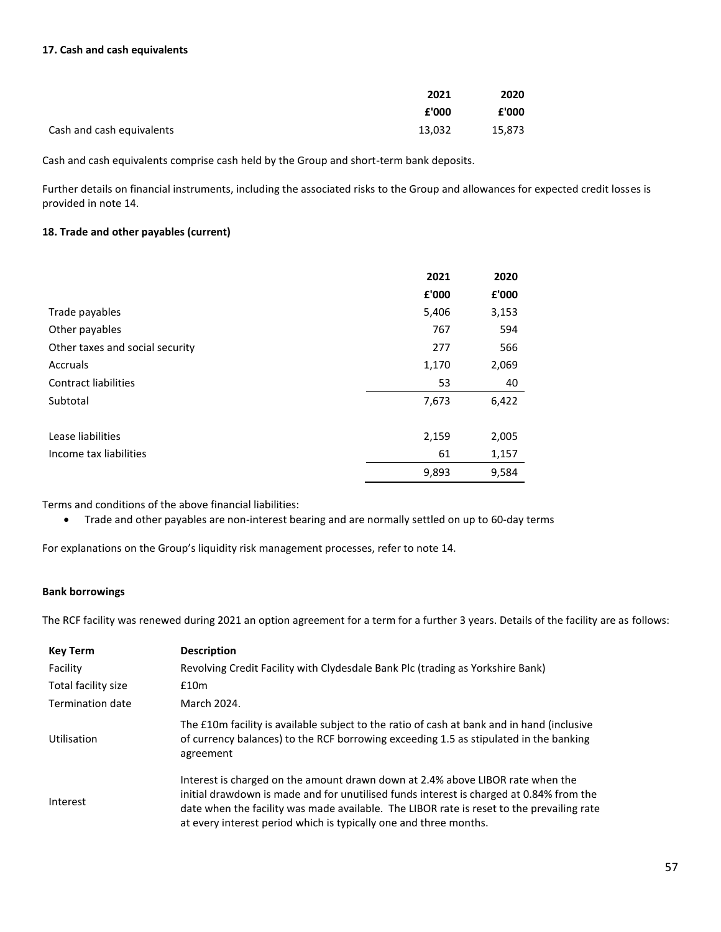#### **17. Cash and cash equivalents**

|                           | 2021   | 2020   |
|---------------------------|--------|--------|
|                           | £'000  | £'000  |
| Cash and cash equivalents | 13,032 | 15,873 |

Cash and cash equivalents comprise cash held by the Group and short-term bank deposits.

Further details on financial instruments, including the associated risks to the Group and allowances for expected credit losses is provided in note 14.

### **18. Trade and other payables (current)**

|                                 | 2021  | 2020  |
|---------------------------------|-------|-------|
|                                 | £'000 | £'000 |
| Trade payables                  | 5,406 | 3,153 |
| Other payables                  | 767   | 594   |
| Other taxes and social security | 277   | 566   |
| Accruals                        | 1,170 | 2,069 |
| <b>Contract liabilities</b>     | 53    | 40    |
| Subtotal                        | 7,673 | 6,422 |
| Lease liabilities               | 2,159 | 2,005 |
| Income tax liabilities          | 61    | 1,157 |
|                                 | 9,893 | 9,584 |

Terms and conditions of the above financial liabilities:

• Trade and other payables are non-interest bearing and are normally settled on up to 60-day terms

For explanations on the Group's liquidity risk management processes, refer to note 14.

#### **Bank borrowings**

The RCF facility was renewed during 2021 an option agreement for a term for a further 3 years. Details of the facility are as follows:

| <b>Key Term</b>     | <b>Description</b>                                                                                                                                                                                                                                                                                                                          |
|---------------------|---------------------------------------------------------------------------------------------------------------------------------------------------------------------------------------------------------------------------------------------------------------------------------------------------------------------------------------------|
| Facility            | Revolving Credit Facility with Clydesdale Bank Plc (trading as Yorkshire Bank)                                                                                                                                                                                                                                                              |
| Total facility size | £10m                                                                                                                                                                                                                                                                                                                                        |
| Termination date    | March 2024.                                                                                                                                                                                                                                                                                                                                 |
| Utilisation         | The £10m facility is available subject to the ratio of cash at bank and in hand (inclusive<br>of currency balances) to the RCF borrowing exceeding 1.5 as stipulated in the banking<br>agreement                                                                                                                                            |
| Interest            | Interest is charged on the amount drawn down at 2.4% above LIBOR rate when the<br>initial drawdown is made and for unutilised funds interest is charged at 0.84% from the<br>date when the facility was made available. The LIBOR rate is reset to the prevailing rate<br>at every interest period which is typically one and three months. |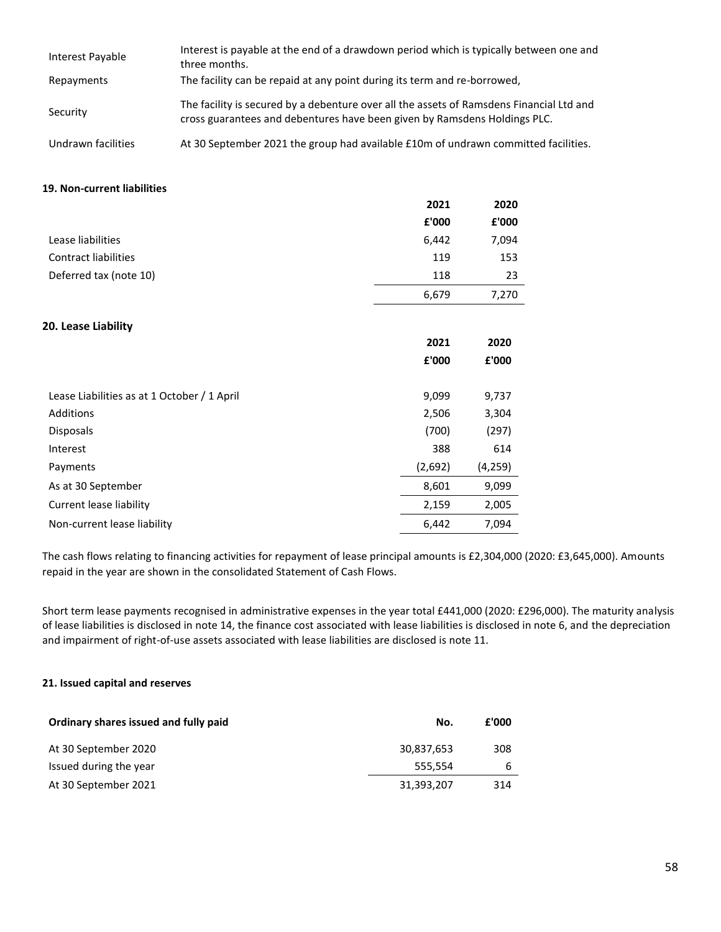| Interest Payable   | Interest is payable at the end of a drawdown period which is typically between one and<br>three months.                                                               |
|--------------------|-----------------------------------------------------------------------------------------------------------------------------------------------------------------------|
| Repayments         | The facility can be repaid at any point during its term and re-borrowed,                                                                                              |
| Security           | The facility is secured by a debenture over all the assets of Ramsdens Financial Ltd and<br>cross guarantees and debentures have been given by Ramsdens Holdings PLC. |
| Undrawn facilities | At 30 September 2021 the group had available £10m of undrawn committed facilities.                                                                                    |

#### **19. Non-current liabilities**

|                                             | 2021    | 2020    |
|---------------------------------------------|---------|---------|
|                                             | £'000   | £'000   |
| Lease liabilities                           | 6,442   | 7,094   |
| Contract liabilities                        | 119     | 153     |
| Deferred tax (note 10)                      | 118     | 23      |
|                                             | 6,679   | 7,270   |
| 20. Lease Liability                         |         |         |
|                                             | 2021    | 2020    |
|                                             | £'000   | £'000   |
| Lease Liabilities as at 1 October / 1 April | 9,099   | 9,737   |
| Additions                                   | 2,506   | 3,304   |
| Disposals                                   | (700)   | (297)   |
| Interest                                    | 388     | 614     |
| Payments                                    | (2,692) | (4,259) |
| As at 30 September                          | 8,601   | 9,099   |
| Current lease liability                     | 2,159   | 2,005   |
| Non-current lease liability                 | 6,442   | 7,094   |

The cash flows relating to financing activities for repayment of lease principal amounts is £2,304,000 (2020: £3,645,000). Amounts repaid in the year are shown in the consolidated Statement of Cash Flows.

Short term lease payments recognised in administrative expenses in the year total £441,000 (2020: £296,000). The maturity analysis of lease liabilities is disclosed in note 14, the finance cost associated with lease liabilities is disclosed in note 6, and the depreciation and impairment of right-of-use assets associated with lease liabilities are disclosed is note 11.

#### **21. Issued capital and reserves**

| Ordinary shares issued and fully paid | No.        | £'000 |
|---------------------------------------|------------|-------|
| At 30 September 2020                  | 30,837,653 | 308   |
| Issued during the year                | 555.554    | 6     |
| At 30 September 2021                  | 31,393,207 | 314   |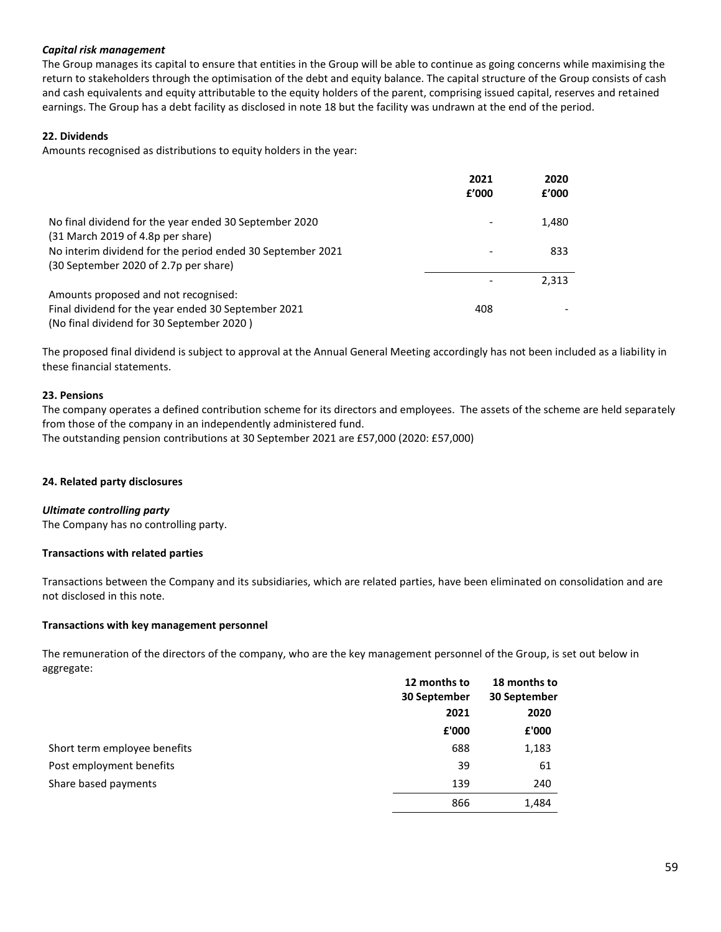### *Capital risk management*

The Group manages its capital to ensure that entities in the Group will be able to continue as going concerns while maximising the return to stakeholders through the optimisation of the debt and equity balance. The capital structure of the Group consists of cash and cash equivalents and equity attributable to the equity holders of the parent, comprising issued capital, reserves and retained earnings. The Group has a debt facility as disclosed in note 18 but the facility was undrawn at the end of the period.

### **22. Dividends**

Amounts recognised as distributions to equity holders in the year:

|                                                                                                     | 2021<br>f'000 | 2020<br>f'000 |
|-----------------------------------------------------------------------------------------------------|---------------|---------------|
| No final dividend for the year ended 30 September 2020<br>(31 March 2019 of 4.8p per share)         |               | 1,480         |
| No interim dividend for the period ended 30 September 2021<br>(30 September 2020 of 2.7p per share) |               | 833           |
|                                                                                                     |               | 2,313         |
| Amounts proposed and not recognised:                                                                |               |               |
| Final dividend for the year ended 30 September 2021                                                 | 408           |               |
| (No final dividend for 30 September 2020)                                                           |               |               |

The proposed final dividend is subject to approval at the Annual General Meeting accordingly has not been included as a liability in these financial statements.

#### **23. Pensions**

The company operates a defined contribution scheme for its directors and employees. The assets of the scheme are held separately from those of the company in an independently administered fund. The outstanding pension contributions at 30 September 2021 are £57,000 (2020: £57,000)

# **24. Related party disclosures**

#### *Ultimate controlling party*

The Company has no controlling party.

#### **Transactions with related parties**

Transactions between the Company and its subsidiaries, which are related parties, have been eliminated on consolidation and are not disclosed in this note.

#### **Transactions with key management personnel**

The remuneration of the directors of the company, who are the key management personnel of the Group, is set out below in aggregate:

|                              | 12 months to | 18 months to |  |
|------------------------------|--------------|--------------|--|
|                              | 30 September | 30 September |  |
|                              | 2021         | 2020         |  |
|                              | £'000        | £'000        |  |
| Short term employee benefits | 688          | 1,183        |  |
| Post employment benefits     | 39           | 61           |  |
| Share based payments         | 139          | 240          |  |
|                              | 866          | 1,484        |  |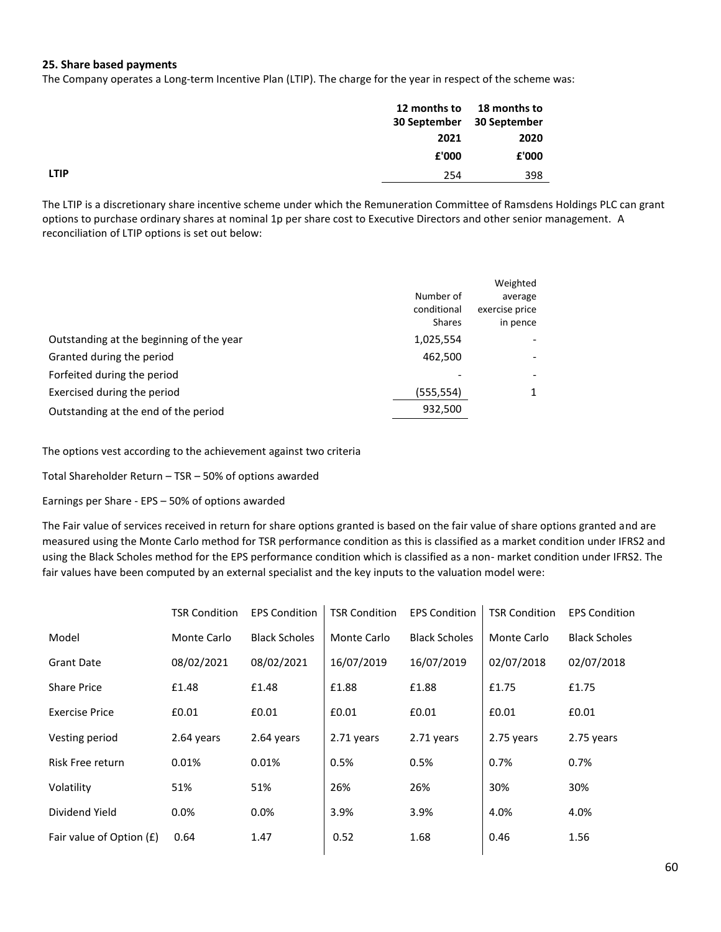### **25. Share based payments**

The Company operates a Long-term Incentive Plan (LTIP). The charge for the year in respect of the scheme was:

|             | 12 months to | 18 months to<br>30 September 30 September |
|-------------|--------------|-------------------------------------------|
|             | 2021         | 2020                                      |
|             | £'000        | £'000                                     |
| <b>LTIP</b> | 254          | 398                                       |
|             |              |                                           |

The LTIP is a discretionary share incentive scheme under which the Remuneration Committee of Ramsdens Holdings PLC can grant options to purchase ordinary shares at nominal 1p per share cost to Executive Directors and other senior management. A reconciliation of LTIP options is set out below:

|                                          | Number of<br>conditional<br><b>Shares</b> | Weighted<br>average<br>exercise price<br>in pence |
|------------------------------------------|-------------------------------------------|---------------------------------------------------|
| Outstanding at the beginning of the year | 1,025,554                                 |                                                   |
| Granted during the period                | 462,500                                   |                                                   |
| Forfeited during the period              |                                           |                                                   |
| Exercised during the period              | (555,554)                                 |                                                   |
| Outstanding at the end of the period     | 932,500                                   |                                                   |

The options vest according to the achievement against two criteria

Total Shareholder Return – TSR – 50% of options awarded

Earnings per Share - EPS – 50% of options awarded

The Fair value of services received in return for share options granted is based on the fair value of share options granted and are measured using the Monte Carlo method for TSR performance condition as this is classified as a market condition under IFRS2 and using the Black Scholes method for the EPS performance condition which is classified as a non- market condition under IFRS2. The fair values have been computed by an external specialist and the key inputs to the valuation model were:

|                          | <b>TSR Condition</b> | <b>EPS Condition</b> | <b>TSR Condition</b> | <b>EPS Condition</b> | <b>TSR Condition</b> | <b>EPS Condition</b> |
|--------------------------|----------------------|----------------------|----------------------|----------------------|----------------------|----------------------|
| Model                    | Monte Carlo          | <b>Black Scholes</b> | Monte Carlo          | <b>Black Scholes</b> | Monte Carlo          | <b>Black Scholes</b> |
| <b>Grant Date</b>        | 08/02/2021           | 08/02/2021           | 16/07/2019           | 16/07/2019           | 02/07/2018           | 02/07/2018           |
| <b>Share Price</b>       | £1.48                | £1.48                | £1.88                | £1.88                | £1.75                | £1.75                |
| <b>Exercise Price</b>    | £0.01                | £0.01                | £0.01                | £0.01                | £0.01                | £0.01                |
| Vesting period           | 2.64 years           | 2.64 years           | 2.71 years           | 2.71 years           | 2.75 years           | 2.75 years           |
| Risk Free return         | 0.01%                | 0.01%                | 0.5%                 | 0.5%                 | 0.7%                 | 0.7%                 |
| Volatility               | 51%                  | 51%                  | 26%                  | 26%                  | 30%                  | 30%                  |
| Dividend Yield           | 0.0%                 | 0.0%                 | 3.9%                 | 3.9%                 | 4.0%                 | 4.0%                 |
| Fair value of Option (£) | 0.64                 | 1.47                 | 0.52                 | 1.68                 | 0.46                 | 1.56                 |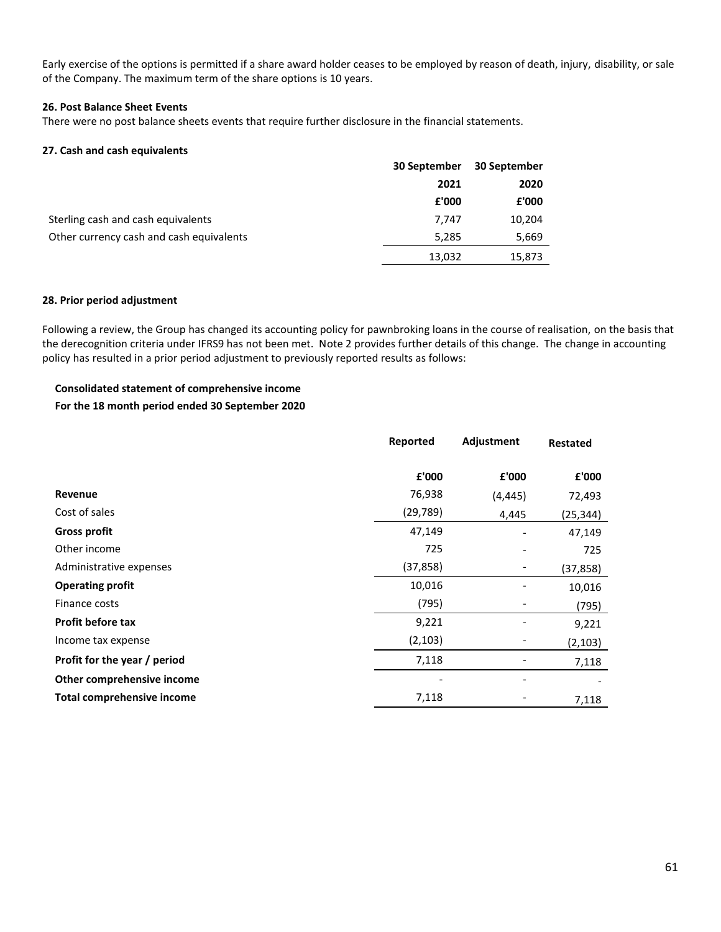Early exercise of the options is permitted if a share award holder ceases to be employed by reason of death, injury, disability, or sale of the Company. The maximum term of the share options is 10 years.

#### **26. Post Balance Sheet Events**

There were no post balance sheets events that require further disclosure in the financial statements.

#### **27. Cash and cash equivalents**

|                                          | 30 September | 30 September |
|------------------------------------------|--------------|--------------|
|                                          | 2021         | 2020         |
|                                          | £'000        | £'000        |
| Sterling cash and cash equivalents       | 7.747        | 10,204       |
| Other currency cash and cash equivalents | 5,285        | 5,669        |
|                                          | 13,032       | 15,873       |

#### **28. Prior period adjustment**

Following a review, the Group has changed its accounting policy for pawnbroking loans in the course of realisation, on the basis that the derecognition criteria under IFRS9 has not been met. Note 2 provides further details of this change. The change in accounting policy has resulted in a prior period adjustment to previously reported results as follows:

# **Consolidated statement of comprehensive income**

### **For the 18 month period ended 30 September 2020**

|                              | Reported  | Adjustment | <b>Restated</b> |
|------------------------------|-----------|------------|-----------------|
|                              | £'000     | £'000      | £'000           |
| Revenue                      | 76,938    | (4, 445)   | 72,493          |
| Cost of sales                | (29, 789) | 4,445      | (25, 344)       |
| <b>Gross profit</b>          | 47,149    |            | 47,149          |
| Other income                 | 725       |            | 725             |
| Administrative expenses      | (37, 858) |            | (37, 858)       |
| <b>Operating profit</b>      | 10,016    |            | 10,016          |
| Finance costs                | (795)     | -          | (795)           |
| <b>Profit before tax</b>     | 9,221     |            | 9,221           |
| Income tax expense           | (2, 103)  |            | (2, 103)        |
| Profit for the year / period | 7,118     |            | 7,118           |
| Other comprehensive income   |           |            |                 |
| Total comprehensive income   | 7,118     |            | 7,118           |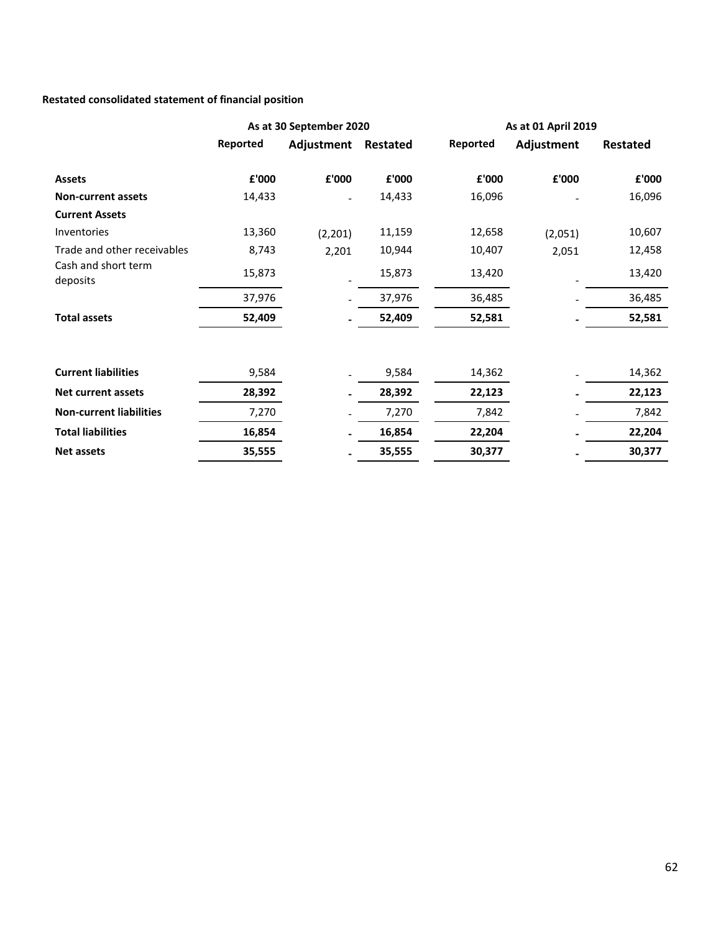# **Restated consolidated statement of financial position**

|                                 | As at 30 September 2020 |                          |        | As at 01 April 2019 |            |                 |
|---------------------------------|-------------------------|--------------------------|--------|---------------------|------------|-----------------|
|                                 | Reported                | Adjustment Restated      |        | Reported            | Adjustment | <b>Restated</b> |
| <b>Assets</b>                   | £'000                   | £'000                    | £'000  | £'000               | £'000      | £'000           |
| <b>Non-current assets</b>       | 14,433                  | $\overline{\phantom{a}}$ | 14,433 | 16,096              |            | 16,096          |
| <b>Current Assets</b>           |                         |                          |        |                     |            |                 |
| Inventories                     | 13,360                  | (2,201)                  | 11,159 | 12,658              | (2,051)    | 10,607          |
| Trade and other receivables     | 8,743                   | 2,201                    | 10,944 | 10,407              | 2,051      | 12,458          |
| Cash and short term<br>deposits | 15,873                  |                          | 15,873 | 13,420              |            | 13,420          |
|                                 | 37,976                  |                          | 37,976 | 36,485              |            | 36,485          |
| <b>Total assets</b>             | 52,409                  |                          | 52,409 | 52,581              |            | 52,581          |
|                                 |                         |                          |        |                     |            |                 |
| <b>Current liabilities</b>      | 9,584                   |                          | 9,584  | 14,362              |            | 14,362          |
| <b>Net current assets</b>       | 28,392                  |                          | 28,392 | 22,123              |            | 22,123          |
| <b>Non-current liabilities</b>  | 7,270                   |                          | 7,270  | 7,842               |            | 7,842           |
| <b>Total liabilities</b>        | 16,854                  |                          | 16,854 | 22,204              |            | 22,204          |
| <b>Net assets</b>               | 35,555                  |                          | 35,555 | 30,377              |            | 30,377          |